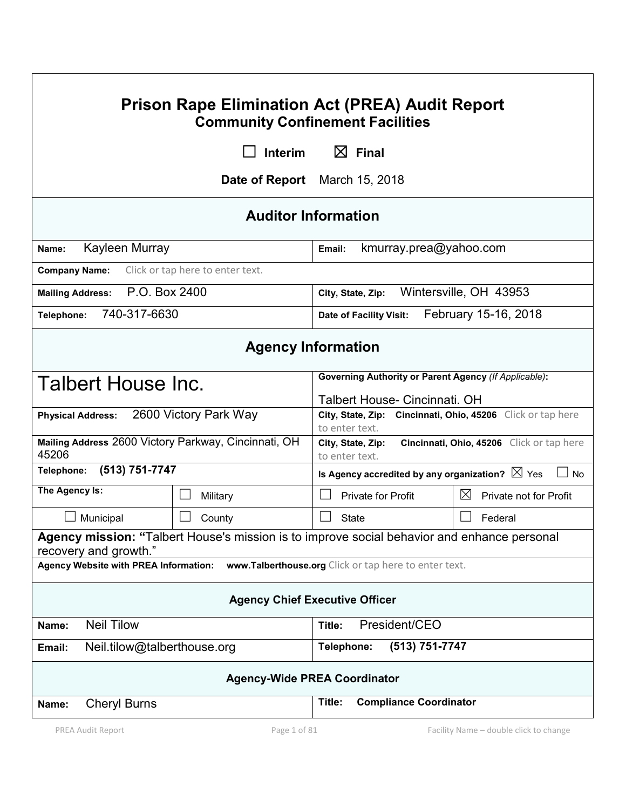| <b>Prison Rape Elimination Act (PREA) Audit Report</b><br><b>Community Confinement Facilities</b>                    |                                  |                                                                               |                                           |  |  |
|----------------------------------------------------------------------------------------------------------------------|----------------------------------|-------------------------------------------------------------------------------|-------------------------------------------|--|--|
|                                                                                                                      | Interim                          | $\boxtimes$ Final                                                             |                                           |  |  |
|                                                                                                                      |                                  | <b>Date of Report</b> March 15, 2018                                          |                                           |  |  |
| <b>Auditor Information</b>                                                                                           |                                  |                                                                               |                                           |  |  |
| Kayleen Murray<br>Name:                                                                                              |                                  | kmurray.prea@yahoo.com<br>Email:                                              |                                           |  |  |
| <b>Company Name:</b>                                                                                                 | Click or tap here to enter text. |                                                                               |                                           |  |  |
| P.O. Box 2400<br><b>Mailing Address:</b>                                                                             |                                  | Wintersville, OH 43953<br>City, State, Zip:                                   |                                           |  |  |
| 740-317-6630<br>Telephone:                                                                                           |                                  | <b>Date of Facility Visit:</b>                                                | February 15-16, 2018                      |  |  |
| <b>Agency Information</b>                                                                                            |                                  |                                                                               |                                           |  |  |
| Talbert House Inc.                                                                                                   |                                  | <b>Governing Authority or Parent Agency (If Applicable):</b>                  |                                           |  |  |
|                                                                                                                      |                                  | Talbert House- Cincinnati. OH                                                 |                                           |  |  |
| <b>Physical Address:</b>                                                                                             | 2600 Victory Park Way            | City, State, Zip: Cincinnati, Ohio, 45206 Click or tap here<br>to enter text. |                                           |  |  |
| Mailing Address 2600 Victory Parkway, Cincinnati, OH<br>45206                                                        |                                  | City, State, Zip:<br>to enter text.                                           | Cincinnati, Ohio, 45206 Click or tap here |  |  |
| (513) 751-7747<br>Telephone:                                                                                         |                                  | Is Agency accredited by any organization? $\boxtimes$ Yes                     | No                                        |  |  |
| The Agency Is:                                                                                                       | Military                         | <b>Private for Profit</b>                                                     | $\boxtimes$<br>Private not for Profit     |  |  |
| Municipal                                                                                                            | County                           | <b>State</b>                                                                  | Federal                                   |  |  |
| Agency mission: "Talbert House's mission is to improve social behavior and enhance personal<br>recovery and growth." |                                  |                                                                               |                                           |  |  |
| Agency Website with PREA Information:<br>www.Talberthouse.org Click or tap here to enter text.                       |                                  |                                                                               |                                           |  |  |
| <b>Agency Chief Executive Officer</b>                                                                                |                                  |                                                                               |                                           |  |  |
| <b>Neil Tilow</b><br>Name:                                                                                           |                                  | President/CEO<br>Title:                                                       |                                           |  |  |
| (513) 751-7747<br>Neil.tilow@talberthouse.org<br>Telephone:<br>Email:                                                |                                  |                                                                               |                                           |  |  |
| <b>Agency-Wide PREA Coordinator</b>                                                                                  |                                  |                                                                               |                                           |  |  |
| <b>Cheryl Burns</b><br>Name:                                                                                         |                                  | <b>Compliance Coordinator</b><br>Title:                                       |                                           |  |  |
| PREA Audit Report                                                                                                    | Page 1 of 81                     |                                                                               | Facility Name - double click to change    |  |  |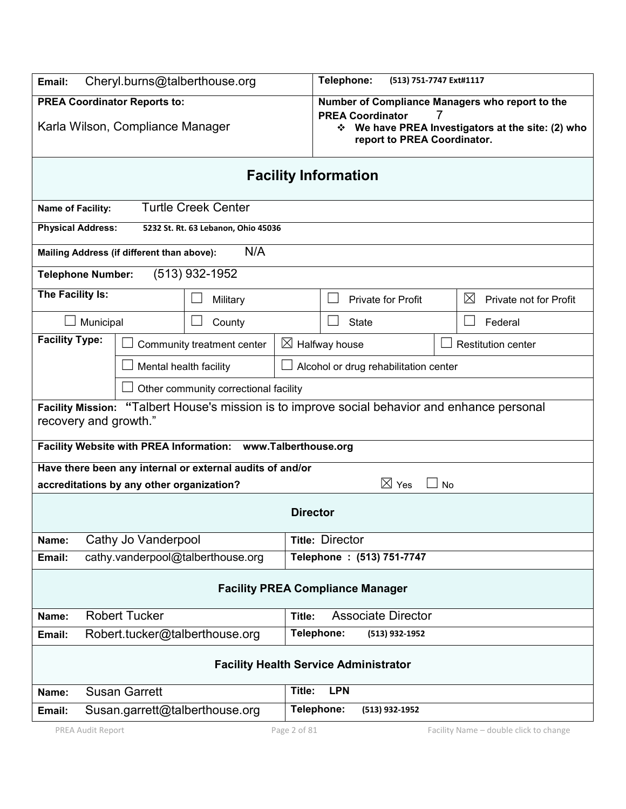| Email:                                                                                                                 | Cheryl.burns@talberthouse.org                                  |                                     |                                                                                                                                                                   | Telephone:                | (513) 751-7747 Ext#1117   |                                       |
|------------------------------------------------------------------------------------------------------------------------|----------------------------------------------------------------|-------------------------------------|-------------------------------------------------------------------------------------------------------------------------------------------------------------------|---------------------------|---------------------------|---------------------------------------|
| <b>PREA Coordinator Reports to:</b><br>Karla Wilson, Compliance Manager                                                |                                                                |                                     | Number of Compliance Managers who report to the<br><b>PREA Coordinator</b><br>7<br>Ve have PREA Investigators at the site: (2) who<br>report to PREA Coordinator. |                           |                           |                                       |
|                                                                                                                        | <b>Facility Information</b>                                    |                                     |                                                                                                                                                                   |                           |                           |                                       |
| <b>Name of Facility:</b>                                                                                               |                                                                | <b>Turtle Creek Center</b>          |                                                                                                                                                                   |                           |                           |                                       |
| <b>Physical Address:</b>                                                                                               |                                                                | 5232 St. Rt. 63 Lebanon, Ohio 45036 |                                                                                                                                                                   |                           |                           |                                       |
| Mailing Address (if different than above):                                                                             |                                                                | N/A                                 |                                                                                                                                                                   |                           |                           |                                       |
| <b>Telephone Number:</b>                                                                                               |                                                                | (513) 932-1952                      |                                                                                                                                                                   |                           |                           |                                       |
| The Facility Is:                                                                                                       |                                                                | Military                            |                                                                                                                                                                   |                           | <b>Private for Profit</b> | $\boxtimes$<br>Private not for Profit |
| Municipal                                                                                                              |                                                                | County                              |                                                                                                                                                                   | <b>State</b>              |                           | Federal                               |
| <b>Facility Type:</b>                                                                                                  |                                                                | Community treatment center          | $\boxtimes$ Halfway house                                                                                                                                         |                           |                           | <b>Restitution center</b>             |
| Mental health facility<br>Alcohol or drug rehabilitation center                                                        |                                                                |                                     |                                                                                                                                                                   |                           |                           |                                       |
| Other community correctional facility                                                                                  |                                                                |                                     |                                                                                                                                                                   |                           |                           |                                       |
| Facility Mission: "Talbert House's mission is to improve social behavior and enhance personal<br>recovery and growth." |                                                                |                                     |                                                                                                                                                                   |                           |                           |                                       |
| Facility Website with PREA Information: www.Talberthouse.org                                                           |                                                                |                                     |                                                                                                                                                                   |                           |                           |                                       |
| Have there been any internal or external audits of and/or<br>$\boxtimes$ Yes<br>$\sim$                                 |                                                                |                                     |                                                                                                                                                                   |                           |                           |                                       |
| accreditations by any other organization?<br><b>No</b><br><b>Director</b>                                              |                                                                |                                     |                                                                                                                                                                   |                           |                           |                                       |
| Cathy Jo Vanderpool<br>Name:                                                                                           |                                                                |                                     |                                                                                                                                                                   | <b>Title: Director</b>    |                           |                                       |
| Telephone : (513) 751-7747<br>cathy.vanderpool@talberthouse.org<br>Email:                                              |                                                                |                                     |                                                                                                                                                                   |                           |                           |                                       |
| <b>Facility PREA Compliance Manager</b>                                                                                |                                                                |                                     |                                                                                                                                                                   |                           |                           |                                       |
| Name:                                                                                                                  | <b>Robert Tucker</b>                                           |                                     | Title:                                                                                                                                                            | <b>Associate Director</b> |                           |                                       |
| Telephone:<br>Robert.tucker@talberthouse.org<br>(513) 932-1952<br>Email:                                               |                                                                |                                     |                                                                                                                                                                   |                           |                           |                                       |
| <b>Facility Health Service Administrator</b>                                                                           |                                                                |                                     |                                                                                                                                                                   |                           |                           |                                       |
| Name:                                                                                                                  | <b>Susan Garrett</b>                                           |                                     | Title:                                                                                                                                                            | <b>LPN</b>                |                           |                                       |
| Email:                                                                                                                 | Telephone:<br>Susan.garrett@talberthouse.org<br>(513) 932-1952 |                                     |                                                                                                                                                                   |                           |                           |                                       |
| PREA Audit Report<br>Page 2 of 81<br>Facility Name - double click to change                                            |                                                                |                                     |                                                                                                                                                                   |                           |                           |                                       |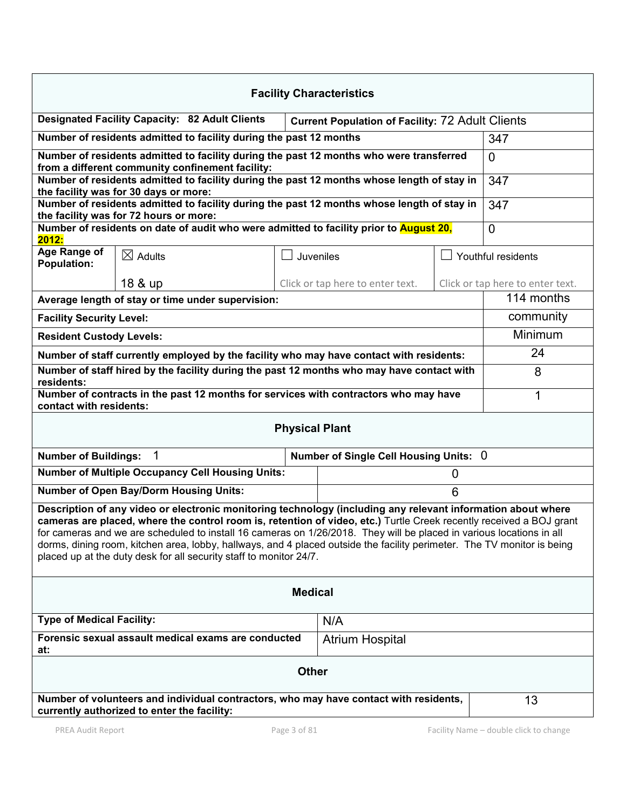| <b>Facility Characteristics</b>                                                                                                                                                                                                                                                                                                                                                                                                                                                                                                                              |                                                                    |  |                                                         |    |                                  |
|--------------------------------------------------------------------------------------------------------------------------------------------------------------------------------------------------------------------------------------------------------------------------------------------------------------------------------------------------------------------------------------------------------------------------------------------------------------------------------------------------------------------------------------------------------------|--------------------------------------------------------------------|--|---------------------------------------------------------|----|----------------------------------|
|                                                                                                                                                                                                                                                                                                                                                                                                                                                                                                                                                              | <b>Designated Facility Capacity: 82 Adult Clients</b>              |  | <b>Current Population of Facility: 72 Adult Clients</b> |    |                                  |
|                                                                                                                                                                                                                                                                                                                                                                                                                                                                                                                                                              | Number of residents admitted to facility during the past 12 months |  |                                                         |    | 347                              |
| Number of residents admitted to facility during the past 12 months who were transferred<br>from a different community confinement facility:                                                                                                                                                                                                                                                                                                                                                                                                                  |                                                                    |  |                                                         |    | $\Omega$                         |
| Number of residents admitted to facility during the past 12 months whose length of stay in<br>the facility was for 30 days or more:                                                                                                                                                                                                                                                                                                                                                                                                                          |                                                                    |  |                                                         |    | 347                              |
| Number of residents admitted to facility during the past 12 months whose length of stay in                                                                                                                                                                                                                                                                                                                                                                                                                                                                   | 347                                                                |  |                                                         |    |                                  |
| the facility was for 72 hours or more:<br>Number of residents on date of audit who were admitted to facility prior to <b>August 20</b> ,                                                                                                                                                                                                                                                                                                                                                                                                                     |                                                                    |  |                                                         |    | $\Omega$                         |
| 2012:                                                                                                                                                                                                                                                                                                                                                                                                                                                                                                                                                        |                                                                    |  |                                                         |    |                                  |
| Age Range of<br><b>Population:</b>                                                                                                                                                                                                                                                                                                                                                                                                                                                                                                                           | $\boxtimes$ Adults                                                 |  | Juveniles                                               |    | Youthful residents               |
|                                                                                                                                                                                                                                                                                                                                                                                                                                                                                                                                                              | 18 & up                                                            |  | Click or tap here to enter text.                        |    | Click or tap here to enter text. |
| Average length of stay or time under supervision:                                                                                                                                                                                                                                                                                                                                                                                                                                                                                                            | 114 months                                                         |  |                                                         |    |                                  |
| <b>Facility Security Level:</b>                                                                                                                                                                                                                                                                                                                                                                                                                                                                                                                              |                                                                    |  |                                                         |    | community                        |
| <b>Resident Custody Levels:</b>                                                                                                                                                                                                                                                                                                                                                                                                                                                                                                                              |                                                                    |  |                                                         |    | Minimum                          |
| Number of staff currently employed by the facility who may have contact with residents:                                                                                                                                                                                                                                                                                                                                                                                                                                                                      |                                                                    |  |                                                         |    | 24                               |
| Number of staff hired by the facility during the past 12 months who may have contact with<br>residents:                                                                                                                                                                                                                                                                                                                                                                                                                                                      |                                                                    |  |                                                         |    | 8                                |
| Number of contracts in the past 12 months for services with contractors who may have<br>contact with residents:                                                                                                                                                                                                                                                                                                                                                                                                                                              |                                                                    |  |                                                         |    | 1                                |
| <b>Physical Plant</b>                                                                                                                                                                                                                                                                                                                                                                                                                                                                                                                                        |                                                                    |  |                                                         |    |                                  |
| $\mathbf 1$<br><b>Number of Buildings:</b><br>Number of Single Cell Housing Units: 0                                                                                                                                                                                                                                                                                                                                                                                                                                                                         |                                                                    |  |                                                         |    |                                  |
| <b>Number of Multiple Occupancy Cell Housing Units:</b><br>$\mathbf 0$                                                                                                                                                                                                                                                                                                                                                                                                                                                                                       |                                                                    |  |                                                         |    |                                  |
| <b>Number of Open Bay/Dorm Housing Units:</b><br>6                                                                                                                                                                                                                                                                                                                                                                                                                                                                                                           |                                                                    |  |                                                         |    |                                  |
| Description of any video or electronic monitoring technology (including any relevant information about where<br>cameras are placed, where the control room is, retention of video, etc.) Turtle Creek recently received a BOJ grant<br>for cameras and we are scheduled to install 16 cameras on 1/26/2018. They will be placed in various locations in all<br>dorms, dining room, kitchen area, lobby, hallways, and 4 placed outside the facility perimeter. The TV monitor is being<br>placed up at the duty desk for all security staff to monitor 24/7. |                                                                    |  |                                                         |    |                                  |
| <b>Medical</b>                                                                                                                                                                                                                                                                                                                                                                                                                                                                                                                                               |                                                                    |  |                                                         |    |                                  |
| <b>Type of Medical Facility:</b><br>N/A                                                                                                                                                                                                                                                                                                                                                                                                                                                                                                                      |                                                                    |  |                                                         |    |                                  |
| Forensic sexual assault medical exams are conducted<br><b>Atrium Hospital</b><br>at:                                                                                                                                                                                                                                                                                                                                                                                                                                                                         |                                                                    |  |                                                         |    |                                  |
| <b>Other</b>                                                                                                                                                                                                                                                                                                                                                                                                                                                                                                                                                 |                                                                    |  |                                                         |    |                                  |
| Number of volunteers and individual contractors, who may have contact with residents,<br>currently authorized to enter the facility:                                                                                                                                                                                                                                                                                                                                                                                                                         |                                                                    |  |                                                         | 13 |                                  |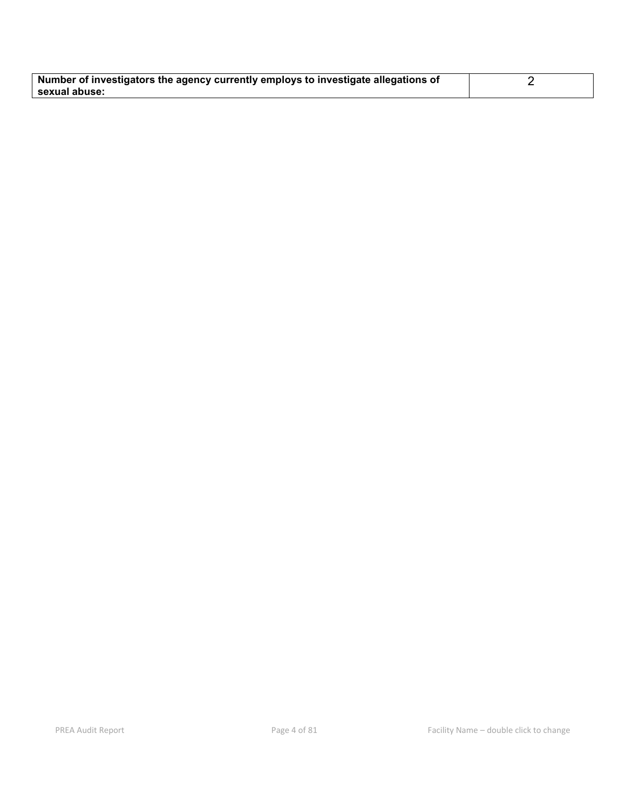| Number of investigators the agency currently employs to investigate allegations of |  |
|------------------------------------------------------------------------------------|--|
| sexual abuse:                                                                      |  |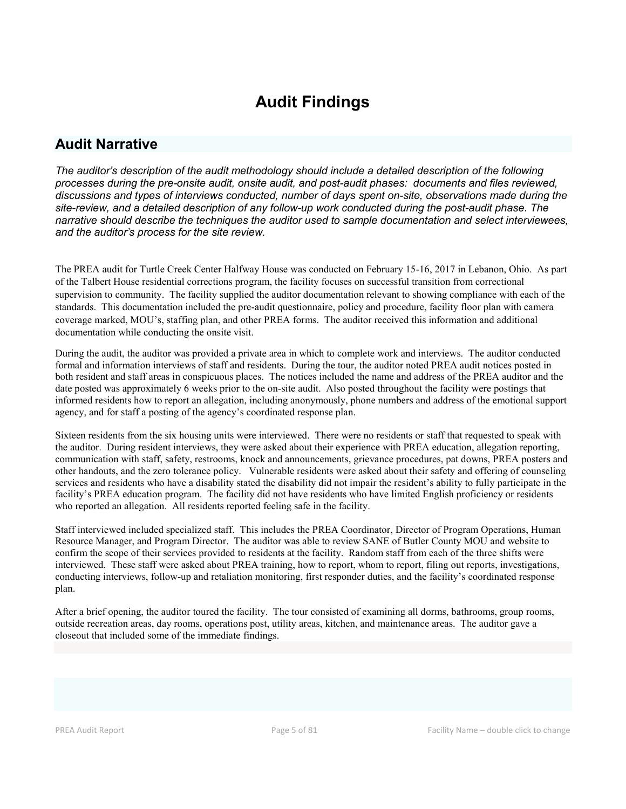# Audit Findings

# Audit Narrative

*The auditor's description of the audit methodology should include a detailed description of the following processes during the pre-onsite audit, onsite audit, and post-audit phases: documents and files reviewed, discussions and types of interviews conducted, number of days spent on-site, observations made during the site-review, and a detailed description of any follow-up work conducted during the post-audit phase. The narrative should describe the techniques the auditor used to sample documentation and select interviewees, and the auditor's process for the site review.*

The PREA audit for Turtle Creek Center Halfway House was conducted on February 15-16, 2017 in Lebanon, Ohio. As part of the Talbert House residential corrections program, the facility focuses on successful transition from correctional supervision to community. The facility supplied the auditor documentation relevant to showing compliance with each of the standards. This documentation included the pre-audit questionnaire, policy and procedure, facility floor plan with camera coverage marked, MOU's, staffing plan, and other PREA forms. The auditor received this information and additional documentation while conducting the onsite visit.

During the audit, the auditor was provided a private area in which to complete work and interviews. The auditor conducted formal and information interviews of staff and residents. During the tour, the auditor noted PREA audit notices posted in both resident and staff areas in conspicuous places. The notices included the name and address of the PREA auditor and the date posted was approximately 6 weeks prior to the on-site audit. Also posted throughout the facility were postings that informed residents how to report an allegation, including anonymously, phone numbers and address of the emotional support agency, and for staff a posting of the agency's coordinated response plan.

Sixteen residents from the six housing units were interviewed. There were no residents or staff that requested to speak with the auditor. During resident interviews, they were asked about their experience with PREA education, allegation reporting, communication with staff, safety, restrooms, knock and announcements, grievance procedures, pat downs, PREA posters and other handouts, and the zero tolerance policy. Vulnerable residents were asked about their safety and offering of counseling services and residents who have a disability stated the disability did not impair the resident's ability to fully participate in the facility's PREA education program. The facility did not have residents who have limited English proficiency or residents who reported an allegation. All residents reported feeling safe in the facility.

Staff interviewed included specialized staff. This includes the PREA Coordinator, Director of Program Operations, Human Resource Manager, and Program Director. The auditor was able to review SANE of Butler County MOU and website to confirm the scope of their services provided to residents at the facility. Random staff from each of the three shifts were interviewed. These staff were asked about PREA training, how to report, whom to report, filing out reports, investigations, conducting interviews, follow-up and retaliation monitoring, first responder duties, and the facility's coordinated response plan.

After a brief opening, the auditor toured the facility. The tour consisted of examining all dorms, bathrooms, group rooms, outside recreation areas, day rooms, operations post, utility areas, kitchen, and maintenance areas. The auditor gave a closeout that included some of the immediate findings.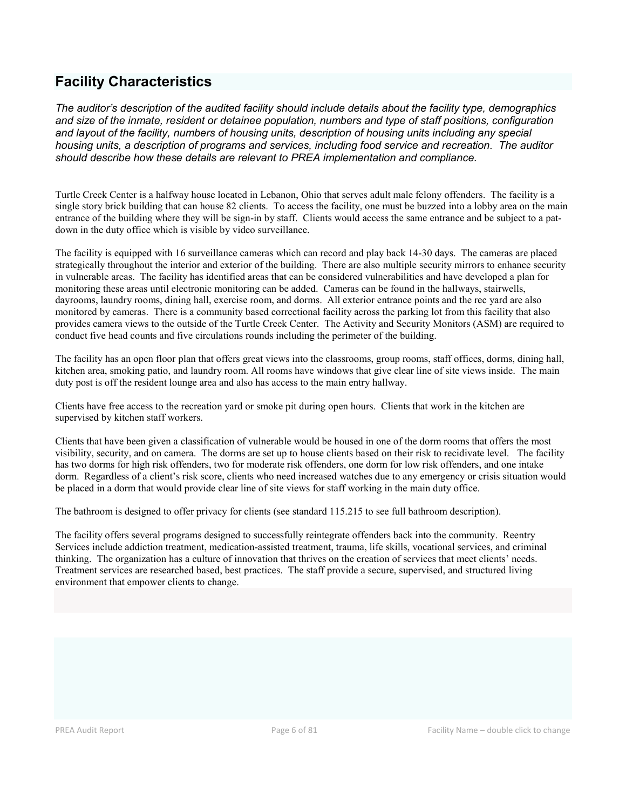# Facility Characteristics

*The auditor's description of the audited facility should include details about the facility type, demographics and size of the inmate, resident or detainee population, numbers and type of staff positions, configuration and layout of the facility, numbers of housing units, description of housing units including any special housing units, a description of programs and services, including food service and recreation. The auditor should describe how these details are relevant to PREA implementation and compliance.*

Turtle Creek Center is a halfway house located in Lebanon, Ohio that serves adult male felony offenders. The facility is a single story brick building that can house 82 clients. To access the facility, one must be buzzed into a lobby area on the main entrance of the building where they will be sign-in by staff. Clients would access the same entrance and be subject to a patdown in the duty office which is visible by video surveillance.

The facility is equipped with 16 surveillance cameras which can record and play back 14-30 days. The cameras are placed strategically throughout the interior and exterior of the building. There are also multiple security mirrors to enhance security in vulnerable areas. The facility has identified areas that can be considered vulnerabilities and have developed a plan for monitoring these areas until electronic monitoring can be added. Cameras can be found in the hallways, stairwells, dayrooms, laundry rooms, dining hall, exercise room, and dorms. All exterior entrance points and the rec yard are also monitored by cameras. There is a community based correctional facility across the parking lot from this facility that also provides camera views to the outside of the Turtle Creek Center. The Activity and Security Monitors (ASM) are required to conduct five head counts and five circulations rounds including the perimeter of the building.

The facility has an open floor plan that offers great views into the classrooms, group rooms, staff offices, dorms, dining hall, kitchen area, smoking patio, and laundry room. All rooms have windows that give clear line of site views inside. The main duty post is off the resident lounge area and also has access to the main entry hallway.

Clients have free access to the recreation yard or smoke pit during open hours. Clients that work in the kitchen are supervised by kitchen staff workers.

Clients that have been given a classification of vulnerable would be housed in one of the dorm rooms that offers the most visibility, security, and on camera. The dorms are set up to house clients based on their risk to recidivate level. The facility has two dorms for high risk offenders, two for moderate risk offenders, one dorm for low risk offenders, and one intake dorm. Regardless of a client's risk score, clients who need increased watches due to any emergency or crisis situation would be placed in a dorm that would provide clear line of site views for staff working in the main duty office.

The bathroom is designed to offer privacy for clients (see standard 115.215 to see full bathroom description).

The facility offers several programs designed to successfully reintegrate offenders back into the community. Reentry Services include addiction treatment, medication-assisted treatment, trauma, life skills, vocational services, and criminal thinking. The organization has a culture of innovation that thrives on the creation of services that meet clients' needs. Treatment services are researched based, best practices. The staff provide a secure, supervised, and structured living environment that empower clients to change.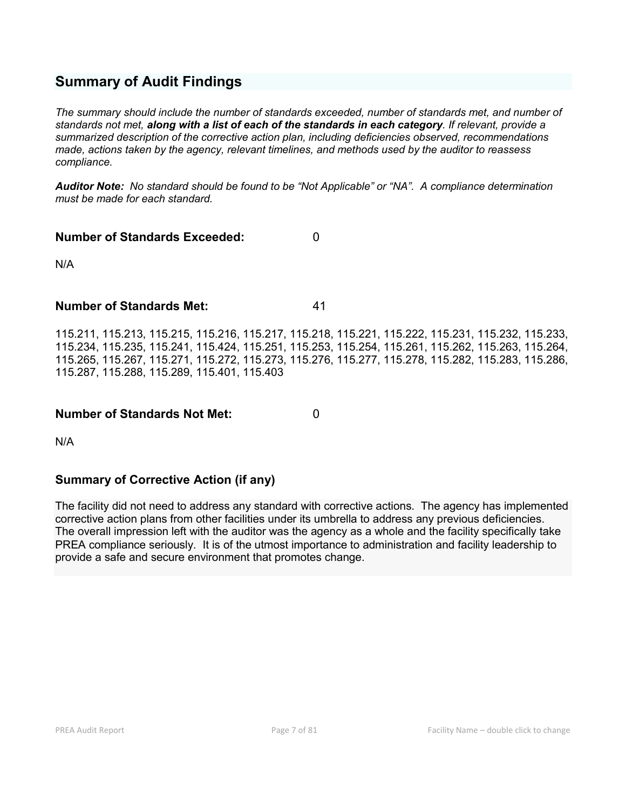# Summary of Audit Findings

*The summary should include the number of standards exceeded, number of standards met, and number of standards not met, along with a list of each of the standards in each category. If relevant, provide a summarized description of the corrective action plan, including deficiencies observed, recommendations made, actions taken by the agency, relevant timelines, and methods used by the auditor to reassess compliance.*

*Auditor Note: No standard should be found to be "Not Applicable" or "NA". A compliance determination must be made for each standard.*

# Number of Standards Exceeded: 0

N/A

# Number of Standards Met: 41

115.211, 115.213, 115.215, 115.216, 115.217, 115.218, 115.221, 115.222, 115.231, 115.232, 115.233, 115.234, 115.235, 115.241, 115.424, 115.251, 115.253, 115.254, 115.261, 115.262, 115.263, 115.264, 115.265, 115.267, 115.271, 115.272, 115.273, 115.276, 115.277, 115.278, 115.282, 115.283, 115.286, 115.287, 115.288, 115.289, 115.401, 115.403

# Number of Standards Not Met: 0

N/A

# Summary of Corrective Action (if any)

The facility did not need to address any standard with corrective actions. The agency has implemented corrective action plans from other facilities under its umbrella to address any previous deficiencies. The overall impression left with the auditor was the agency as a whole and the facility specifically take PREA compliance seriously. It is of the utmost importance to administration and facility leadership to provide a safe and secure environment that promotes change.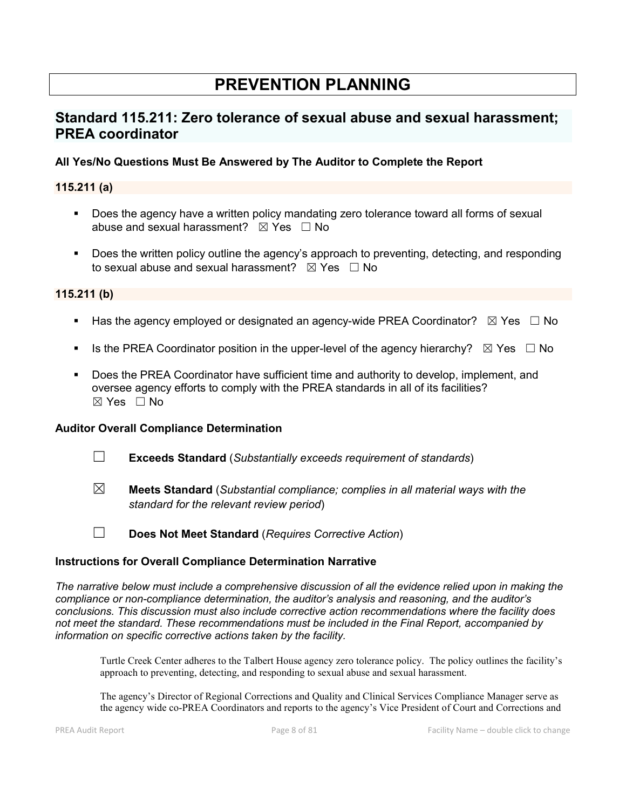# PREVENTION PLANNING

# Standard 115.211: Zero tolerance of sexual abuse and sexual harassment; PREA coordinator

# All Yes/No Questions Must Be Answered by The Auditor to Complete the Report

## 115.211 (a)

- Does the agency have a written policy mandating zero tolerance toward all forms of sexual abuse and sexual harassment?  $\boxtimes$  Yes  $\Box$  No
- Does the written policy outline the agency's approach to preventing, detecting, and responding to sexual abuse and sexual harassment?  $\boxtimes$  Yes  $\Box$  No

#### 115.211 (b)

- Has the agency employed or designated an agency-wide PREA Coordinator?  $\boxtimes$  Yes  $\Box$  No
- Is the PREA Coordinator position in the upper-level of the agency hierarchy?  $\boxtimes$  Yes  $\Box$  No
- **Does the PREA Coordinator have sufficient time and authority to develop, implement, and** oversee agency efforts to comply with the PREA standards in all of its facilities?  $\boxtimes$  Yes  $\Box$  No

#### Auditor Overall Compliance Determination

- ☐ Exceeds Standard (*Substantially exceeds requirement of standards*)
- ☒ Meets Standard (*Substantial compliance; complies in all material ways with the standard for the relevant review period*)
- ☐ Does Not Meet Standard (*Requires Corrective Action*)

#### Instructions for Overall Compliance Determination Narrative

*The narrative below must include a comprehensive discussion of all the evidence relied upon in making the compliance or non-compliance determination, the auditor's analysis and reasoning, and the auditor's conclusions. This discussion must also include corrective action recommendations where the facility does not meet the standard. These recommendations must be included in the Final Report, accompanied by information on specific corrective actions taken by the facility.*

Turtle Creek Center adheres to the Talbert House agency zero tolerance policy. The policy outlines the facility's approach to preventing, detecting, and responding to sexual abuse and sexual harassment.

The agency's Director of Regional Corrections and Quality and Clinical Services Compliance Manager serve as the agency wide co-PREA Coordinators and reports to the agency's Vice President of Court and Corrections and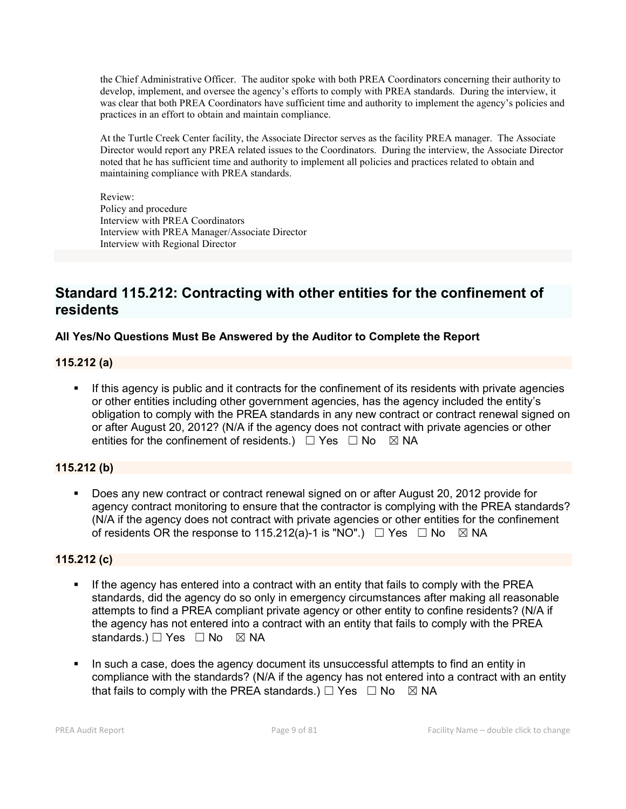the Chief Administrative Officer. The auditor spoke with both PREA Coordinators concerning their authority to develop, implement, and oversee the agency's efforts to comply with PREA standards. During the interview, it was clear that both PREA Coordinators have sufficient time and authority to implement the agency's policies and practices in an effort to obtain and maintain compliance.

At the Turtle Creek Center facility, the Associate Director serves as the facility PREA manager. The Associate Director would report any PREA related issues to the Coordinators. During the interview, the Associate Director noted that he has sufficient time and authority to implement all policies and practices related to obtain and maintaining compliance with PREA standards.

Review: Policy and procedure Interview with PREA Coordinators Interview with PREA Manager/Associate Director Interview with Regional Director

# Standard 115.212: Contracting with other entities for the confinement of residents

# All Yes/No Questions Must Be Answered by the Auditor to Complete the Report

# 115.212 (a)

 If this agency is public and it contracts for the confinement of its residents with private agencies or other entities including other government agencies, has the agency included the entity's obligation to comply with the PREA standards in any new contract or contract renewal signed on or after August 20, 2012? (N/A if the agency does not contract with private agencies or other entities for the confinement of residents.)  $\Box$  Yes  $\Box$  No  $\boxtimes$  NA

# 115.212 (b)

 Does any new contract or contract renewal signed on or after August 20, 2012 provide for agency contract monitoring to ensure that the contractor is complying with the PREA standards? (N/A if the agency does not contract with private agencies or other entities for the confinement of residents OR the response to 115.212(a)-1 is "NO".)  $\Box$  Yes  $\Box$  No  $\boxtimes$  NA

# 115.212 (c)

- If the agency has entered into a contract with an entity that fails to comply with the PREA standards, did the agency do so only in emergency circumstances after making all reasonable attempts to find a PREA compliant private agency or other entity to confine residents? (N/A if the agency has not entered into a contract with an entity that fails to comply with the PREA standards.) □ Yes □ No ⊠ NA
- In such a case, does the agency document its unsuccessful attempts to find an entity in compliance with the standards? (N/A if the agency has not entered into a contract with an entity that fails to comply with the PREA standards.)  $\Box$  Yes  $\Box$  No  $\boxtimes$  NA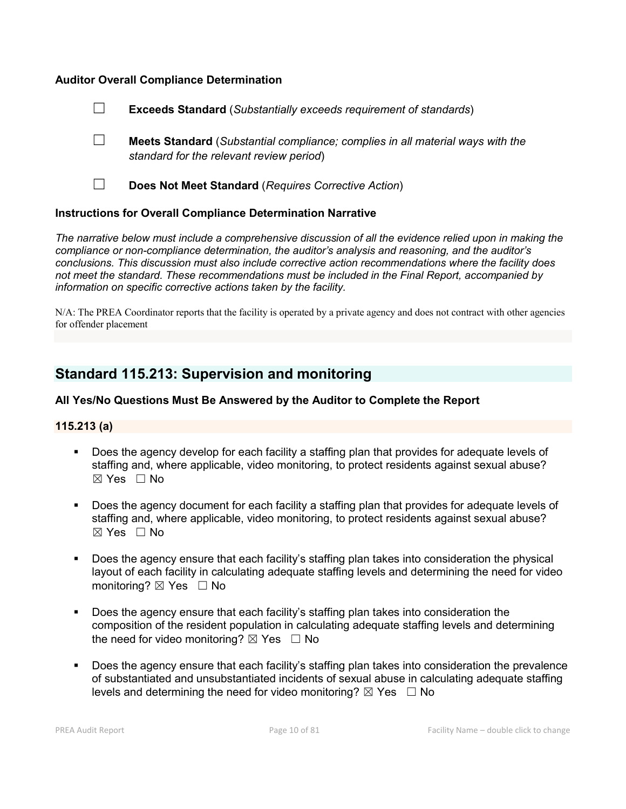## Auditor Overall Compliance Determination



- ☐ Meets Standard (*Substantial compliance; complies in all material ways with the standard for the relevant review period*)
- 

☐ Does Not Meet Standard (*Requires Corrective Action*)

#### Instructions for Overall Compliance Determination Narrative

*The narrative below must include a comprehensive discussion of all the evidence relied upon in making the compliance or non-compliance determination, the auditor's analysis and reasoning, and the auditor's conclusions. This discussion must also include corrective action recommendations where the facility does not meet the standard. These recommendations must be included in the Final Report, accompanied by information on specific corrective actions taken by the facility.*

N/A: The PREA Coordinator reports that the facility is operated by a private agency and does not contract with other agencies for offender placement

# Standard 115.213: Supervision and monitoring

## All Yes/No Questions Must Be Answered by the Auditor to Complete the Report

#### 115.213 (a)

- Does the agency develop for each facility a staffing plan that provides for adequate levels of staffing and, where applicable, video monitoring, to protect residents against sexual abuse?  $\boxtimes$  Yes  $\Box$  No
- **Does the agency document for each facility a staffing plan that provides for adequate levels of** staffing and, where applicable, video monitoring, to protect residents against sexual abuse?  $\boxtimes$  Yes  $\Box$  No
- Does the agency ensure that each facility's staffing plan takes into consideration the physical layout of each facility in calculating adequate staffing levels and determining the need for video monitoring?  $\boxtimes$  Yes  $\Box$  No
- Does the agency ensure that each facility's staffing plan takes into consideration the composition of the resident population in calculating adequate staffing levels and determining the need for video monitoring?  $\boxtimes$  Yes  $\Box$  No
- Does the agency ensure that each facility's staffing plan takes into consideration the prevalence of substantiated and unsubstantiated incidents of sexual abuse in calculating adequate staffing levels and determining the need for video monitoring?  $\boxtimes$  Yes  $\Box$  No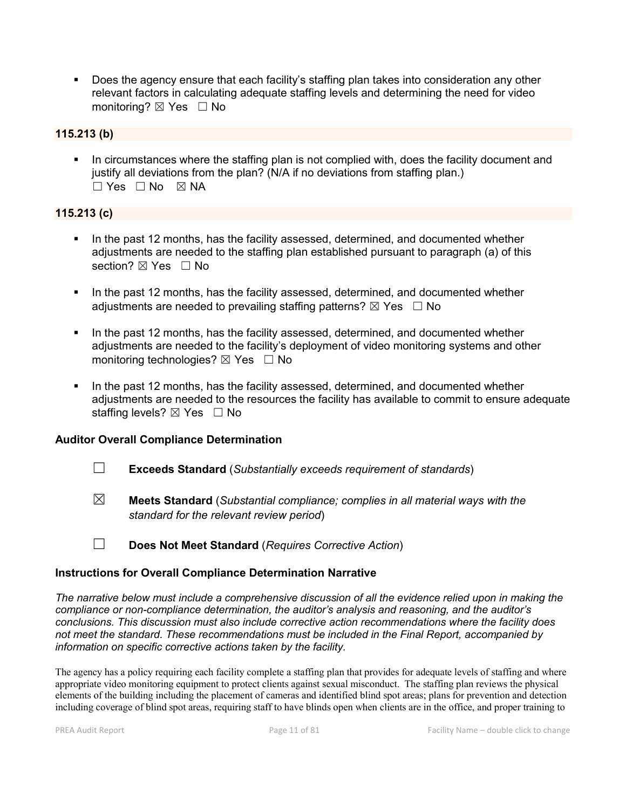Does the agency ensure that each facility's staffing plan takes into consideration any other relevant factors in calculating adequate staffing levels and determining the need for video monitoring? ⊠ Yes □ No

# 115.213 (b)

 In circumstances where the staffing plan is not complied with, does the facility document and justify all deviations from the plan? (N/A if no deviations from staffing plan.)  $\Box$  Yes  $\Box$  No  $\boxtimes$  NA

#### 115.213 (c)

- In the past 12 months, has the facility assessed, determined, and documented whether adjustments are needed to the staffing plan established pursuant to paragraph (a) of this section? ⊠ Yes □ No
- In the past 12 months, has the facility assessed, determined, and documented whether adjustments are needed to prevailing staffing patterns?  $\boxtimes$  Yes  $\Box$  No
- In the past 12 months, has the facility assessed, determined, and documented whether adjustments are needed to the facility's deployment of video monitoring systems and other monitoring technologies?  $\boxtimes$  Yes  $\Box$  No
- In the past 12 months, has the facility assessed, determined, and documented whether adjustments are needed to the resources the facility has available to commit to ensure adequate staffing levels? ⊠ Yes □ No

#### Auditor Overall Compliance Determination

- ☐ Exceeds Standard (*Substantially exceeds requirement of standards*)
- ☒ Meets Standard (*Substantial compliance; complies in all material ways with the standard for the relevant review period*)
- ☐ Does Not Meet Standard (*Requires Corrective Action*)

#### Instructions for Overall Compliance Determination Narrative

*The narrative below must include a comprehensive discussion of all the evidence relied upon in making the compliance or non-compliance determination, the auditor's analysis and reasoning, and the auditor's conclusions. This discussion must also include corrective action recommendations where the facility does not meet the standard. These recommendations must be included in the Final Report, accompanied by information on specific corrective actions taken by the facility.*

The agency has a policy requiring each facility complete a staffing plan that provides for adequate levels of staffing and where appropriate video monitoring equipment to protect clients against sexual misconduct. The staffing plan reviews the physical elements of the building including the placement of cameras and identified blind spot areas; plans for prevention and detection including coverage of blind spot areas, requiring staff to have blinds open when clients are in the office, and proper training to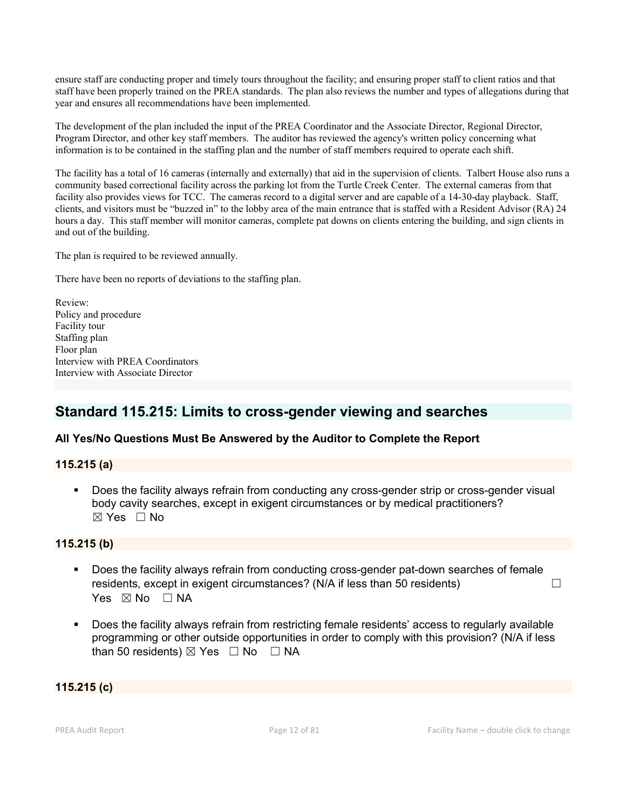ensure staff are conducting proper and timely tours throughout the facility; and ensuring proper staff to client ratios and that staff have been properly trained on the PREA standards. The plan also reviews the number and types of allegations during that year and ensures all recommendations have been implemented.

The development of the plan included the input of the PREA Coordinator and the Associate Director, Regional Director, Program Director, and other key staff members. The auditor has reviewed the agency's written policy concerning what information is to be contained in the staffing plan and the number of staff members required to operate each shift.

The facility has a total of 16 cameras (internally and externally) that aid in the supervision of clients. Talbert House also runs a community based correctional facility across the parking lot from the Turtle Creek Center. The external cameras from that facility also provides views for TCC. The cameras record to a digital server and are capable of a 14-30-day playback. Staff, clients, and visitors must be "buzzed in" to the lobby area of the main entrance that is staffed with a Resident Advisor (RA) 24 hours a day. This staff member will monitor cameras, complete pat downs on clients entering the building, and sign clients in and out of the building.

The plan is required to be reviewed annually.

There have been no reports of deviations to the staffing plan.

Review: Policy and procedure Facility tour Staffing plan Floor plan Interview with PREA Coordinators Interview with Associate Director

# Standard 115.215: Limits to cross-gender viewing and searches

# All Yes/No Questions Must Be Answered by the Auditor to Complete the Report

115.215 (a)

 Does the facility always refrain from conducting any cross-gender strip or cross-gender visual body cavity searches, except in exigent circumstances or by medical practitioners? ☒ Yes ☐ No

#### 115.215 (b)

- Does the facility always refrain from conducting cross-gender pat-down searches of female residents, except in exigent circumstances? (N/A if less than 50 residents)  $\hfill\Box$ Yes  $\boxtimes$  No  $\Box$  NA
- Does the facility always refrain from restricting female residents' access to regularly available programming or other outside opportunities in order to comply with this provision? (N/A if less than 50 residents)  $\boxtimes$  Yes  $\Box$  No  $\Box$  NA

#### 115.215 (c)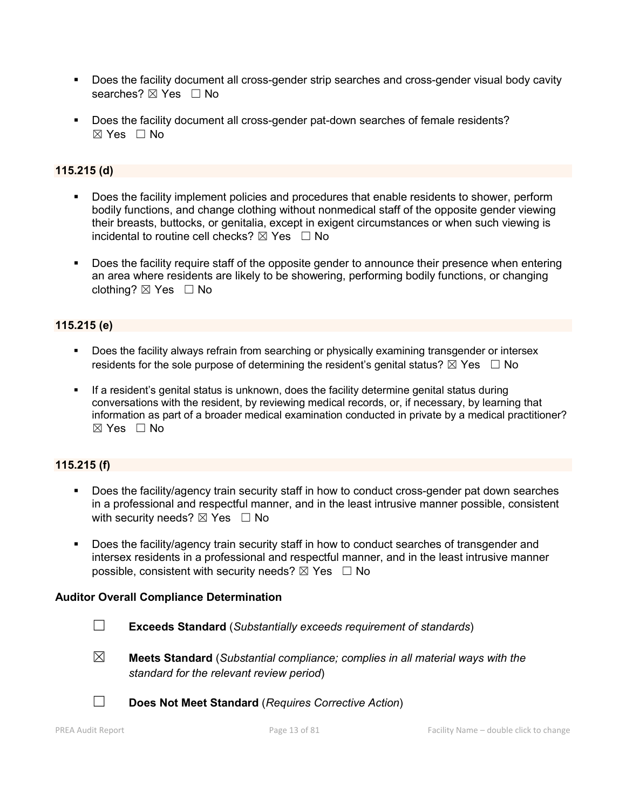- Does the facility document all cross-gender strip searches and cross-gender visual body cavity searches? ⊠ Yes □ No
- Does the facility document all cross-gender pat-down searches of female residents?  $\boxtimes$  Yes  $\Box$  No

# 115.215 (d)

- Does the facility implement policies and procedures that enable residents to shower, perform bodily functions, and change clothing without nonmedical staff of the opposite gender viewing their breasts, buttocks, or genitalia, except in exigent circumstances or when such viewing is incidental to routine cell checks?  $\boxtimes$  Yes  $\Box$  No
- **Does the facility require staff of the opposite gender to announce their presence when entering** an area where residents are likely to be showering, performing bodily functions, or changing clothing?  $\boxtimes$  Yes  $\Box$  No

# 115.215 (e)

- Does the facility always refrain from searching or physically examining transgender or intersex residents for the sole purpose of determining the resident's genital status?  $\boxtimes$  Yes  $\Box$  No
- If a resident's genital status is unknown, does the facility determine genital status during conversations with the resident, by reviewing medical records, or, if necessary, by learning that information as part of a broader medical examination conducted in private by a medical practitioner?  $\boxtimes$  Yes  $\Box$  No

# 115.215 (f)

- Does the facility/agency train security staff in how to conduct cross-gender pat down searches in a professional and respectful manner, and in the least intrusive manner possible, consistent with security needs?  $\boxtimes$  Yes  $\Box$  No
- Does the facility/agency train security staff in how to conduct searches of transgender and intersex residents in a professional and respectful manner, and in the least intrusive manner possible, consistent with security needs?  $\boxtimes$  Yes  $\Box$  No

# Auditor Overall Compliance Determination

- ☐ Exceeds Standard (*Substantially exceeds requirement of standards*)
- ☒ Meets Standard (*Substantial compliance; complies in all material ways with the standard for the relevant review period*)
- ☐ Does Not Meet Standard (*Requires Corrective Action*)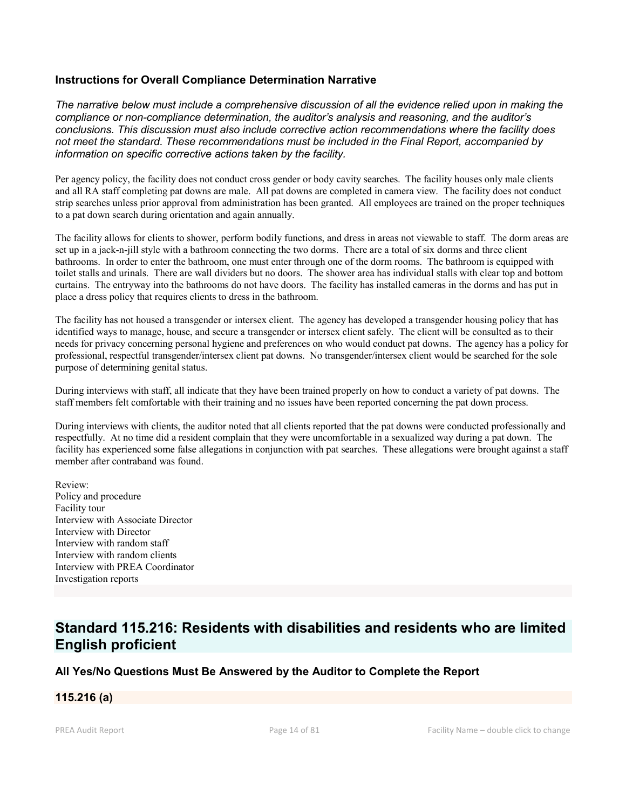#### Instructions for Overall Compliance Determination Narrative

*The narrative below must include a comprehensive discussion of all the evidence relied upon in making the compliance or non-compliance determination, the auditor's analysis and reasoning, and the auditor's conclusions. This discussion must also include corrective action recommendations where the facility does not meet the standard. These recommendations must be included in the Final Report, accompanied by information on specific corrective actions taken by the facility.*

Per agency policy, the facility does not conduct cross gender or body cavity searches. The facility houses only male clients and all RA staff completing pat downs are male. All pat downs are completed in camera view. The facility does not conduct strip searches unless prior approval from administration has been granted. All employees are trained on the proper techniques to a pat down search during orientation and again annually.

The facility allows for clients to shower, perform bodily functions, and dress in areas not viewable to staff. The dorm areas are set up in a jack-n-jill style with a bathroom connecting the two dorms. There are a total of six dorms and three client bathrooms. In order to enter the bathroom, one must enter through one of the dorm rooms. The bathroom is equipped with toilet stalls and urinals. There are wall dividers but no doors. The shower area has individual stalls with clear top and bottom curtains. The entryway into the bathrooms do not have doors. The facility has installed cameras in the dorms and has put in place a dress policy that requires clients to dress in the bathroom.

The facility has not housed a transgender or intersex client. The agency has developed a transgender housing policy that has identified ways to manage, house, and secure a transgender or intersex client safely. The client will be consulted as to their needs for privacy concerning personal hygiene and preferences on who would conduct pat downs. The agency has a policy for professional, respectful transgender/intersex client pat downs. No transgender/intersex client would be searched for the sole purpose of determining genital status.

During interviews with staff, all indicate that they have been trained properly on how to conduct a variety of pat downs. The staff members felt comfortable with their training and no issues have been reported concerning the pat down process.

During interviews with clients, the auditor noted that all clients reported that the pat downs were conducted professionally and respectfully. At no time did a resident complain that they were uncomfortable in a sexualized way during a pat down. The facility has experienced some false allegations in conjunction with pat searches. These allegations were brought against a staff member after contraband was found.

Review: Policy and procedure Facility tour Interview with Associate Director Interview with Director Interview with random staff Interview with random clients Interview with PREA Coordinator Investigation reports

# Standard 115.216: Residents with disabilities and residents who are limited English proficient

# All Yes/No Questions Must Be Answered by the Auditor to Complete the Report

# 115.216 (a)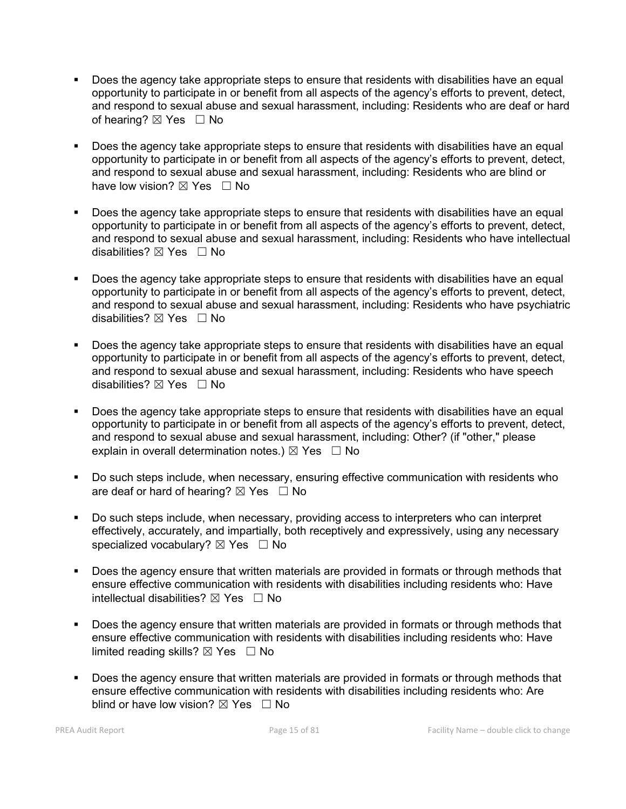- Does the agency take appropriate steps to ensure that residents with disabilities have an equal opportunity to participate in or benefit from all aspects of the agency's efforts to prevent, detect, and respond to sexual abuse and sexual harassment, including: Residents who are deaf or hard of hearing? ⊠ Yes □ No
- **Does the agency take appropriate steps to ensure that residents with disabilities have an equal** opportunity to participate in or benefit from all aspects of the agency's efforts to prevent, detect, and respond to sexual abuse and sexual harassment, including: Residents who are blind or have low vision?  $\boxtimes$  Yes  $\Box$  No
- Does the agency take appropriate steps to ensure that residents with disabilities have an equal opportunity to participate in or benefit from all aspects of the agency's efforts to prevent, detect, and respond to sexual abuse and sexual harassment, including: Residents who have intellectual disabilities?  $\boxtimes$  Yes  $\Box$  No
- Does the agency take appropriate steps to ensure that residents with disabilities have an equal opportunity to participate in or benefit from all aspects of the agency's efforts to prevent, detect, and respond to sexual abuse and sexual harassment, including: Residents who have psychiatric disabilities?  $\boxtimes$  Yes  $\Box$  No
- Does the agency take appropriate steps to ensure that residents with disabilities have an equal opportunity to participate in or benefit from all aspects of the agency's efforts to prevent, detect, and respond to sexual abuse and sexual harassment, including: Residents who have speech disabilities?  $\boxtimes$  Yes  $\Box$  No
- Does the agency take appropriate steps to ensure that residents with disabilities have an equal opportunity to participate in or benefit from all aspects of the agency's efforts to prevent, detect, and respond to sexual abuse and sexual harassment, including: Other? (if "other," please explain in overall determination notes.)  $\boxtimes$  Yes  $\Box$  No
- Do such steps include, when necessary, ensuring effective communication with residents who are deaf or hard of hearing?  $\boxtimes$  Yes  $\Box$  No
- Do such steps include, when necessary, providing access to interpreters who can interpret effectively, accurately, and impartially, both receptively and expressively, using any necessary specialized vocabulary?  $\boxtimes$  Yes  $\Box$  No
- Does the agency ensure that written materials are provided in formats or through methods that ensure effective communication with residents with disabilities including residents who: Have intellectual disabilities?  $\boxtimes$  Yes  $\Box$  No
- Does the agency ensure that written materials are provided in formats or through methods that ensure effective communication with residents with disabilities including residents who: Have limited reading skills?  $\boxtimes$  Yes  $\Box$  No
- Does the agency ensure that written materials are provided in formats or through methods that ensure effective communication with residents with disabilities including residents who: Are blind or have low vision?  $\boxtimes$  Yes  $\Box$  No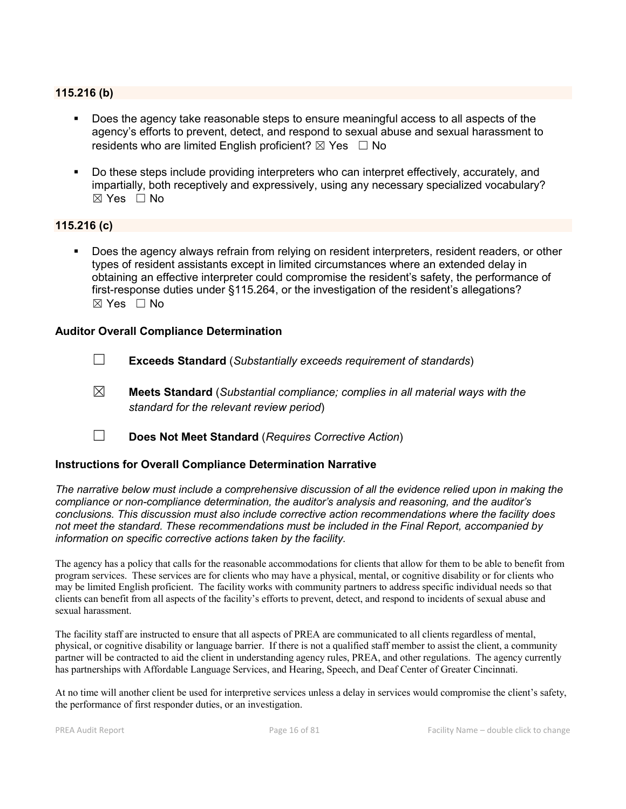# 115.216 (b)

- Does the agency take reasonable steps to ensure meaningful access to all aspects of the agency's efforts to prevent, detect, and respond to sexual abuse and sexual harassment to residents who are limited English proficient?  $\boxtimes$  Yes  $\Box$  No
- Do these steps include providing interpreters who can interpret effectively, accurately, and impartially, both receptively and expressively, using any necessary specialized vocabulary? ☒ Yes ☐ No

#### 115.216 (c)

 Does the agency always refrain from relying on resident interpreters, resident readers, or other types of resident assistants except in limited circumstances where an extended delay in obtaining an effective interpreter could compromise the resident's safety, the performance of first-response duties under §115.264, or the investigation of the resident's allegations? ☒ Yes ☐ No

#### Auditor Overall Compliance Determination

- ☐ Exceeds Standard (*Substantially exceeds requirement of standards*)
- ☒ Meets Standard (*Substantial compliance; complies in all material ways with the standard for the relevant review period*)
- ☐ Does Not Meet Standard (*Requires Corrective Action*)

#### Instructions for Overall Compliance Determination Narrative

*The narrative below must include a comprehensive discussion of all the evidence relied upon in making the compliance or non-compliance determination, the auditor's analysis and reasoning, and the auditor's conclusions. This discussion must also include corrective action recommendations where the facility does not meet the standard. These recommendations must be included in the Final Report, accompanied by information on specific corrective actions taken by the facility.*

The agency has a policy that calls for the reasonable accommodations for clients that allow for them to be able to benefit from program services. These services are for clients who may have a physical, mental, or cognitive disability or for clients who may be limited English proficient. The facility works with community partners to address specific individual needs so that clients can benefit from all aspects of the facility's efforts to prevent, detect, and respond to incidents of sexual abuse and sexual harassment.

The facility staff are instructed to ensure that all aspects of PREA are communicated to all clients regardless of mental, physical, or cognitive disability or language barrier. If there is not a qualified staff member to assist the client, a community partner will be contracted to aid the client in understanding agency rules, PREA, and other regulations. The agency currently has partnerships with Affordable Language Services, and Hearing, Speech, and Deaf Center of Greater Cincinnati.

At no time will another client be used for interpretive services unless a delay in services would compromise the client's safety, the performance of first responder duties, or an investigation.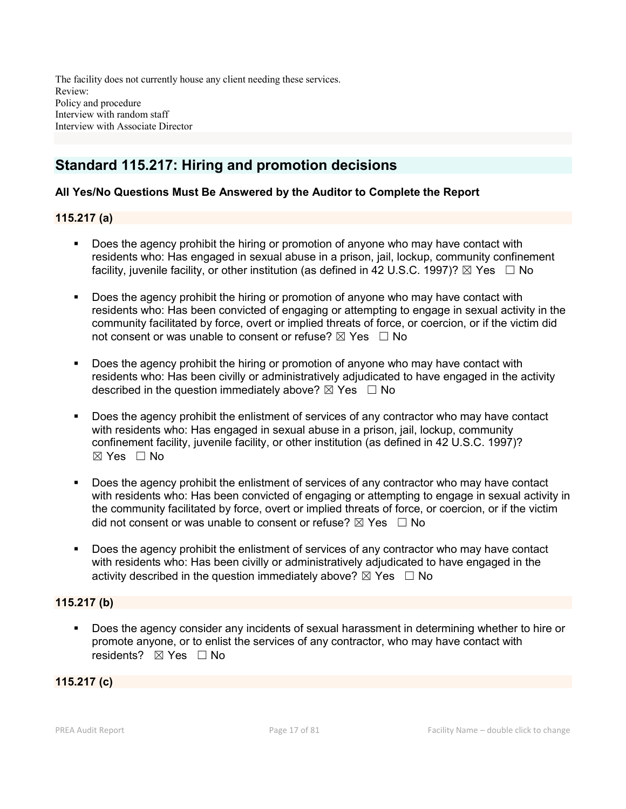The facility does not currently house any client needing these services. Review: Policy and procedure Interview with random staff Interview with Associate Director

# Standard 115.217: Hiring and promotion decisions

# All Yes/No Questions Must Be Answered by the Auditor to Complete the Report

# 115.217 (a)

- **Does the agency prohibit the hiring or promotion of anyone who may have contact with** residents who: Has engaged in sexual abuse in a prison, jail, lockup, community confinement facility, juvenile facility, or other institution (as defined in 42 U.S.C. 1997)?  $\boxtimes$  Yes  $\Box$  No
- **Does the agency prohibit the hiring or promotion of anyone who may have contact with** residents who: Has been convicted of engaging or attempting to engage in sexual activity in the community facilitated by force, overt or implied threats of force, or coercion, or if the victim did not consent or was unable to consent or refuse?  $\boxtimes$  Yes  $\Box$  No
- Does the agency prohibit the hiring or promotion of anyone who may have contact with residents who: Has been civilly or administratively adjudicated to have engaged in the activity described in the question immediately above?  $\boxtimes$  Yes  $\Box$  No
- Does the agency prohibit the enlistment of services of any contractor who may have contact with residents who: Has engaged in sexual abuse in a prison, jail, lockup, community confinement facility, juvenile facility, or other institution (as defined in 42 U.S.C. 1997)?  $\boxtimes$  Yes  $\Box$  No
- Does the agency prohibit the enlistment of services of any contractor who may have contact with residents who: Has been convicted of engaging or attempting to engage in sexual activity in the community facilitated by force, overt or implied threats of force, or coercion, or if the victim did not consent or was unable to consent or refuse?  $\boxtimes$  Yes  $\Box$  No
- Does the agency prohibit the enlistment of services of any contractor who may have contact with residents who: Has been civilly or administratively adjudicated to have engaged in the activity described in the question immediately above?  $\boxtimes$  Yes  $\Box$  No

# 115.217 (b)

 Does the agency consider any incidents of sexual harassment in determining whether to hire or promote anyone, or to enlist the services of any contractor, who may have contact with residents?  $⊠$  Yes  $□$  No

# 115.217 (c)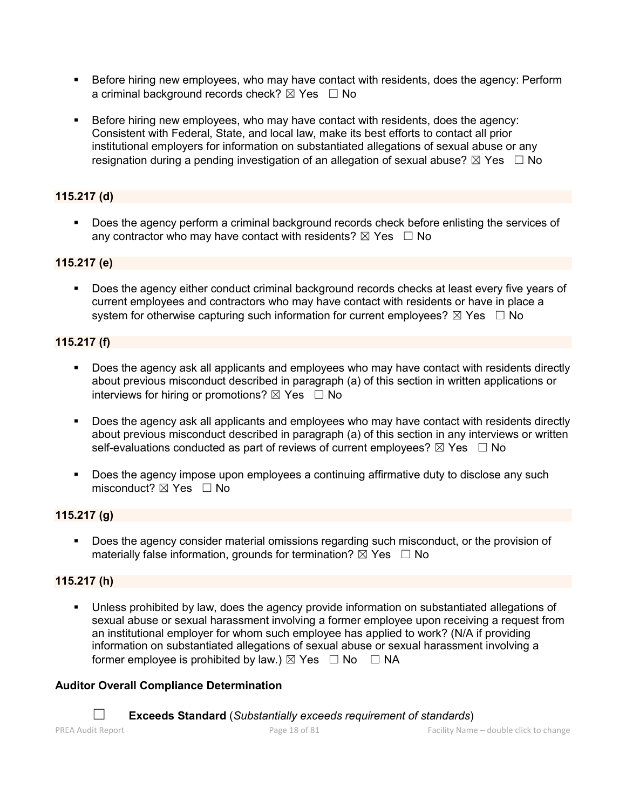- Before hiring new employees, who may have contact with residents, does the agency: Perform a criminal background records check?  $\boxtimes$  Yes  $\Box$  No
- Before hiring new employees, who may have contact with residents, does the agency: Consistent with Federal, State, and local law, make its best efforts to contact all prior institutional employers for information on substantiated allegations of sexual abuse or any resignation during a pending investigation of an allegation of sexual abuse?  $\boxtimes$  Yes  $\Box$  No

# 115.217 (d)

Does the agency perform a criminal background records check before enlisting the services of any contractor who may have contact with residents?  $\boxtimes$  Yes  $\Box$  No

# 115.217 (e)

 Does the agency either conduct criminal background records checks at least every five years of current employees and contractors who may have contact with residents or have in place a system for otherwise capturing such information for current employees?  $\boxtimes$  Yes  $\Box$  No

# 115.217 (f)

- Does the agency ask all applicants and employees who may have contact with residents directly about previous misconduct described in paragraph (a) of this section in written applications or interviews for hiring or promotions?  $\boxtimes$  Yes  $\Box$  No
- **Does the agency ask all applicants and employees who may have contact with residents directly** about previous misconduct described in paragraph (a) of this section in any interviews or written self-evaluations conducted as part of reviews of current employees?  $\boxtimes$  Yes  $\Box$  No
- Does the agency impose upon employees a continuing affirmative duty to disclose any such misconduct?  $\boxtimes$  Yes  $\Box$  No

# 115.217 (g)

 Does the agency consider material omissions regarding such misconduct, or the provision of materially false information, grounds for termination?  $\boxtimes$  Yes  $\Box$  No

# 115.217 (h)

 Unless prohibited by law, does the agency provide information on substantiated allegations of sexual abuse or sexual harassment involving a former employee upon receiving a request from an institutional employer for whom such employee has applied to work? (N/A if providing information on substantiated allegations of sexual abuse or sexual harassment involving a former employee is prohibited by law.)  $\boxtimes$  Yes  $\Box$  No  $\Box$  NA

# Auditor Overall Compliance Determination

☐ Exceeds Standard (*Substantially exceeds requirement of standards*)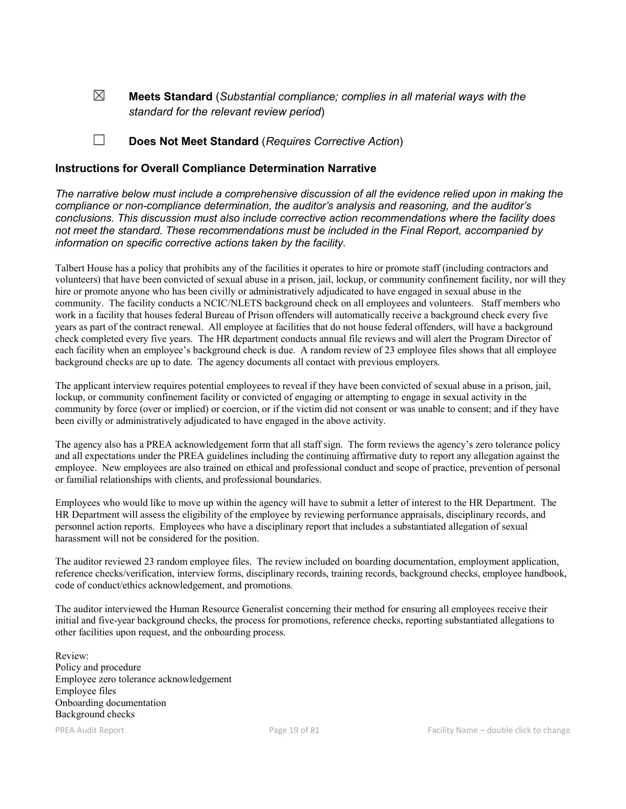☒ Meets Standard (*Substantial compliance; complies in all material ways with the standard for the relevant review period*)

## ☐ Does Not Meet Standard (*Requires Corrective Action*)

#### Instructions for Overall Compliance Determination Narrative

*The narrative below must include a comprehensive discussion of all the evidence relied upon in making the compliance or non-compliance determination, the auditor's analysis and reasoning, and the auditor's conclusions. This discussion must also include corrective action recommendations where the facility does not meet the standard. These recommendations must be included in the Final Report, accompanied by information on specific corrective actions taken by the facility.*

Talbert House has a policy that prohibits any of the facilities it operates to hire or promote staff (including contractors and volunteers) that have been convicted of sexual abuse in a prison, jail, lockup, or community confinement facility, nor will they hire or promote anyone who has been civilly or administratively adjudicated to have engaged in sexual abuse in the community. The facility conducts a NCIC/NLETS background check on all employees and volunteers. Staff members who work in a facility that houses federal Bureau of Prison offenders will automatically receive a background check every five years as part of the contract renewal. All employee at facilities that do not house federal offenders, will have a background check completed every five years. The HR department conducts annual file reviews and will alert the Program Director of each facility when an employee's background check is due. A random review of 23 employee files shows that all employee background checks are up to date. The agency documents all contact with previous employers.

The applicant interview requires potential employees to reveal if they have been convicted of sexual abuse in a prison, jail, lockup, or community confinement facility or convicted of engaging or attempting to engage in sexual activity in the community by force (over or implied) or coercion, or if the victim did not consent or was unable to consent; and if they have been civilly or administratively adjudicated to have engaged in the above activity.

The agency also has a PREA acknowledgement form that all staff sign. The form reviews the agency's zero tolerance policy and all expectations under the PREA guidelines including the continuing affirmative duty to report any allegation against the employee. New employees are also trained on ethical and professional conduct and scope of practice, prevention of personal or familial relationships with clients, and professional boundaries.

Employees who would like to move up within the agency will have to submit a letter of interest to the HR Department. The HR Department will assess the eligibility of the employee by reviewing performance appraisals, disciplinary records, and personnel action reports. Employees who have a disciplinary report that includes a substantiated allegation of sexual harassment will not be considered for the position.

The auditor reviewed 23 random employee files. The review included on boarding documentation, employment application, reference checks/verification, interview forms, disciplinary records, training records, background checks, employee handbook, code of conduct/ethics acknowledgement, and promotions.

The auditor interviewed the Human Resource Generalist concerning their method for ensuring all employees receive their initial and five-year background checks, the process for promotions, reference checks, reporting substantiated allegations to other facilities upon request, and the onboarding process.

Review: Policy and procedure Employee zero tolerance acknowledgement Employee files Onboarding documentation Background checks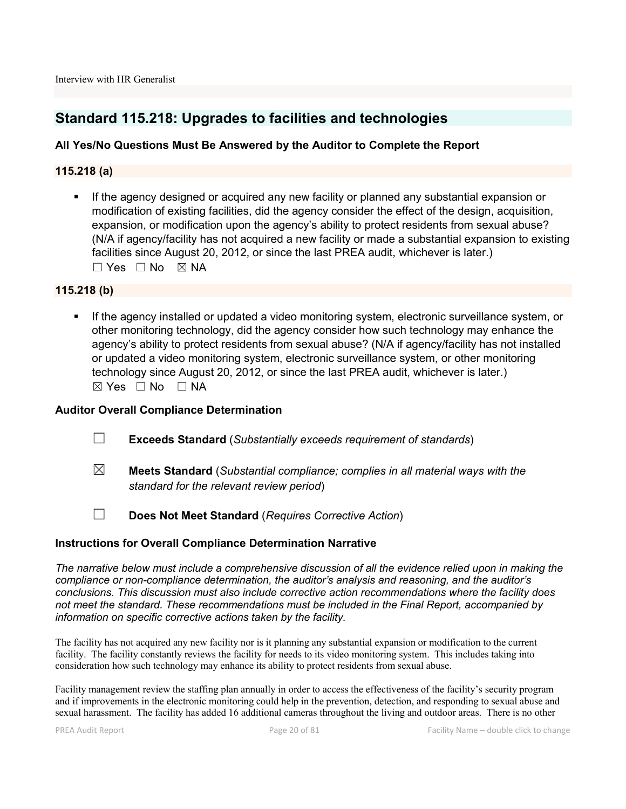# Standard 115.218: Upgrades to facilities and technologies

# All Yes/No Questions Must Be Answered by the Auditor to Complete the Report

# 115.218 (a)

**If the agency designed or acquired any new facility or planned any substantial expansion or** modification of existing facilities, did the agency consider the effect of the design, acquisition, expansion, or modification upon the agency's ability to protect residents from sexual abuse? (N/A if agency/facility has not acquired a new facility or made a substantial expansion to existing facilities since August 20, 2012, or since the last PREA audit, whichever is later.)  $\square$  Yes  $\square$  No  $\square$  NA

#### 115.218 (b)

If the agency installed or updated a video monitoring system, electronic surveillance system, or other monitoring technology, did the agency consider how such technology may enhance the agency's ability to protect residents from sexual abuse? (N/A if agency/facility has not installed or updated a video monitoring system, electronic surveillance system, or other monitoring technology since August 20, 2012, or since the last PREA audit, whichever is later.) ☒ Yes ☐ No ☐ NA

#### Auditor Overall Compliance Determination

- ☐ Exceeds Standard (*Substantially exceeds requirement of standards*)
- ☒ Meets Standard (*Substantial compliance; complies in all material ways with the standard for the relevant review period*)
- ☐ Does Not Meet Standard (*Requires Corrective Action*)

# Instructions for Overall Compliance Determination Narrative

*The narrative below must include a comprehensive discussion of all the evidence relied upon in making the compliance or non-compliance determination, the auditor's analysis and reasoning, and the auditor's conclusions. This discussion must also include corrective action recommendations where the facility does not meet the standard. These recommendations must be included in the Final Report, accompanied by information on specific corrective actions taken by the facility.*

The facility has not acquired any new facility nor is it planning any substantial expansion or modification to the current facility. The facility constantly reviews the facility for needs to its video monitoring system. This includes taking into consideration how such technology may enhance its ability to protect residents from sexual abuse.

Facility management review the staffing plan annually in order to access the effectiveness of the facility's security program and if improvements in the electronic monitoring could help in the prevention, detection, and responding to sexual abuse and sexual harassment. The facility has added 16 additional cameras throughout the living and outdoor areas. There is no other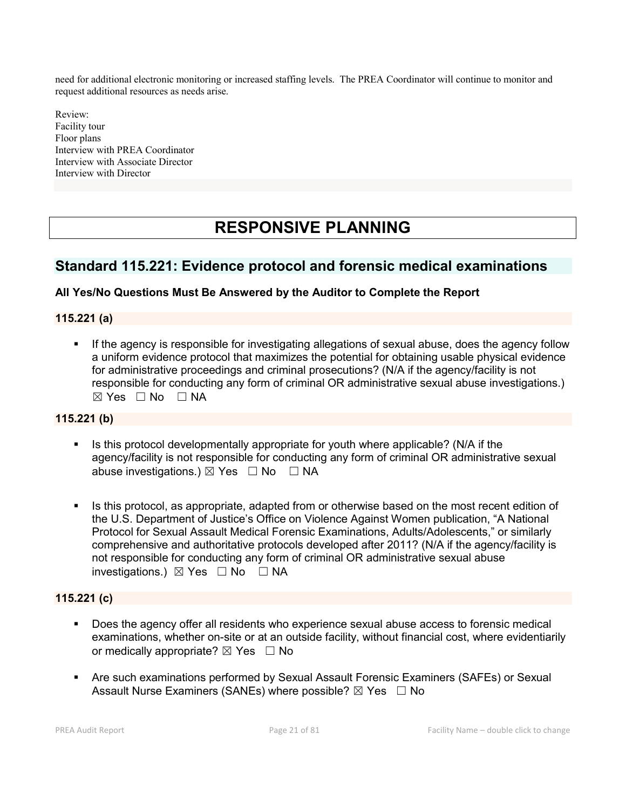need for additional electronic monitoring or increased staffing levels. The PREA Coordinator will continue to monitor and request additional resources as needs arise.

Review: Facility tour Floor plans Interview with PREA Coordinator Interview with Associate Director Interview with Director

# RESPONSIVE PLANNING

# Standard 115.221: Evidence protocol and forensic medical examinations

# All Yes/No Questions Must Be Answered by the Auditor to Complete the Report

# 115.221 (a)

If the agency is responsible for investigating allegations of sexual abuse, does the agency follow a uniform evidence protocol that maximizes the potential for obtaining usable physical evidence for administrative proceedings and criminal prosecutions? (N/A if the agency/facility is not responsible for conducting any form of criminal OR administrative sexual abuse investigations.)  $\boxtimes$  Yes  $\Box$  No  $\Box$  NA

# 115.221 (b)

- Is this protocol developmentally appropriate for youth where applicable? (N/A if the agency/facility is not responsible for conducting any form of criminal OR administrative sexual abuse investigations.)  $\boxtimes$  Yes  $\Box$  No  $\Box$  NA
- Is this protocol, as appropriate, adapted from or otherwise based on the most recent edition of the U.S. Department of Justice's Office on Violence Against Women publication, "A National Protocol for Sexual Assault Medical Forensic Examinations, Adults/Adolescents," or similarly comprehensive and authoritative protocols developed after 2011? (N/A if the agency/facility is not responsible for conducting any form of criminal OR administrative sexual abuse investigations.) ☒ Yes ☐ No ☐ NA

# 115.221 (c)

- Does the agency offer all residents who experience sexual abuse access to forensic medical examinations, whether on-site or at an outside facility, without financial cost, where evidentiarily or medically appropriate?  $\boxtimes$  Yes  $\Box$  No
- Are such examinations performed by Sexual Assault Forensic Examiners (SAFEs) or Sexual Assault Nurse Examiners (SANEs) where possible?  $\boxtimes$  Yes  $\Box$  No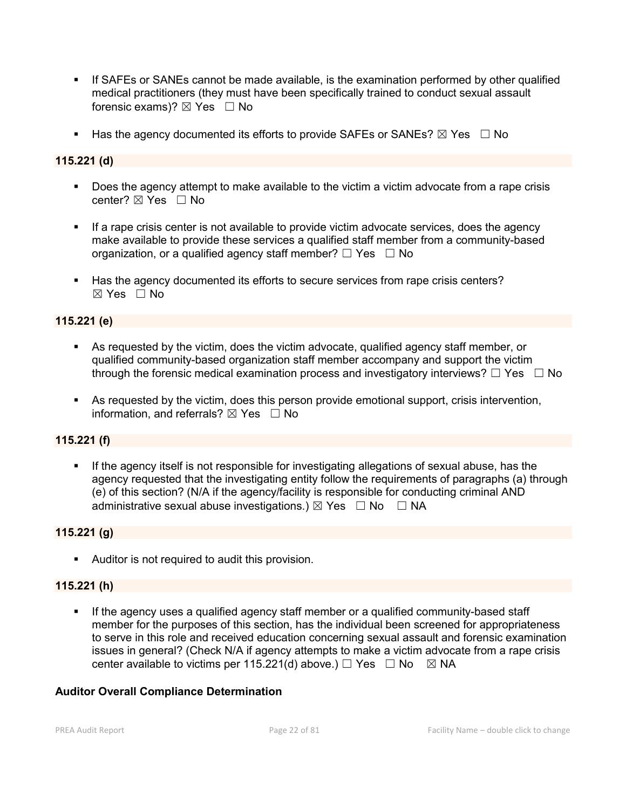- If SAFEs or SANEs cannot be made available, is the examination performed by other qualified medical practitioners (they must have been specifically trained to conduct sexual assault forensic exams)?  $\boxtimes$  Yes  $\Box$  No
- Has the agency documented its efforts to provide SAFEs or SANEs?  $\boxtimes$  Yes  $\Box$  No

# 115.221 (d)

- Does the agency attempt to make available to the victim a victim advocate from a rape crisis center?  $\boxtimes$  Yes  $\Box$  No
- If a rape crisis center is not available to provide victim advocate services, does the agency make available to provide these services a qualified staff member from a community-based organization, or a qualified agency staff member?  $\Box$  Yes  $\Box$  No
- Has the agency documented its efforts to secure services from rape crisis centers?  $\boxtimes$  Yes  $\Box$  No

# 115.221 (e)

- As requested by the victim, does the victim advocate, qualified agency staff member, or qualified community-based organization staff member accompany and support the victim through the forensic medical examination process and investigatory interviews?  $\Box$  Yes  $\Box$  No
- As requested by the victim, does this person provide emotional support, crisis intervention, information, and referrals?  $\boxtimes$  Yes  $\Box$  No

# 115.221 (f)

**If the agency itself is not responsible for investigating allegations of sexual abuse, has the** agency requested that the investigating entity follow the requirements of paragraphs (a) through (e) of this section? (N/A if the agency/facility is responsible for conducting criminal AND administrative sexual abuse investigations.)  $\boxtimes$  Yes  $\Box$  No  $\Box$  NA

#### 115.221 (g)

**Auditor is not required to audit this provision.** 

#### 115.221 (h)

 If the agency uses a qualified agency staff member or a qualified community-based staff member for the purposes of this section, has the individual been screened for appropriateness to serve in this role and received education concerning sexual assault and forensic examination issues in general? (Check N/A if agency attempts to make a victim advocate from a rape crisis center available to victims per 115.221(d) above.)  $\Box$  Yes  $\Box$  No  $\boxtimes$  NA

#### Auditor Overall Compliance Determination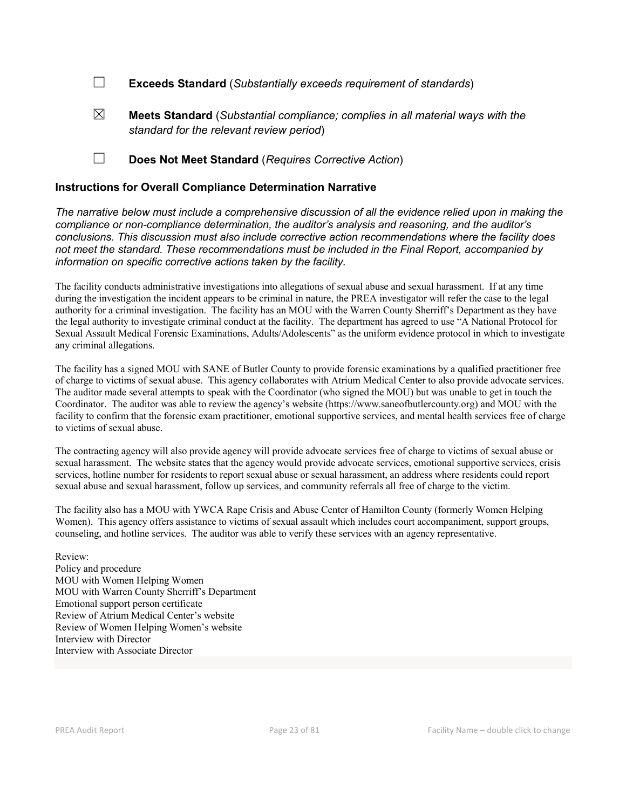☐ Exceeds Standard (*Substantially exceeds requirement of standards*)

- ☒ Meets Standard (*Substantial compliance; complies in all material ways with the standard for the relevant review period*)
- ☐ Does Not Meet Standard (*Requires Corrective Action*)

#### Instructions for Overall Compliance Determination Narrative

*The narrative below must include a comprehensive discussion of all the evidence relied upon in making the compliance or non-compliance determination, the auditor's analysis and reasoning, and the auditor's conclusions. This discussion must also include corrective action recommendations where the facility does not meet the standard. These recommendations must be included in the Final Report, accompanied by information on specific corrective actions taken by the facility.*

The facility conducts administrative investigations into allegations of sexual abuse and sexual harassment. If at any time during the investigation the incident appears to be criminal in nature, the PREA investigator will refer the case to the legal authority for a criminal investigation. The facility has an MOU with the Warren County Sherriff's Department as they have the legal authority to investigate criminal conduct at the facility. The department has agreed to use "A National Protocol for Sexual Assault Medical Forensic Examinations, Adults/Adolescents" as the uniform evidence protocol in which to investigate any criminal allegations.

The facility has a signed MOU with SANE of Butler County to provide forensic examinations by a qualified practitioner free of charge to victims of sexual abuse. This agency collaborates with Atrium Medical Center to also provide advocate services. The auditor made several attempts to speak with the Coordinator (who signed the MOU) but was unable to get in touch the Coordinator. The auditor was able to review the agency's website (https://www.saneofbutlercounty.org) and MOU with the facility to confirm that the forensic exam practitioner, emotional supportive services, and mental health services free of charge to victims of sexual abuse.

The contracting agency will also provide agency will provide advocate services free of charge to victims of sexual abuse or sexual harassment. The website states that the agency would provide advocate services, emotional supportive services, crisis services, hotline number for residents to report sexual abuse or sexual harassment, an address where residents could report sexual abuse and sexual harassment, follow up services, and community referrals all free of charge to the victim.

The facility also has a MOU with YWCA Rape Crisis and Abuse Center of Hamilton County (formerly Women Helping Women). This agency offers assistance to victims of sexual assault which includes court accompaniment, support groups, counseling, and hotline services. The auditor was able to verify these services with an agency representative.

Review: Policy and procedure MOU with Women Helping Women MOU with Warren County Sherriff's Department Emotional support person certificate Review of Atrium Medical Center's website Review of Women Helping Women's website Interview with Director Interview with Associate Director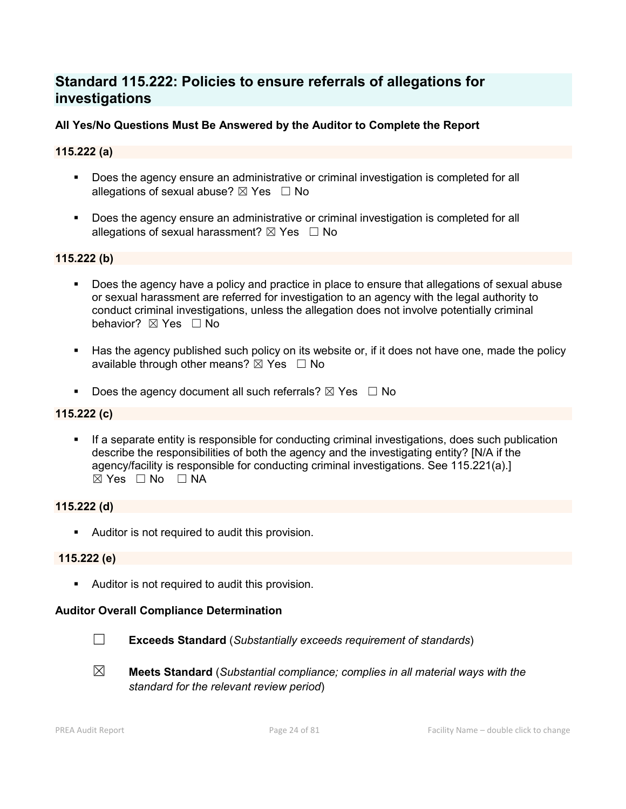# Standard 115.222: Policies to ensure referrals of allegations for investigations

# All Yes/No Questions Must Be Answered by the Auditor to Complete the Report

# 115.222 (a)

- Does the agency ensure an administrative or criminal investigation is completed for all allegations of sexual abuse?  $\boxtimes$  Yes  $\Box$  No
- **Does the agency ensure an administrative or criminal investigation is completed for all** allegations of sexual harassment?  $\boxtimes$  Yes  $\Box$  No

# 115.222 (b)

- Does the agency have a policy and practice in place to ensure that allegations of sexual abuse or sexual harassment are referred for investigation to an agency with the legal authority to conduct criminal investigations, unless the allegation does not involve potentially criminal behavior? **⊠** Yes □ No
- Has the agency published such policy on its website or, if it does not have one, made the policy available through other means?  $\boxtimes$  Yes  $\Box$  No
- Does the agency document all such referrals?  $\boxtimes$  Yes  $\Box$  No

# 115.222 (c)

 If a separate entity is responsible for conducting criminal investigations, does such publication describe the responsibilities of both the agency and the investigating entity? [N/A if the agency/facility is responsible for conducting criminal investigations. See 115.221(a).]  $\boxtimes$  Yes  $\Box$  No  $\Box$  NA

# 115.222 (d)

**Auditor is not required to audit this provision.** 

# 115.222 (e)

Auditor is not required to audit this provision.

#### Auditor Overall Compliance Determination



☐ Exceeds Standard (*Substantially exceeds requirement of standards*)



☒ Meets Standard (*Substantial compliance; complies in all material ways with the standard for the relevant review period*)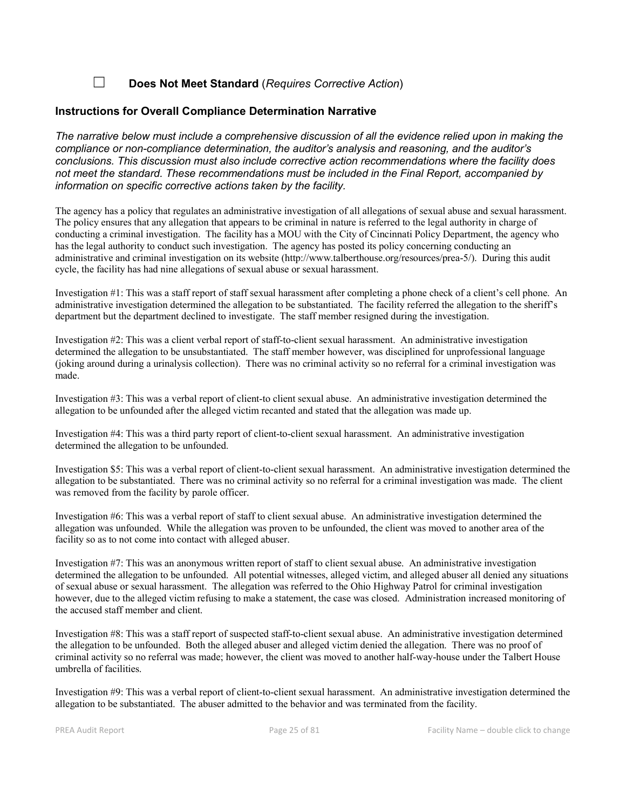☐ Does Not Meet Standard (*Requires Corrective Action*)

#### Instructions for Overall Compliance Determination Narrative

*The narrative below must include a comprehensive discussion of all the evidence relied upon in making the compliance or non-compliance determination, the auditor's analysis and reasoning, and the auditor's conclusions. This discussion must also include corrective action recommendations where the facility does not meet the standard. These recommendations must be included in the Final Report, accompanied by information on specific corrective actions taken by the facility.*

The agency has a policy that regulates an administrative investigation of all allegations of sexual abuse and sexual harassment. The policy ensures that any allegation that appears to be criminal in nature is referred to the legal authority in charge of conducting a criminal investigation. The facility has a MOU with the City of Cincinnati Policy Department, the agency who has the legal authority to conduct such investigation. The agency has posted its policy concerning conducting an administrative and criminal investigation on its website (http://www.talberthouse.org/resources/prea-5/). During this audit cycle, the facility has had nine allegations of sexual abuse or sexual harassment.

Investigation #1: This was a staff report of staff sexual harassment after completing a phone check of a client's cell phone. An administrative investigation determined the allegation to be substantiated. The facility referred the allegation to the sheriff's department but the department declined to investigate. The staff member resigned during the investigation.

Investigation #2: This was a client verbal report of staff-to-client sexual harassment. An administrative investigation determined the allegation to be unsubstantiated. The staff member however, was disciplined for unprofessional language (joking around during a urinalysis collection). There was no criminal activity so no referral for a criminal investigation was made.

Investigation #3: This was a verbal report of client-to client sexual abuse. An administrative investigation determined the allegation to be unfounded after the alleged victim recanted and stated that the allegation was made up.

Investigation #4: This was a third party report of client-to-client sexual harassment. An administrative investigation determined the allegation to be unfounded.

Investigation \$5: This was a verbal report of client-to-client sexual harassment. An administrative investigation determined the allegation to be substantiated. There was no criminal activity so no referral for a criminal investigation was made. The client was removed from the facility by parole officer.

Investigation #6: This was a verbal report of staff to client sexual abuse. An administrative investigation determined the allegation was unfounded. While the allegation was proven to be unfounded, the client was moved to another area of the facility so as to not come into contact with alleged abuser.

Investigation #7: This was an anonymous written report of staff to client sexual abuse. An administrative investigation determined the allegation to be unfounded. All potential witnesses, alleged victim, and alleged abuser all denied any situations of sexual abuse or sexual harassment. The allegation was referred to the Ohio Highway Patrol for criminal investigation however, due to the alleged victim refusing to make a statement, the case was closed. Administration increased monitoring of the accused staff member and client.

Investigation #8: This was a staff report of suspected staff-to-client sexual abuse. An administrative investigation determined the allegation to be unfounded. Both the alleged abuser and alleged victim denied the allegation. There was no proof of criminal activity so no referral was made; however, the client was moved to another half-way-house under the Talbert House umbrella of facilities.

Investigation #9: This was a verbal report of client-to-client sexual harassment. An administrative investigation determined the allegation to be substantiated. The abuser admitted to the behavior and was terminated from the facility.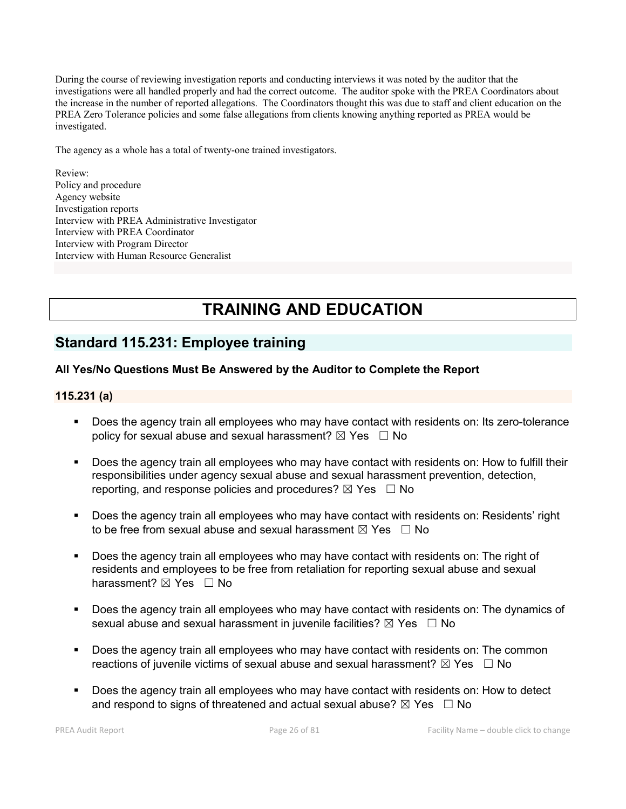During the course of reviewing investigation reports and conducting interviews it was noted by the auditor that the investigations were all handled properly and had the correct outcome. The auditor spoke with the PREA Coordinators about the increase in the number of reported allegations. The Coordinators thought this was due to staff and client education on the PREA Zero Tolerance policies and some false allegations from clients knowing anything reported as PREA would be investigated.

The agency as a whole has a total of twenty-one trained investigators.

Review: Policy and procedure Agency website Investigation reports Interview with PREA Administrative Investigator Interview with PREA Coordinator Interview with Program Director Interview with Human Resource Generalist

# TRAINING AND EDUCATION

# Standard 115.231: Employee training

# All Yes/No Questions Must Be Answered by the Auditor to Complete the Report

#### 115.231 (a)

- Does the agency train all employees who may have contact with residents on: Its zero-tolerance policy for sexual abuse and sexual harassment?  $\boxtimes$  Yes  $\Box$  No
- Does the agency train all employees who may have contact with residents on: How to fulfill their responsibilities under agency sexual abuse and sexual harassment prevention, detection, reporting, and response policies and procedures?  $\boxtimes$  Yes  $\Box$  No
- **Does the agency train all employees who may have contact with residents on: Residents' right** to be free from sexual abuse and sexual harassment  $\boxtimes$  Yes  $\Box$  No
- Does the agency train all employees who may have contact with residents on: The right of residents and employees to be free from retaliation for reporting sexual abuse and sexual harassment?  $\boxtimes$  Yes  $\Box$  No
- Does the agency train all employees who may have contact with residents on: The dynamics of sexual abuse and sexual harassment in juvenile facilities?  $\boxtimes$  Yes  $\Box$  No
- **Does the agency train all employees who may have contact with residents on: The common** reactions of juvenile victims of sexual abuse and sexual harassment?  $\boxtimes$  Yes  $\Box$  No
- Does the agency train all employees who may have contact with residents on: How to detect and respond to signs of threatened and actual sexual abuse?  $\boxtimes$  Yes  $\Box$  No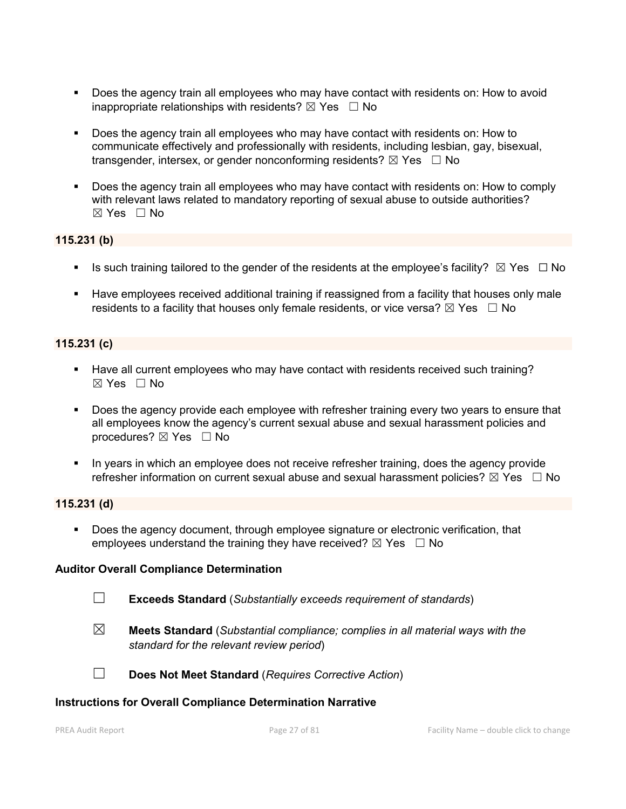- Does the agency train all employees who may have contact with residents on: How to avoid inappropriate relationships with residents?  $\boxtimes$  Yes  $\Box$  No
- Does the agency train all employees who may have contact with residents on: How to communicate effectively and professionally with residents, including lesbian, gay, bisexual, transgender, intersex, or gender nonconforming residents?  $\boxtimes$  Yes  $\Box$  No
- Does the agency train all employees who may have contact with residents on: How to comply with relevant laws related to mandatory reporting of sexual abuse to outside authorities?  $\boxtimes$  Yes  $\Box$  No

# 115.231 (b)

- Is such training tailored to the gender of the residents at the employee's facility?  $\boxtimes$  Yes  $\Box$  No
- Have employees received additional training if reassigned from a facility that houses only male residents to a facility that houses only female residents, or vice versa?  $\boxtimes$  Yes  $\Box$  No

# 115.231 (c)

- Have all current employees who may have contact with residents received such training?  $\boxtimes$  Yes  $\Box$  No
- Does the agency provide each employee with refresher training every two years to ensure that all employees know the agency's current sexual abuse and sexual harassment policies and procedures?  $\boxtimes$  Yes  $\Box$  No
- In years in which an employee does not receive refresher training, does the agency provide refresher information on current sexual abuse and sexual harassment policies?  $\boxtimes$  Yes  $\Box$  No

#### 115.231 (d)

 Does the agency document, through employee signature or electronic verification, that employees understand the training they have received?  $\boxtimes$  Yes  $\Box$  No

#### Auditor Overall Compliance Determination

- ☐ Exceeds Standard (*Substantially exceeds requirement of standards*)
- ☒ Meets Standard (*Substantial compliance; complies in all material ways with the standard for the relevant review period*)
- ☐ Does Not Meet Standard (*Requires Corrective Action*)

#### Instructions for Overall Compliance Determination Narrative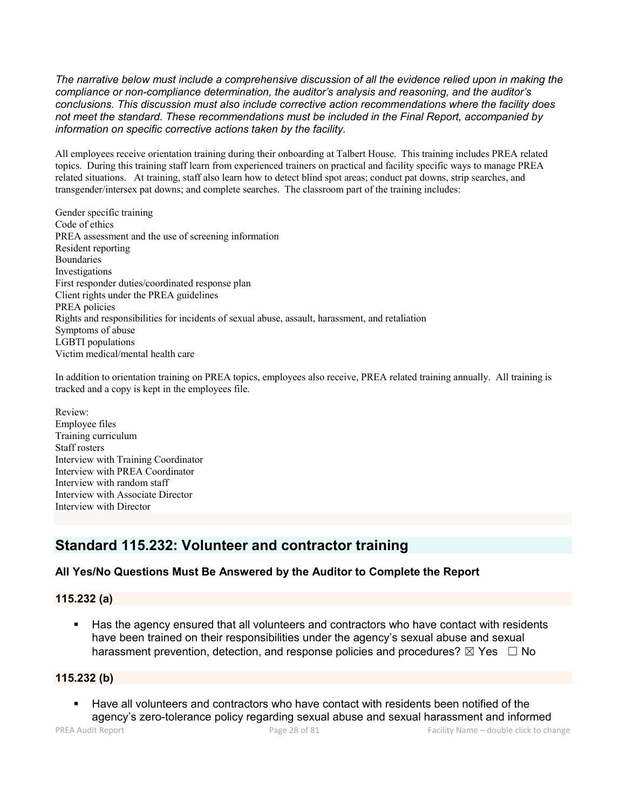*The narrative below must include a comprehensive discussion of all the evidence relied upon in making the compliance or non-compliance determination, the auditor's analysis and reasoning, and the auditor's conclusions. This discussion must also include corrective action recommendations where the facility does not meet the standard. These recommendations must be included in the Final Report, accompanied by information on specific corrective actions taken by the facility.*

All employees receive orientation training during their onboarding at Talbert House. This training includes PREA related topics. During this training staff learn from experienced trainers on practical and facility specific ways to manage PREA related situations. At training, staff also learn how to detect blind spot areas; conduct pat downs, strip searches, and transgender/intersex pat downs; and complete searches. The classroom part of the training includes:

Gender specific training Code of ethics PREA assessment and the use of screening information Resident reporting Boundaries Investigations First responder duties/coordinated response plan Client rights under the PREA guidelines PREA policies Rights and responsibilities for incidents of sexual abuse, assault, harassment, and retaliation Symptoms of abuse LGBTI populations Victim medical/mental health care

In addition to orientation training on PREA topics, employees also receive, PREA related training annually. All training is tracked and a copy is kept in the employees file.

Review: Employee files Training curriculum Staff rosters Interview with Training Coordinator Interview with PREA Coordinator Interview with random staff Interview with Associate Director Interview with Director

# Standard 115.232: Volunteer and contractor training

# All Yes/No Questions Must Be Answered by the Auditor to Complete the Report

# 115.232 (a)

 Has the agency ensured that all volunteers and contractors who have contact with residents have been trained on their responsibilities under the agency's sexual abuse and sexual harassment prevention, detection, and response policies and procedures?  $\boxtimes$  Yes  $\Box$  No

#### 115.232 (b)

 Have all volunteers and contractors who have contact with residents been notified of the agency's zero-tolerance policy regarding sexual abuse and sexual harassment and informed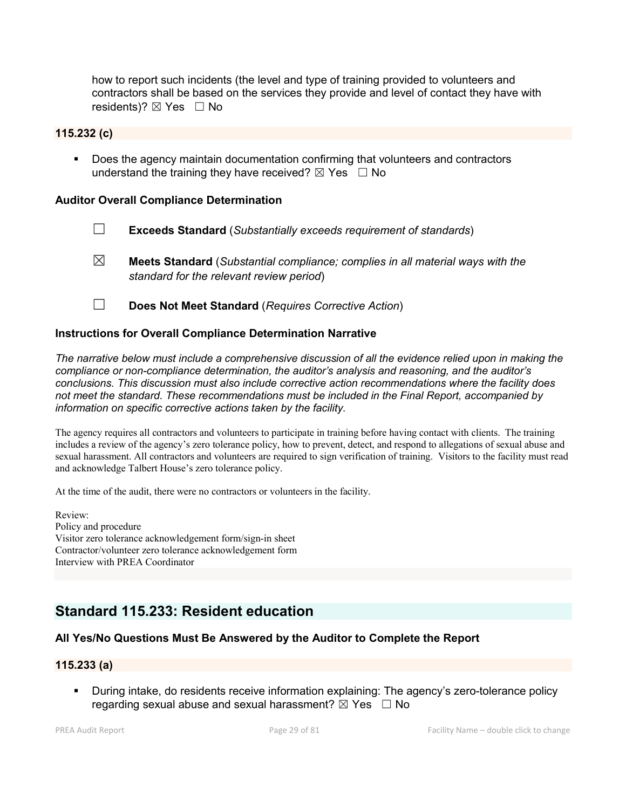how to report such incidents (the level and type of training provided to volunteers and contractors shall be based on the services they provide and level of contact they have with residents)?  $\boxtimes$  Yes  $\Box$  No

#### 115.232 (c)

 Does the agency maintain documentation confirming that volunteers and contractors understand the training they have received?  $\boxtimes$  Yes  $\Box$  No

#### Auditor Overall Compliance Determination

- ☐ Exceeds Standard (*Substantially exceeds requirement of standards*)
- ☒ Meets Standard (*Substantial compliance; complies in all material ways with the standard for the relevant review period*)
- ☐ Does Not Meet Standard (*Requires Corrective Action*)

#### Instructions for Overall Compliance Determination Narrative

*The narrative below must include a comprehensive discussion of all the evidence relied upon in making the compliance or non-compliance determination, the auditor's analysis and reasoning, and the auditor's conclusions. This discussion must also include corrective action recommendations where the facility does not meet the standard. These recommendations must be included in the Final Report, accompanied by information on specific corrective actions taken by the facility.*

The agency requires all contractors and volunteers to participate in training before having contact with clients. The training includes a review of the agency's zero tolerance policy, how to prevent, detect, and respond to allegations of sexual abuse and sexual harassment. All contractors and volunteers are required to sign verification of training. Visitors to the facility must read and acknowledge Talbert House's zero tolerance policy.

At the time of the audit, there were no contractors or volunteers in the facility.

Review: Policy and procedure Visitor zero tolerance acknowledgement form/sign-in sheet Contractor/volunteer zero tolerance acknowledgement form Interview with PREA Coordinator

# Standard 115.233: Resident education

# All Yes/No Questions Must Be Answered by the Auditor to Complete the Report

#### 115.233 (a)

 During intake, do residents receive information explaining: The agency's zero-tolerance policy regarding sexual abuse and sexual harassment?  $\boxtimes$  Yes  $\Box$  No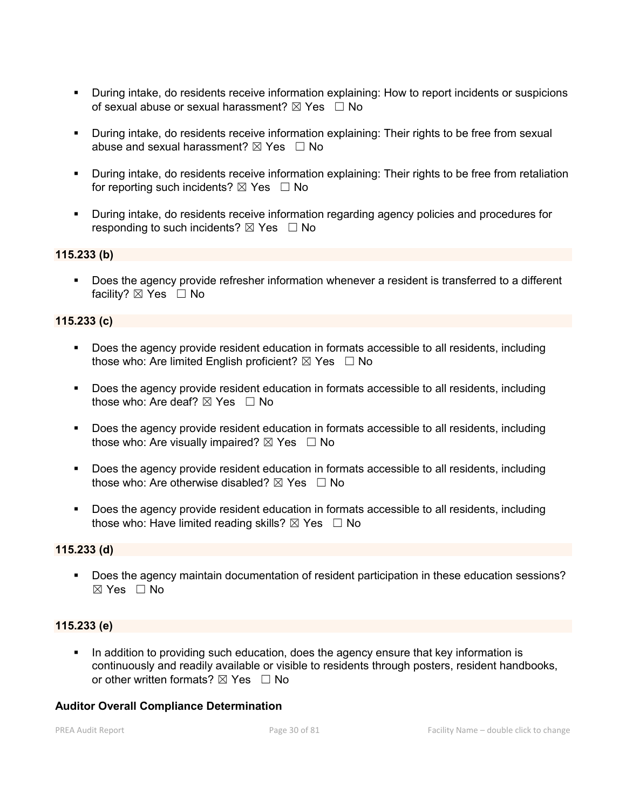- During intake, do residents receive information explaining: How to report incidents or suspicions of sexual abuse or sexual harassment?  $\boxtimes$  Yes  $\Box$  No
- During intake, do residents receive information explaining: Their rights to be free from sexual abuse and sexual harassment?  $\boxtimes$  Yes  $\Box$  No
- During intake, do residents receive information explaining: Their rights to be free from retaliation for reporting such incidents?  $\boxtimes$  Yes  $\Box$  No
- During intake, do residents receive information regarding agency policies and procedures for responding to such incidents?  $\boxtimes$  Yes  $\Box$  No

### 115.233 (b)

 Does the agency provide refresher information whenever a resident is transferred to a different facility? ⊠ Yes □ No

## 115.233 (c)

- Does the agency provide resident education in formats accessible to all residents, including those who: Are limited English proficient?  $\boxtimes$  Yes  $\Box$  No
- Does the agency provide resident education in formats accessible to all residents, including those who: Are deaf?  $\boxtimes$  Yes  $\Box$  No
- Does the agency provide resident education in formats accessible to all residents, including those who: Are visually impaired?  $\boxtimes$  Yes  $\Box$  No
- Does the agency provide resident education in formats accessible to all residents, including those who: Are otherwise disabled?  $\boxtimes$  Yes  $\Box$  No
- Does the agency provide resident education in formats accessible to all residents, including those who: Have limited reading skills?  $\boxtimes$  Yes  $\Box$  No

#### 115.233 (d)

 Does the agency maintain documentation of resident participation in these education sessions?  $\boxtimes$  Yes  $\Box$  No

#### 115.233 (e)

In addition to providing such education, does the agency ensure that key information is continuously and readily available or visible to residents through posters, resident handbooks, or other written formats?  $\boxtimes$  Yes  $\Box$  No

#### Auditor Overall Compliance Determination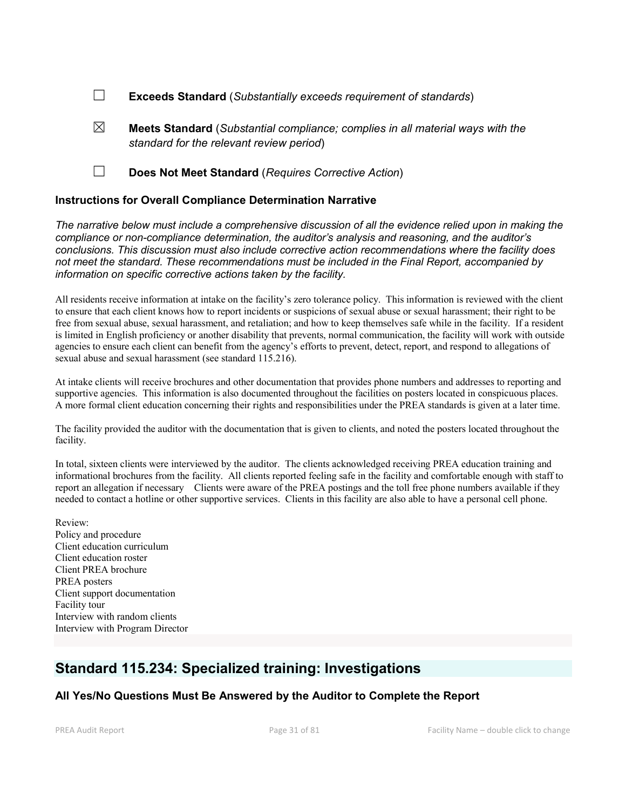- ☐ Exceeds Standard (*Substantially exceeds requirement of standards*)
- $\boxtimes$  **Meets Standard** (*Substantial compliance; complies in all material ways with the standard for the relevant review period*)
- ☐ Does Not Meet Standard (*Requires Corrective Action*)

#### Instructions for Overall Compliance Determination Narrative

*The narrative below must include a comprehensive discussion of all the evidence relied upon in making the compliance or non-compliance determination, the auditor's analysis and reasoning, and the auditor's conclusions. This discussion must also include corrective action recommendations where the facility does not meet the standard. These recommendations must be included in the Final Report, accompanied by information on specific corrective actions taken by the facility.*

All residents receive information at intake on the facility's zero tolerance policy. This information is reviewed with the client to ensure that each client knows how to report incidents or suspicions of sexual abuse or sexual harassment; their right to be free from sexual abuse, sexual harassment, and retaliation; and how to keep themselves safe while in the facility. If a resident is limited in English proficiency or another disability that prevents, normal communication, the facility will work with outside agencies to ensure each client can benefit from the agency's efforts to prevent, detect, report, and respond to allegations of sexual abuse and sexual harassment (see standard 115.216).

At intake clients will receive brochures and other documentation that provides phone numbers and addresses to reporting and supportive agencies. This information is also documented throughout the facilities on posters located in conspicuous places. A more formal client education concerning their rights and responsibilities under the PREA standards is given at a later time.

The facility provided the auditor with the documentation that is given to clients, and noted the posters located throughout the facility.

In total, sixteen clients were interviewed by the auditor. The clients acknowledged receiving PREA education training and informational brochures from the facility. All clients reported feeling safe in the facility and comfortable enough with staff to report an allegation if necessary Clients were aware of the PREA postings and the toll free phone numbers available if they needed to contact a hotline or other supportive services. Clients in this facility are also able to have a personal cell phone.

Review: Policy and procedure Client education curriculum Client education roster Client PREA brochure PREA posters Client support documentation Facility tour Interview with random clients Interview with Program Director

# Standard 115.234: Specialized training: Investigations

# All Yes/No Questions Must Be Answered by the Auditor to Complete the Report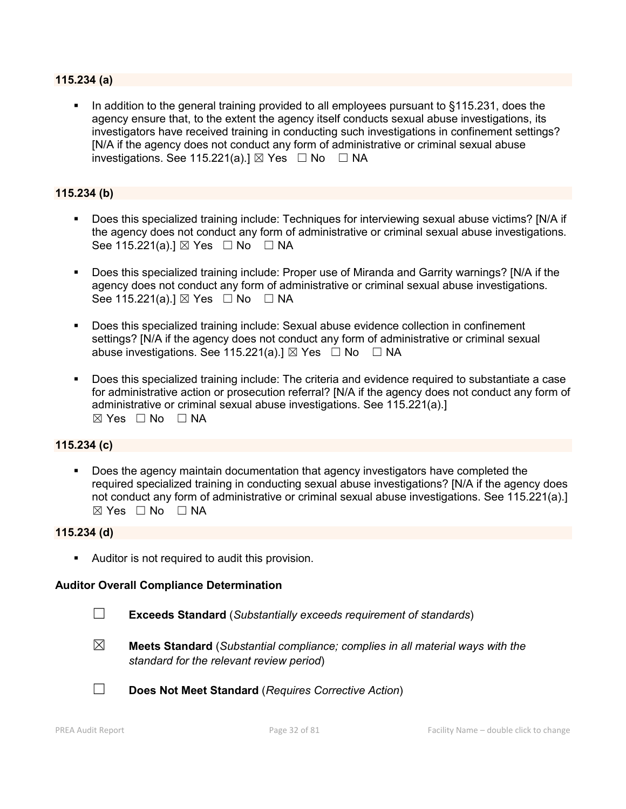#### 115.234 (a)

 In addition to the general training provided to all employees pursuant to §115.231, does the agency ensure that, to the extent the agency itself conducts sexual abuse investigations, its investigators have received training in conducting such investigations in confinement settings? [N/A if the agency does not conduct any form of administrative or criminal sexual abuse investigations. See 115.221(a). $\exists$  Yes  $\Box$  No  $\Box$  NA

## 115.234 (b)

- Does this specialized training include: Techniques for interviewing sexual abuse victims? [N/A if the agency does not conduct any form of administrative or criminal sexual abuse investigations. See 115.221(a).] ⊠ Yes □ No □ NA
- Does this specialized training include: Proper use of Miranda and Garrity warnings? [N/A if the agency does not conduct any form of administrative or criminal sexual abuse investigations. See 115.221(a).]  $\boxtimes$  Yes  $\Box$  No  $\Box$  NA
- Does this specialized training include: Sexual abuse evidence collection in confinement settings? [N/A if the agency does not conduct any form of administrative or criminal sexual abuse investigations. See 115.221(a).]  $\boxtimes$  Yes  $\Box$  No  $\Box$  NA
- Does this specialized training include: The criteria and evidence required to substantiate a case for administrative action or prosecution referral? [N/A if the agency does not conduct any form of administrative or criminal sexual abuse investigations. See 115.221(a).]  $\boxtimes$  Yes  $\Box$  No  $\Box$  NA

#### 115.234 (c)

 Does the agency maintain documentation that agency investigators have completed the required specialized training in conducting sexual abuse investigations? [N/A if the agency does not conduct any form of administrative or criminal sexual abuse investigations. See 115.221(a).] ☒ Yes ☐ No ☐ NA

#### 115.234 (d)

**Auditor is not required to audit this provision.** 

#### Auditor Overall Compliance Determination

- ☐ Exceeds Standard (*Substantially exceeds requirement of standards*)
- $\boxtimes$  Meets Standard (*Substantial compliance; complies in all material ways with the standard for the relevant review period*)



☐ Does Not Meet Standard (*Requires Corrective Action*)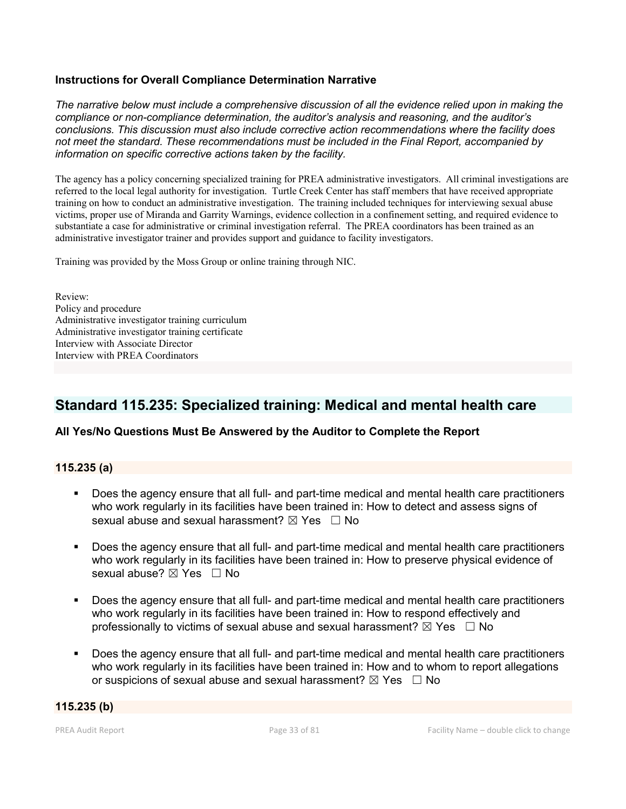# Instructions for Overall Compliance Determination Narrative

*The narrative below must include a comprehensive discussion of all the evidence relied upon in making the compliance or non-compliance determination, the auditor's analysis and reasoning, and the auditor's conclusions. This discussion must also include corrective action recommendations where the facility does not meet the standard. These recommendations must be included in the Final Report, accompanied by information on specific corrective actions taken by the facility.*

The agency has a policy concerning specialized training for PREA administrative investigators. All criminal investigations are referred to the local legal authority for investigation. Turtle Creek Center has staff members that have received appropriate training on how to conduct an administrative investigation. The training included techniques for interviewing sexual abuse victims, proper use of Miranda and Garrity Warnings, evidence collection in a confinement setting, and required evidence to substantiate a case for administrative or criminal investigation referral. The PREA coordinators has been trained as an administrative investigator trainer and provides support and guidance to facility investigators.

Training was provided by the Moss Group or online training through NIC.

Review: Policy and procedure Administrative investigator training curriculum Administrative investigator training certificate Interview with Associate Director Interview with PREA Coordinators

# Standard 115.235: Specialized training: Medical and mental health care

# All Yes/No Questions Must Be Answered by the Auditor to Complete the Report

#### 115.235 (a)

- Does the agency ensure that all full- and part-time medical and mental health care practitioners who work regularly in its facilities have been trained in: How to detect and assess signs of sexual abuse and sexual harassment?  $\boxtimes$  Yes  $\Box$  No
- Does the agency ensure that all full- and part-time medical and mental health care practitioners who work regularly in its facilities have been trained in: How to preserve physical evidence of sexual abuse? ⊠ Yes □ No
- Does the agency ensure that all full- and part-time medical and mental health care practitioners who work regularly in its facilities have been trained in: How to respond effectively and professionally to victims of sexual abuse and sexual harassment?  $\boxtimes$  Yes  $\Box$  No
- Does the agency ensure that all full- and part-time medical and mental health care practitioners who work regularly in its facilities have been trained in: How and to whom to report allegations or suspicions of sexual abuse and sexual harassment?  $\boxtimes$  Yes  $\Box$  No

#### 115.235 (b)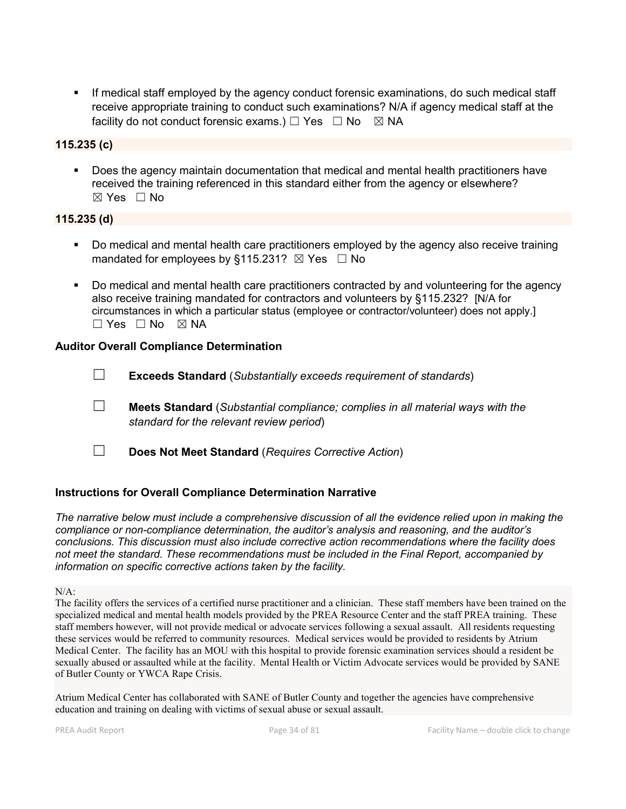If medical staff employed by the agency conduct forensic examinations, do such medical staff receive appropriate training to conduct such examinations? N/A if agency medical staff at the facility do not conduct forensic exams.)  $\Box$  Yes  $\Box$  No  $\boxtimes$  NA

# 115.235 (c)

 Does the agency maintain documentation that medical and mental health practitioners have received the training referenced in this standard either from the agency or elsewhere?  $\boxtimes$  Yes  $\Box$  No

#### 115.235 (d)

- Do medical and mental health care practitioners employed by the agency also receive training mandated for employees by §115.231?  $\boxtimes$  Yes  $\Box$  No
- Do medical and mental health care practitioners contracted by and volunteering for the agency also receive training mandated for contractors and volunteers by §115.232? [N/A for circumstances in which a particular status (employee or contractor/volunteer) does not apply.]  $\Box$  Yes  $\Box$  No  $\boxtimes$  NA

#### Auditor Overall Compliance Determination

☐ Exceeds Standard (*Substantially exceeds requirement of standards*)

- ☐ Meets Standard (*Substantial compliance; complies in all material ways with the standard for the relevant review period*)
- ☐ Does Not Meet Standard (*Requires Corrective Action*)

# Instructions for Overall Compliance Determination Narrative

*The narrative below must include a comprehensive discussion of all the evidence relied upon in making the compliance or non-compliance determination, the auditor's analysis and reasoning, and the auditor's conclusions. This discussion must also include corrective action recommendations where the facility does not meet the standard. These recommendations must be included in the Final Report, accompanied by information on specific corrective actions taken by the facility.*

The facility offers the services of a certified nurse practitioner and a clinician. These staff members have been trained on the specialized medical and mental health models provided by the PREA Resource Center and the staff PREA training. These staff members however, will not provide medical or advocate services following a sexual assault. All residents requesting these services would be referred to community resources. Medical services would be provided to residents by Atrium Medical Center. The facility has an MOU with this hospital to provide forensic examination services should a resident be sexually abused or assaulted while at the facility. Mental Health or Victim Advocate services would be provided by SANE of Butler County or YWCA Rape Crisis.

Atrium Medical Center has collaborated with SANE of Butler County and together the agencies have comprehensive education and training on dealing with victims of sexual abuse or sexual assault.

 $N/A$ :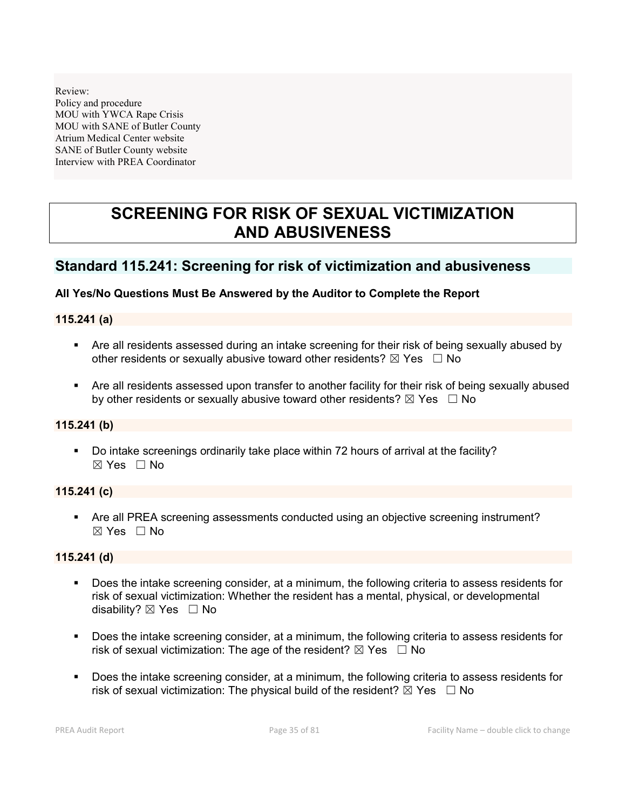Review: Policy and procedure MOU with YWCA Rape Crisis MOU with SANE of Butler County Atrium Medical Center website SANE of Butler County website Interview with PREA Coordinator

# SCREENING FOR RISK OF SEXUAL VICTIMIZATION AND ABUSIVENESS

# Standard 115.241: Screening for risk of victimization and abusiveness

#### All Yes/No Questions Must Be Answered by the Auditor to Complete the Report

#### 115.241 (a)

- Are all residents assessed during an intake screening for their risk of being sexually abused by other residents or sexually abusive toward other residents?  $\boxtimes$  Yes  $\Box$  No
- Are all residents assessed upon transfer to another facility for their risk of being sexually abused by other residents or sexually abusive toward other residents?  $\boxtimes$  Yes  $\Box$  No

#### 115.241 (b)

 Do intake screenings ordinarily take place within 72 hours of arrival at the facility?  $\boxtimes$  Yes  $\Box$  No

## 115.241 (c)

 Are all PREA screening assessments conducted using an objective screening instrument?  $\boxtimes$  Yes  $\Box$  No

## 115.241 (d)

- Does the intake screening consider, at a minimum, the following criteria to assess residents for risk of sexual victimization: Whether the resident has a mental, physical, or developmental disability?  $\boxtimes$  Yes  $\Box$  No
- Does the intake screening consider, at a minimum, the following criteria to assess residents for risk of sexual victimization: The age of the resident?  $\boxtimes$  Yes  $\Box$  No
- Does the intake screening consider, at a minimum, the following criteria to assess residents for risk of sexual victimization: The physical build of the resident?  $\boxtimes$  Yes  $\Box$  No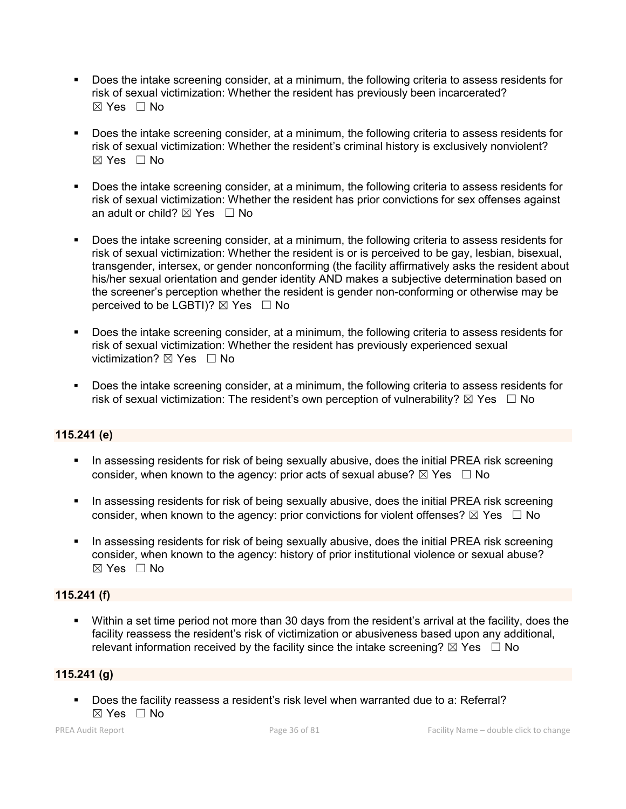- Does the intake screening consider, at a minimum, the following criteria to assess residents for risk of sexual victimization: Whether the resident has previously been incarcerated?  $\boxtimes$  Yes  $\Box$  No
- Does the intake screening consider, at a minimum, the following criteria to assess residents for risk of sexual victimization: Whether the resident's criminal history is exclusively nonviolent?  $\boxtimes$  Yes  $\Box$  No
- Does the intake screening consider, at a minimum, the following criteria to assess residents for risk of sexual victimization: Whether the resident has prior convictions for sex offenses against an adult or child?  $\boxtimes$  Yes  $\Box$  No
- Does the intake screening consider, at a minimum, the following criteria to assess residents for risk of sexual victimization: Whether the resident is or is perceived to be gay, lesbian, bisexual, transgender, intersex, or gender nonconforming (the facility affirmatively asks the resident about his/her sexual orientation and gender identity AND makes a subjective determination based on the screener's perception whether the resident is gender non-conforming or otherwise may be perceived to be LGBTI)?  $\boxtimes$  Yes  $\Box$  No
- Does the intake screening consider, at a minimum, the following criteria to assess residents for risk of sexual victimization: Whether the resident has previously experienced sexual victimization? **⊠** Yes □ No
- Does the intake screening consider, at a minimum, the following criteria to assess residents for risk of sexual victimization: The resident's own perception of vulnerability?  $\boxtimes$  Yes  $\Box$  No

# 115.241 (e)

- In assessing residents for risk of being sexually abusive, does the initial PREA risk screening consider, when known to the agency: prior acts of sexual abuse?  $\boxtimes$  Yes  $\Box$  No
- **IF In assessing residents for risk of being sexually abusive, does the initial PREA risk screening** consider, when known to the agency: prior convictions for violent offenses?  $\boxtimes$  Yes  $\Box$  No
- In assessing residents for risk of being sexually abusive, does the initial PREA risk screening consider, when known to the agency: history of prior institutional violence or sexual abuse? ☒ Yes ☐ No

# 115.241 (f)

 Within a set time period not more than 30 days from the resident's arrival at the facility, does the facility reassess the resident's risk of victimization or abusiveness based upon any additional, relevant information received by the facility since the intake screening?  $\boxtimes$  Yes  $\Box$  No

# 115.241 (g)

 Does the facility reassess a resident's risk level when warranted due to a: Referral? ☒ Yes ☐ No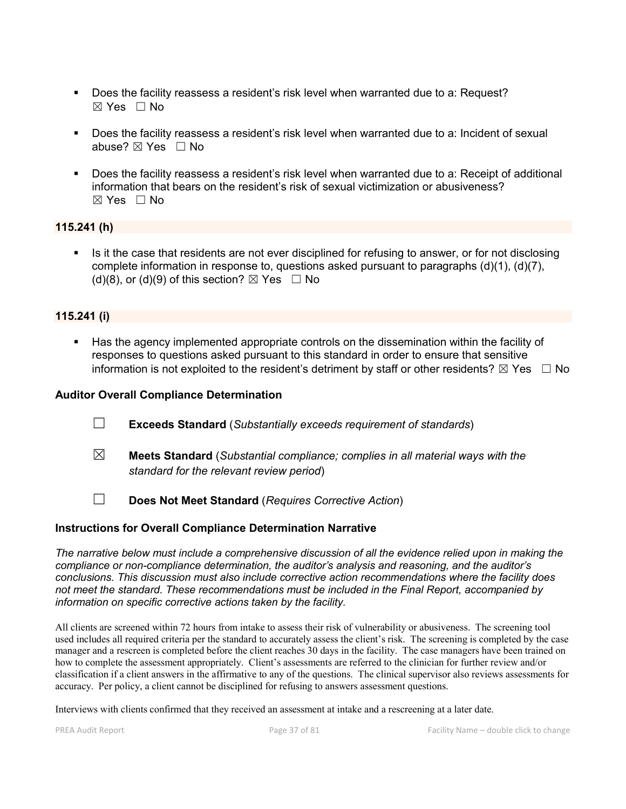- Does the facility reassess a resident's risk level when warranted due to a: Request?  $\boxtimes$  Yes  $\Box$  No
- Does the facility reassess a resident's risk level when warranted due to a: Incident of sexual abuse?  $\boxtimes$  Yes  $\Box$  No
- Does the facility reassess a resident's risk level when warranted due to a: Receipt of additional information that bears on the resident's risk of sexual victimization or abusiveness?  $\boxtimes$  Yes  $\Box$  No

## 115.241 (h)

 Is it the case that residents are not ever disciplined for refusing to answer, or for not disclosing complete information in response to, questions asked pursuant to paragraphs (d)(1), (d)(7), (d)(8), or (d)(9) of this section?  $\boxtimes$  Yes  $\Box$  No

## 115.241 (i)

 Has the agency implemented appropriate controls on the dissemination within the facility of responses to questions asked pursuant to this standard in order to ensure that sensitive information is not exploited to the resident's detriment by staff or other residents?  $\boxtimes$  Yes  $\Box$  No

### Auditor Overall Compliance Determination

- ☐ Exceeds Standard (*Substantially exceeds requirement of standards*)
- ☒ Meets Standard (*Substantial compliance; complies in all material ways with the standard for the relevant review period*)
- ☐ Does Not Meet Standard (*Requires Corrective Action*)

#### Instructions for Overall Compliance Determination Narrative

*The narrative below must include a comprehensive discussion of all the evidence relied upon in making the compliance or non-compliance determination, the auditor's analysis and reasoning, and the auditor's conclusions. This discussion must also include corrective action recommendations where the facility does not meet the standard. These recommendations must be included in the Final Report, accompanied by information on specific corrective actions taken by the facility.*

All clients are screened within 72 hours from intake to assess their risk of vulnerability or abusiveness. The screening tool used includes all required criteria per the standard to accurately assess the client's risk. The screening is completed by the case manager and a rescreen is completed before the client reaches 30 days in the facility. The case managers have been trained on how to complete the assessment appropriately. Client's assessments are referred to the clinician for further review and/or classification if a client answers in the affirmative to any of the questions. The clinical supervisor also reviews assessments for accuracy. Per policy, a client cannot be disciplined for refusing to answers assessment questions.

Interviews with clients confirmed that they received an assessment at intake and a rescreening at a later date.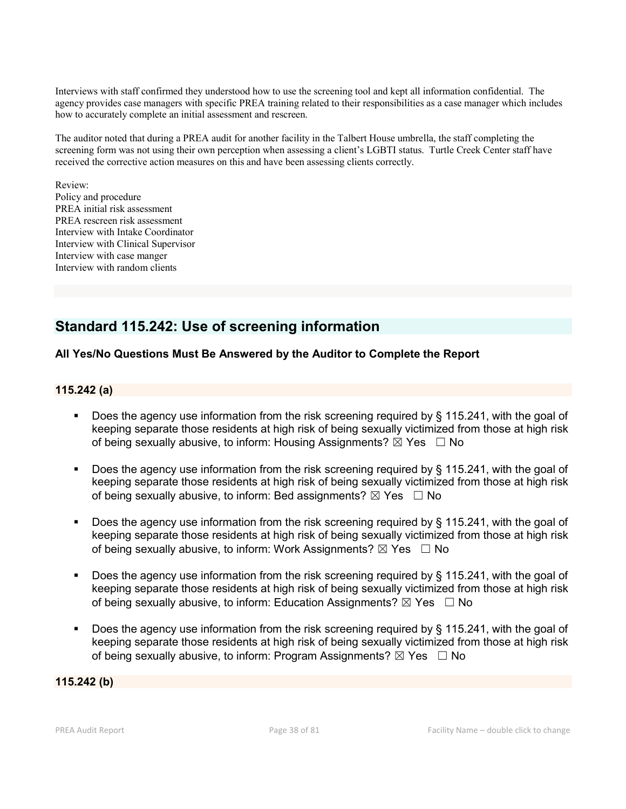Interviews with staff confirmed they understood how to use the screening tool and kept all information confidential. The agency provides case managers with specific PREA training related to their responsibilities as a case manager which includes how to accurately complete an initial assessment and rescreen.

The auditor noted that during a PREA audit for another facility in the Talbert House umbrella, the staff completing the screening form was not using their own perception when assessing a client's LGBTI status. Turtle Creek Center staff have received the corrective action measures on this and have been assessing clients correctly.

Review: Policy and procedure PREA initial risk assessment PREA rescreen risk assessment Interview with Intake Coordinator Interview with Clinical Supervisor Interview with case manger Interview with random clients

## Standard 115.242: Use of screening information

## All Yes/No Questions Must Be Answered by the Auditor to Complete the Report

## 115.242 (a)

- Does the agency use information from the risk screening required by § 115.241, with the goal of keeping separate those residents at high risk of being sexually victimized from those at high risk of being sexually abusive, to inform: Housing Assignments?  $\boxtimes$  Yes  $\Box$  No
- Does the agency use information from the risk screening required by § 115.241, with the goal of keeping separate those residents at high risk of being sexually victimized from those at high risk of being sexually abusive, to inform: Bed assignments?  $\boxtimes$  Yes  $\Box$  No
- Does the agency use information from the risk screening required by § 115.241, with the goal of keeping separate those residents at high risk of being sexually victimized from those at high risk of being sexually abusive, to inform: Work Assignments?  $\boxtimes$  Yes  $\Box$  No
- Does the agency use information from the risk screening required by § 115.241, with the goal of keeping separate those residents at high risk of being sexually victimized from those at high risk of being sexually abusive, to inform: Education Assignments?  $\boxtimes$  Yes  $\Box$  No
- Does the agency use information from the risk screening required by § 115.241, with the goal of keeping separate those residents at high risk of being sexually victimized from those at high risk of being sexually abusive, to inform: Program Assignments?  $\boxtimes$  Yes  $\Box$  No

115.242 (b)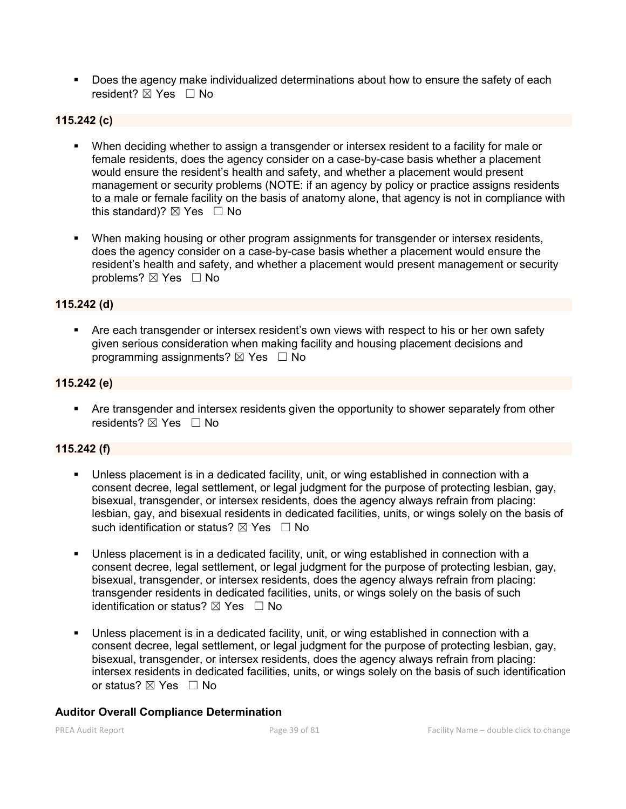**Does the agency make individualized determinations about how to ensure the safety of each** resident? ⊠ Yes □ No

## 115.242 (c)

- When deciding whether to assign a transgender or intersex resident to a facility for male or female residents, does the agency consider on a case-by-case basis whether a placement would ensure the resident's health and safety, and whether a placement would present management or security problems (NOTE: if an agency by policy or practice assigns residents to a male or female facility on the basis of anatomy alone, that agency is not in compliance with this standard)?  $\boxtimes$  Yes  $\Box$  No
- When making housing or other program assignments for transgender or intersex residents, does the agency consider on a case-by-case basis whether a placement would ensure the resident's health and safety, and whether a placement would present management or security problems? ⊠ Yes □ No

### 115.242 (d)

**•** Are each transgender or intersex resident's own views with respect to his or her own safety given serious consideration when making facility and housing placement decisions and programming assignments?  $\boxtimes$  Yes  $\Box$  No

#### 115.242 (e)

 Are transgender and intersex residents given the opportunity to shower separately from other residents? ⊠ Yes □ No

## 115.242 (f)

- Unless placement is in a dedicated facility, unit, or wing established in connection with a consent decree, legal settlement, or legal judgment for the purpose of protecting lesbian, gay, bisexual, transgender, or intersex residents, does the agency always refrain from placing: lesbian, gay, and bisexual residents in dedicated facilities, units, or wings solely on the basis of such identification or status?  $\boxtimes$  Yes  $\Box$  No
- Unless placement is in a dedicated facility, unit, or wing established in connection with a consent decree, legal settlement, or legal judgment for the purpose of protecting lesbian, gay, bisexual, transgender, or intersex residents, does the agency always refrain from placing: transgender residents in dedicated facilities, units, or wings solely on the basis of such identification or status?  $\boxtimes$  Yes  $\Box$  No
- Unless placement is in a dedicated facility, unit, or wing established in connection with a consent decree, legal settlement, or legal judgment for the purpose of protecting lesbian, gay, bisexual, transgender, or intersex residents, does the agency always refrain from placing: intersex residents in dedicated facilities, units, or wings solely on the basis of such identification or status?  $\boxtimes$  Yes  $\Box$  No

#### Auditor Overall Compliance Determination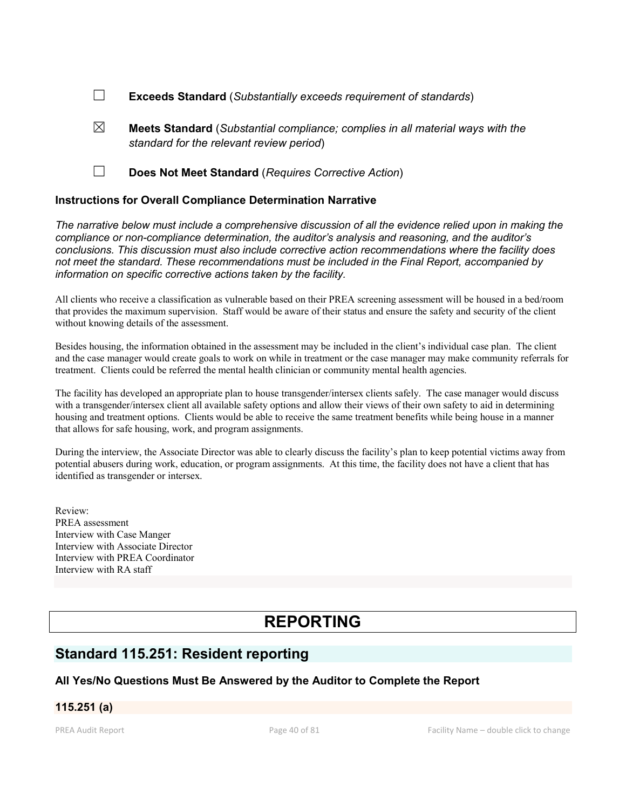- ☐ Exceeds Standard (*Substantially exceeds requirement of standards*)
- $\boxtimes$  **Meets Standard** (*Substantial compliance; complies in all material ways with the standard for the relevant review period*)
- ☐ Does Not Meet Standard (*Requires Corrective Action*)

#### Instructions for Overall Compliance Determination Narrative

*The narrative below must include a comprehensive discussion of all the evidence relied upon in making the compliance or non-compliance determination, the auditor's analysis and reasoning, and the auditor's conclusions. This discussion must also include corrective action recommendations where the facility does not meet the standard. These recommendations must be included in the Final Report, accompanied by information on specific corrective actions taken by the facility.*

All clients who receive a classification as vulnerable based on their PREA screening assessment will be housed in a bed/room that provides the maximum supervision. Staff would be aware of their status and ensure the safety and security of the client without knowing details of the assessment.

Besides housing, the information obtained in the assessment may be included in the client's individual case plan. The client and the case manager would create goals to work on while in treatment or the case manager may make community referrals for treatment. Clients could be referred the mental health clinician or community mental health agencies.

The facility has developed an appropriate plan to house transgender/intersex clients safely. The case manager would discuss with a transgender/intersex client all available safety options and allow their views of their own safety to aid in determining housing and treatment options. Clients would be able to receive the same treatment benefits while being house in a manner that allows for safe housing, work, and program assignments.

During the interview, the Associate Director was able to clearly discuss the facility's plan to keep potential victims away from potential abusers during work, education, or program assignments. At this time, the facility does not have a client that has identified as transgender or intersex.

Review: PREA assessment Interview with Case Manger Interview with Associate Director Interview with PREA Coordinator Interview with RA staff

# REPORTING

## Standard 115.251: Resident reporting

#### All Yes/No Questions Must Be Answered by the Auditor to Complete the Report

## 115.251 (a)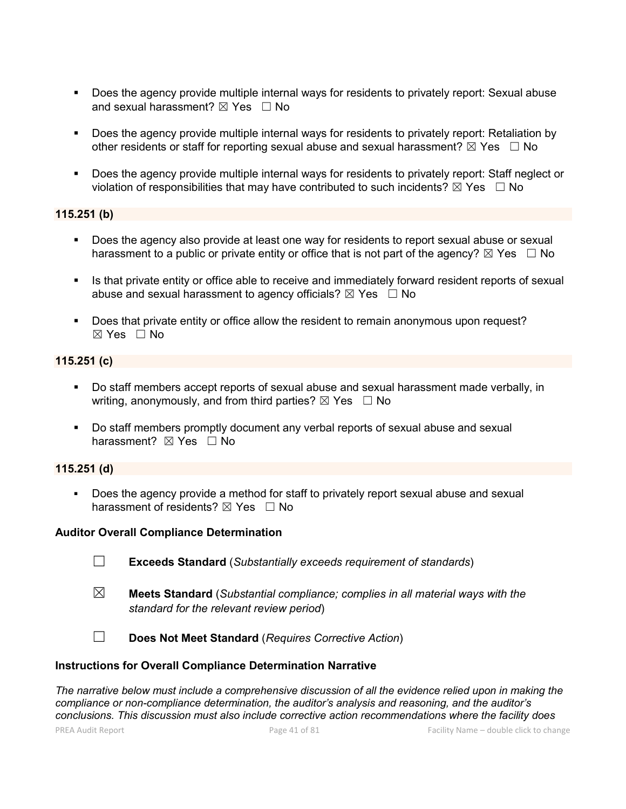- Does the agency provide multiple internal ways for residents to privately report: Sexual abuse and sexual harassment?  $\boxtimes$  Yes  $\Box$  No
- Does the agency provide multiple internal ways for residents to privately report: Retaliation by other residents or staff for reporting sexual abuse and sexual harassment?  $\boxtimes$  Yes  $\Box$  No
- Does the agency provide multiple internal ways for residents to privately report: Staff neglect or violation of responsibilities that may have contributed to such incidents?  $\boxtimes$  Yes  $\Box$  No

### 115.251 (b)

- Does the agency also provide at least one way for residents to report sexual abuse or sexual harassment to a public or private entity or office that is not part of the agency?  $\boxtimes$  Yes  $\Box$  No
- **If all is that private entity or office able to receive and immediately forward resident reports of sexual** abuse and sexual harassment to agency officials?  $\boxtimes$  Yes  $\Box$  No
- Does that private entity or office allow the resident to remain anonymous upon request?  $\boxtimes$  Yes  $\Box$  No

### 115.251 (c)

- Do staff members accept reports of sexual abuse and sexual harassment made verbally, in writing, anonymously, and from third parties?  $\boxtimes$  Yes  $\Box$  No
- Do staff members promptly document any verbal reports of sexual abuse and sexual harassment? **⊠** Yes □ No

#### 115.251 (d)

 Does the agency provide a method for staff to privately report sexual abuse and sexual harassment of residents?  $\boxtimes$  Yes  $\Box$  No

#### Auditor Overall Compliance Determination

- ☐ Exceeds Standard (*Substantially exceeds requirement of standards*)
- ☒ Meets Standard (*Substantial compliance; complies in all material ways with the standard for the relevant review period*)

☐ Does Not Meet Standard (*Requires Corrective Action*)

#### Instructions for Overall Compliance Determination Narrative

*The narrative below must include a comprehensive discussion of all the evidence relied upon in making the compliance or non-compliance determination, the auditor's analysis and reasoning, and the auditor's conclusions. This discussion must also include corrective action recommendations where the facility does*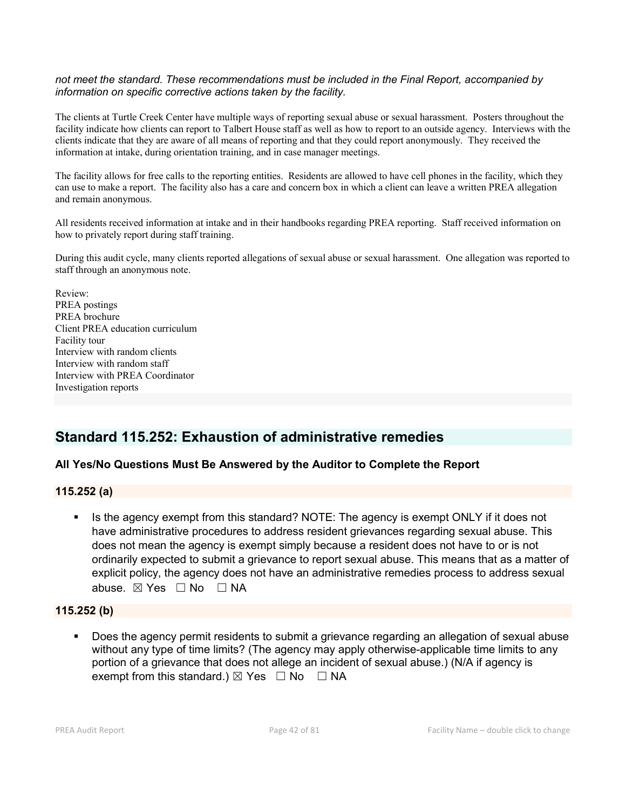#### *not meet the standard. These recommendations must be included in the Final Report, accompanied by information on specific corrective actions taken by the facility.*

The clients at Turtle Creek Center have multiple ways of reporting sexual abuse or sexual harassment. Posters throughout the facility indicate how clients can report to Talbert House staff as well as how to report to an outside agency. Interviews with the clients indicate that they are aware of all means of reporting and that they could report anonymously. They received the information at intake, during orientation training, and in case manager meetings.

The facility allows for free calls to the reporting entities. Residents are allowed to have cell phones in the facility, which they can use to make a report. The facility also has a care and concern box in which a client can leave a written PREA allegation and remain anonymous.

All residents received information at intake and in their handbooks regarding PREA reporting. Staff received information on how to privately report during staff training.

During this audit cycle, many clients reported allegations of sexual abuse or sexual harassment. One allegation was reported to staff through an anonymous note.

Review: PREA postings PREA brochure Client PREA education curriculum Facility tour Interview with random clients Interview with random staff Interview with PREA Coordinator Investigation reports

## Standard 115.252: Exhaustion of administrative remedies

## All Yes/No Questions Must Be Answered by the Auditor to Complete the Report

#### 115.252 (a)

Is the agency exempt from this standard? NOTE: The agency is exempt ONLY if it does not have administrative procedures to address resident grievances regarding sexual abuse. This does not mean the agency is exempt simply because a resident does not have to or is not ordinarily expected to submit a grievance to report sexual abuse. This means that as a matter of explicit policy, the agency does not have an administrative remedies process to address sexual abuse. ⊠ Yes □ No □ NA

#### 115.252 (b)

 Does the agency permit residents to submit a grievance regarding an allegation of sexual abuse without any type of time limits? (The agency may apply otherwise-applicable time limits to any portion of a grievance that does not allege an incident of sexual abuse.) (N/A if agency is exempt from this standard.)  $\boxtimes$  Yes  $\Box$  No  $\Box$  NA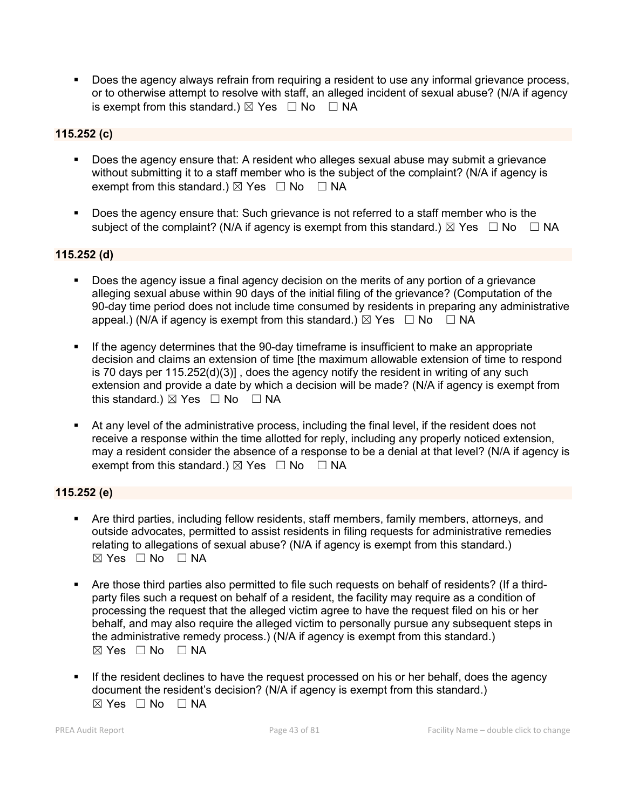Does the agency always refrain from requiring a resident to use any informal grievance process, or to otherwise attempt to resolve with staff, an alleged incident of sexual abuse? (N/A if agency is exempt from this standard.)  $\boxtimes$  Yes  $\Box$  No  $\Box$  NA

## 115.252 (c)

- Does the agency ensure that: A resident who alleges sexual abuse may submit a grievance without submitting it to a staff member who is the subject of the complaint? (N/A if agency is exempt from this standard.)  $\boxtimes$  Yes  $\Box$  No  $\Box$  NA
- Does the agency ensure that: Such grievance is not referred to a staff member who is the subject of the complaint? (N/A if agency is exempt from this standard.)  $\boxtimes$  Yes  $\Box$  No  $\Box$  NA

## 115.252 (d)

- Does the agency issue a final agency decision on the merits of any portion of a grievance alleging sexual abuse within 90 days of the initial filing of the grievance? (Computation of the 90-day time period does not include time consumed by residents in preparing any administrative appeal.) (N/A if agency is exempt from this standard.)  $\boxtimes$  Yes  $\Box$  No  $\Box$  NA
- If the agency determines that the 90-day timeframe is insufficient to make an appropriate decision and claims an extension of time [the maximum allowable extension of time to respond is 70 days per 115.252(d)(3)] , does the agency notify the resident in writing of any such extension and provide a date by which a decision will be made? (N/A if agency is exempt from this standard.)  $\boxtimes$  Yes  $\Box$  No  $\Box$  NA
- At any level of the administrative process, including the final level, if the resident does not receive a response within the time allotted for reply, including any properly noticed extension, may a resident consider the absence of a response to be a denial at that level? (N/A if agency is exempt from this standard.)  $\boxtimes$  Yes  $\Box$  No  $\Box$  NA

## 115.252 (e)

- Are third parties, including fellow residents, staff members, family members, attorneys, and outside advocates, permitted to assist residents in filing requests for administrative remedies relating to allegations of sexual abuse? (N/A if agency is exempt from this standard.) ☒ Yes ☐ No ☐ NA
- Are those third parties also permitted to file such requests on behalf of residents? (If a thirdparty files such a request on behalf of a resident, the facility may require as a condition of processing the request that the alleged victim agree to have the request filed on his or her behalf, and may also require the alleged victim to personally pursue any subsequent steps in the administrative remedy process.) (N/A if agency is exempt from this standard.)  $\boxtimes$  Yes  $\Box$  No  $\Box$  NA
- If the resident declines to have the request processed on his or her behalf, does the agency document the resident's decision? (N/A if agency is exempt from this standard.)  $⊠ Yes ⊡ No ⊡ NA$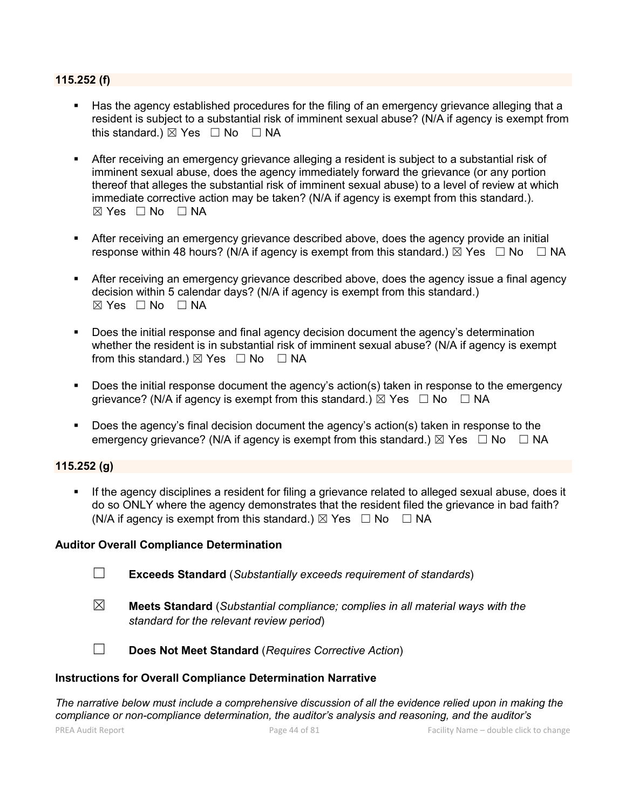#### 115.252 (f)

- Has the agency established procedures for the filing of an emergency grievance alleging that a resident is subject to a substantial risk of imminent sexual abuse? (N/A if agency is exempt from this standard.)  $\boxtimes$  Yes  $\Box$  No  $\Box$  NA
- After receiving an emergency grievance alleging a resident is subject to a substantial risk of imminent sexual abuse, does the agency immediately forward the grievance (or any portion thereof that alleges the substantial risk of imminent sexual abuse) to a level of review at which immediate corrective action may be taken? (N/A if agency is exempt from this standard.).  $\boxtimes$  Yes  $\Box$  No  $\Box$  NA
- After receiving an emergency grievance described above, does the agency provide an initial response within 48 hours? (N/A if agency is exempt from this standard.)  $\boxtimes$  Yes  $\Box$  No  $\Box$  NA
- After receiving an emergency grievance described above, does the agency issue a final agency decision within 5 calendar days? (N/A if agency is exempt from this standard.)  $\boxtimes$  Yes  $\Box$  No  $\Box$  NA
- Does the initial response and final agency decision document the agency's determination whether the resident is in substantial risk of imminent sexual abuse? (N/A if agency is exempt from this standard.)  $\boxtimes$  Yes  $\Box$  No  $\Box$  NA
- Does the initial response document the agency's action(s) taken in response to the emergency grievance? (N/A if agency is exempt from this standard.)  $\boxtimes$  Yes  $\Box$  No  $\Box$  NA
- Does the agency's final decision document the agency's action(s) taken in response to the emergency grievance? (N/A if agency is exempt from this standard.)  $\boxtimes$  Yes  $\Box$  No  $\Box$  NA

## 115.252 (g)

If the agency disciplines a resident for filing a grievance related to alleged sexual abuse, does it do so ONLY where the agency demonstrates that the resident filed the grievance in bad faith? (N/A if agency is exempt from this standard.)  $\boxtimes$  Yes  $\Box$  No  $\Box$  NA

#### Auditor Overall Compliance Determination

- ☐ Exceeds Standard (*Substantially exceeds requirement of standards*)
- ☒ Meets Standard (*Substantial compliance; complies in all material ways with the standard for the relevant review period*)

☐ Does Not Meet Standard (*Requires Corrective Action*)

#### Instructions for Overall Compliance Determination Narrative

*The narrative below must include a comprehensive discussion of all the evidence relied upon in making the compliance or non-compliance determination, the auditor's analysis and reasoning, and the auditor's*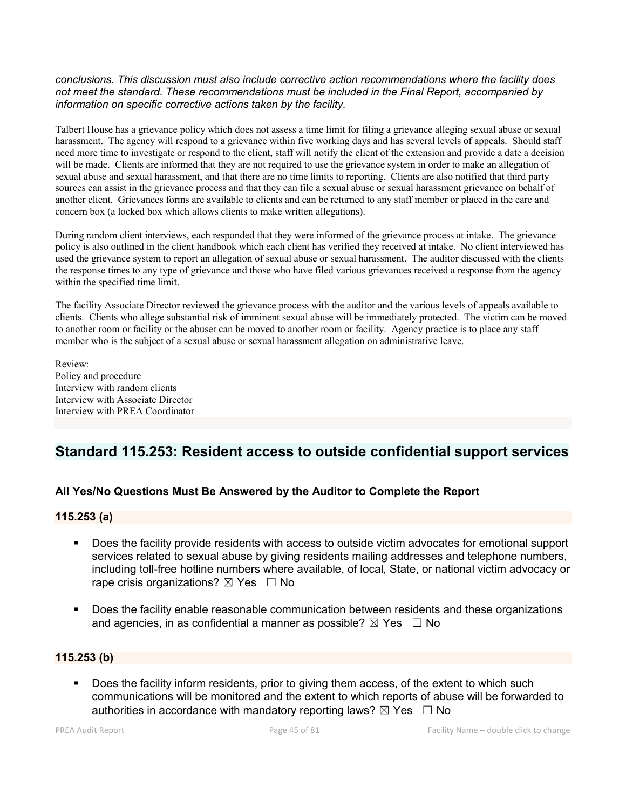#### *conclusions. This discussion must also include corrective action recommendations where the facility does not meet the standard. These recommendations must be included in the Final Report, accompanied by information on specific corrective actions taken by the facility.*

Talbert House has a grievance policy which does not assess a time limit for filing a grievance alleging sexual abuse or sexual harassment. The agency will respond to a grievance within five working days and has several levels of appeals. Should staff need more time to investigate or respond to the client, staff will notify the client of the extension and provide a date a decision will be made. Clients are informed that they are not required to use the grievance system in order to make an allegation of sexual abuse and sexual harassment, and that there are no time limits to reporting. Clients are also notified that third party sources can assist in the grievance process and that they can file a sexual abuse or sexual harassment grievance on behalf of another client. Grievances forms are available to clients and can be returned to any staff member or placed in the care and concern box (a locked box which allows clients to make written allegations).

During random client interviews, each responded that they were informed of the grievance process at intake. The grievance policy is also outlined in the client handbook which each client has verified they received at intake. No client interviewed has used the grievance system to report an allegation of sexual abuse or sexual harassment. The auditor discussed with the clients the response times to any type of grievance and those who have filed various grievances received a response from the agency within the specified time limit.

The facility Associate Director reviewed the grievance process with the auditor and the various levels of appeals available to clients. Clients who allege substantial risk of imminent sexual abuse will be immediately protected. The victim can be moved to another room or facility or the abuser can be moved to another room or facility. Agency practice is to place any staff member who is the subject of a sexual abuse or sexual harassment allegation on administrative leave.

Review: Policy and procedure Interview with random clients Interview with Associate Director Interview with PREA Coordinator

## Standard 115.253: Resident access to outside confidential support services

## All Yes/No Questions Must Be Answered by the Auditor to Complete the Report

## 115.253 (a)

- Does the facility provide residents with access to outside victim advocates for emotional support services related to sexual abuse by giving residents mailing addresses and telephone numbers, including toll-free hotline numbers where available, of local, State, or national victim advocacy or rape crisis organizations?  $\boxtimes$  Yes  $\Box$  No
- Does the facility enable reasonable communication between residents and these organizations and agencies, in as confidential a manner as possible?  $\boxtimes$  Yes  $\Box$  No

## 115.253 (b)

Does the facility inform residents, prior to giving them access, of the extent to which such communications will be monitored and the extent to which reports of abuse will be forwarded to authorities in accordance with mandatory reporting laws?  $\boxtimes$  Yes  $\Box$  No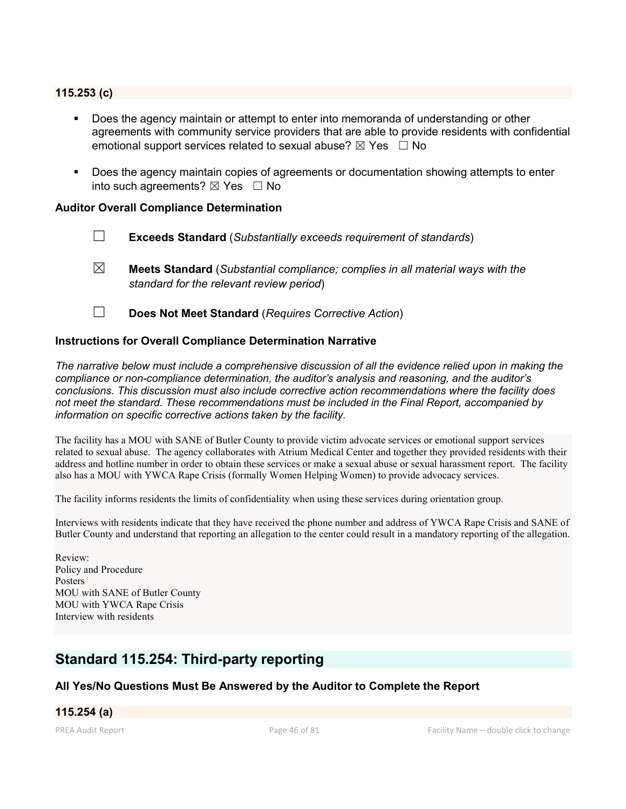### 115.253 (c)

- Does the agency maintain or attempt to enter into memoranda of understanding or other agreements with community service providers that are able to provide residents with confidential emotional support services related to sexual abuse?  $\boxtimes$  Yes  $\Box$  No
- Does the agency maintain copies of agreements or documentation showing attempts to enter into such agreements?  $\boxtimes$  Yes  $\Box$  No

#### Auditor Overall Compliance Determination

- ☐ Exceeds Standard (*Substantially exceeds requirement of standards*)
- ☒ Meets Standard (*Substantial compliance; complies in all material ways with the standard for the relevant review period*)
- ☐ Does Not Meet Standard (*Requires Corrective Action*)

#### Instructions for Overall Compliance Determination Narrative

*The narrative below must include a comprehensive discussion of all the evidence relied upon in making the compliance or non-compliance determination, the auditor's analysis and reasoning, and the auditor's conclusions. This discussion must also include corrective action recommendations where the facility does not meet the standard. These recommendations must be included in the Final Report, accompanied by information on specific corrective actions taken by the facility.*

The facility has a MOU with SANE of Butler County to provide victim advocate services or emotional support services related to sexual abuse. The agency collaborates with Atrium Medical Center and together they provided residents with their address and hotline number in order to obtain these services or make a sexual abuse or sexual harassment report. The facility also has a MOU with YWCA Rape Crisis (formally Women Helping Women) to provide advocacy services.

The facility informs residents the limits of confidentiality when using these services during orientation group.

Interviews with residents indicate that they have received the phone number and address of YWCA Rape Crisis and SANE of Butler County and understand that reporting an allegation to the center could result in a mandatory reporting of the allegation.

Review: Policy and Procedure Posters MOU with SANE of Butler County MOU with YWCA Rape Crisis Interview with residents

## Standard 115.254: Third-party reporting

## All Yes/No Questions Must Be Answered by the Auditor to Complete the Report

#### 115.254 (a)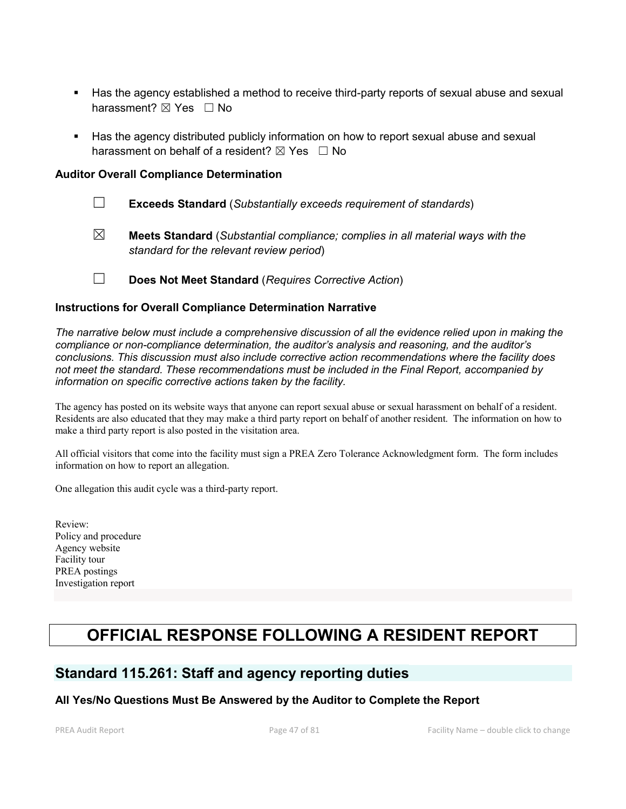- Has the agency established a method to receive third-party reports of sexual abuse and sexual harassment? ⊠ Yes □ No
- Has the agency distributed publicly information on how to report sexual abuse and sexual harassment on behalf of a resident?  $\boxtimes$  Yes  $\Box$  No

### Auditor Overall Compliance Determination

- ☐ Exceeds Standard (*Substantially exceeds requirement of standards*)
- ☒ Meets Standard (*Substantial compliance; complies in all material ways with the standard for the relevant review period*)
- ☐ Does Not Meet Standard (*Requires Corrective Action*)

### Instructions for Overall Compliance Determination Narrative

*The narrative below must include a comprehensive discussion of all the evidence relied upon in making the compliance or non-compliance determination, the auditor's analysis and reasoning, and the auditor's conclusions. This discussion must also include corrective action recommendations where the facility does not meet the standard. These recommendations must be included in the Final Report, accompanied by information on specific corrective actions taken by the facility.*

The agency has posted on its website ways that anyone can report sexual abuse or sexual harassment on behalf of a resident. Residents are also educated that they may make a third party report on behalf of another resident. The information on how to make a third party report is also posted in the visitation area.

All official visitors that come into the facility must sign a PREA Zero Tolerance Acknowledgment form. The form includes information on how to report an allegation.

One allegation this audit cycle was a third-party report.

Review: Policy and procedure Agency website Facility tour PREA postings Investigation report

# OFFICIAL RESPONSE FOLLOWING A RESIDENT REPORT

## Standard 115.261: Staff and agency reporting duties

## All Yes/No Questions Must Be Answered by the Auditor to Complete the Report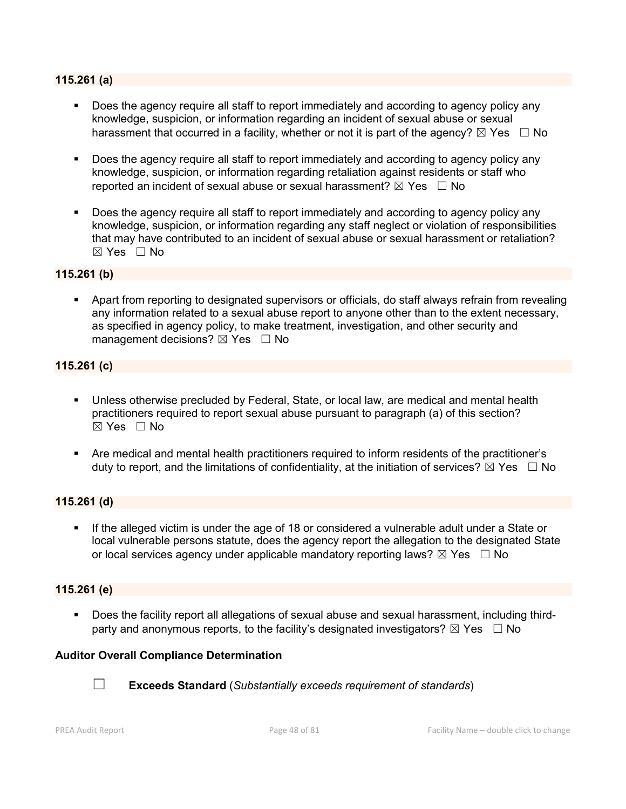#### 115.261 (a)

- Does the agency require all staff to report immediately and according to agency policy any knowledge, suspicion, or information regarding an incident of sexual abuse or sexual harassment that occurred in a facility, whether or not it is part of the agency?  $\boxtimes$  Yes  $\Box$  No
- Does the agency require all staff to report immediately and according to agency policy any knowledge, suspicion, or information regarding retaliation against residents or staff who reported an incident of sexual abuse or sexual harassment?  $\boxtimes$  Yes  $\Box$  No
- Does the agency require all staff to report immediately and according to agency policy any knowledge, suspicion, or information regarding any staff neglect or violation of responsibilities that may have contributed to an incident of sexual abuse or sexual harassment or retaliation? ☒ Yes ☐ No

#### 115.261 (b)

 Apart from reporting to designated supervisors or officials, do staff always refrain from revealing any information related to a sexual abuse report to anyone other than to the extent necessary, as specified in agency policy, to make treatment, investigation, and other security and management decisions?  $\boxtimes$  Yes  $\Box$  No

#### 115.261 (c)

- Unless otherwise precluded by Federal, State, or local law, are medical and mental health practitioners required to report sexual abuse pursuant to paragraph (a) of this section?  $\boxtimes$  Yes  $\Box$  No
- Are medical and mental health practitioners required to inform residents of the practitioner's duty to report, and the limitations of confidentiality, at the initiation of services?  $\boxtimes$  Yes  $\Box$  No

#### 115.261 (d)

 If the alleged victim is under the age of 18 or considered a vulnerable adult under a State or local vulnerable persons statute, does the agency report the allegation to the designated State or local services agency under applicable mandatory reporting laws?  $\boxtimes$  Yes  $\Box$  No

## 115.261 (e)

 Does the facility report all allegations of sexual abuse and sexual harassment, including thirdparty and anonymous reports, to the facility's designated investigators?  $\boxtimes$  Yes  $\Box$  No

## Auditor Overall Compliance Determination



☐ Exceeds Standard (*Substantially exceeds requirement of standards*)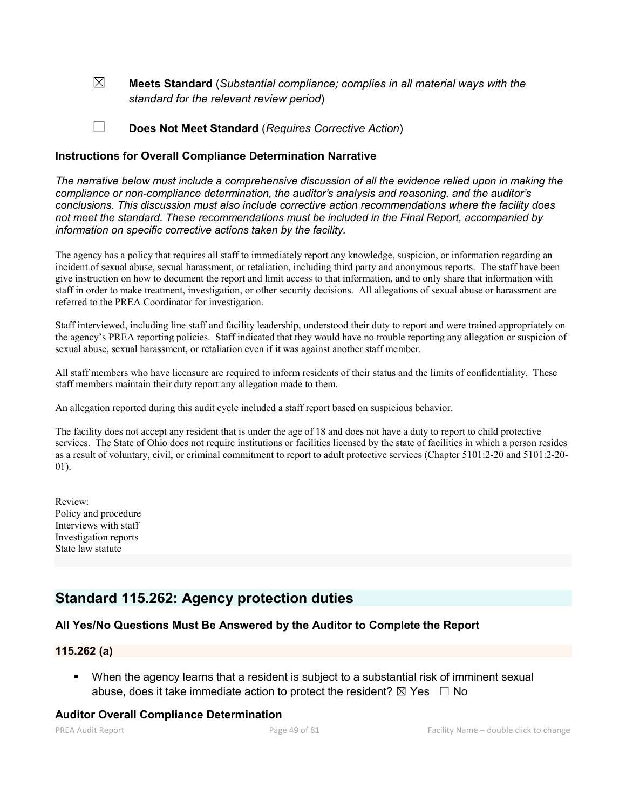☒ Meets Standard (*Substantial compliance; complies in all material ways with the standard for the relevant review period*)

☐ Does Not Meet Standard (*Requires Corrective Action*)

### Instructions for Overall Compliance Determination Narrative

*The narrative below must include a comprehensive discussion of all the evidence relied upon in making the compliance or non-compliance determination, the auditor's analysis and reasoning, and the auditor's conclusions. This discussion must also include corrective action recommendations where the facility does not meet the standard. These recommendations must be included in the Final Report, accompanied by information on specific corrective actions taken by the facility.*

The agency has a policy that requires all staff to immediately report any knowledge, suspicion, or information regarding an incident of sexual abuse, sexual harassment, or retaliation, including third party and anonymous reports. The staff have been give instruction on how to document the report and limit access to that information, and to only share that information with staff in order to make treatment, investigation, or other security decisions. All allegations of sexual abuse or harassment are referred to the PREA Coordinator for investigation.

Staff interviewed, including line staff and facility leadership, understood their duty to report and were trained appropriately on the agency's PREA reporting policies. Staff indicated that they would have no trouble reporting any allegation or suspicion of sexual abuse, sexual harassment, or retaliation even if it was against another staff member.

All staff members who have licensure are required to inform residents of their status and the limits of confidentiality. These staff members maintain their duty report any allegation made to them.

An allegation reported during this audit cycle included a staff report based on suspicious behavior.

The facility does not accept any resident that is under the age of 18 and does not have a duty to report to child protective services. The State of Ohio does not require institutions or facilities licensed by the state of facilities in which a person resides as a result of voluntary, civil, or criminal commitment to report to adult protective services (Chapter 5101:2-20 and 5101:2-20- 01).

Review: Policy and procedure Interviews with staff Investigation reports State law statute

## Standard 115.262: Agency protection duties

#### All Yes/No Questions Must Be Answered by the Auditor to Complete the Report

## 115.262 (a)

 When the agency learns that a resident is subject to a substantial risk of imminent sexual abuse, does it take immediate action to protect the resident?  $\boxtimes$  Yes  $\Box$  No

## Auditor Overall Compliance Determination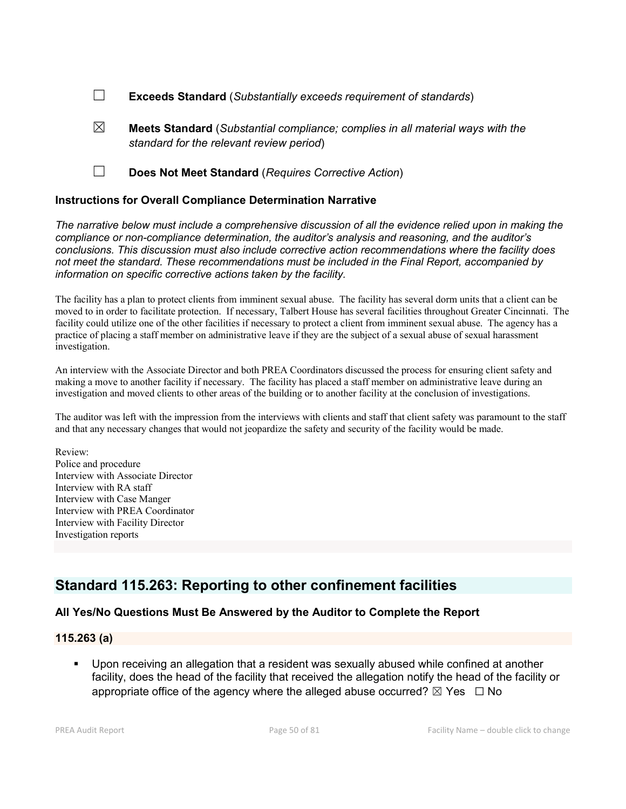- ☐ Exceeds Standard (*Substantially exceeds requirement of standards*)
- $\boxtimes$  **Meets Standard** (*Substantial compliance; complies in all material ways with the standard for the relevant review period*)
- ☐ Does Not Meet Standard (*Requires Corrective Action*)

### Instructions for Overall Compliance Determination Narrative

*The narrative below must include a comprehensive discussion of all the evidence relied upon in making the compliance or non-compliance determination, the auditor's analysis and reasoning, and the auditor's conclusions. This discussion must also include corrective action recommendations where the facility does not meet the standard. These recommendations must be included in the Final Report, accompanied by information on specific corrective actions taken by the facility.*

The facility has a plan to protect clients from imminent sexual abuse. The facility has several dorm units that a client can be moved to in order to facilitate protection. If necessary, Talbert House has several facilities throughout Greater Cincinnati. The facility could utilize one of the other facilities if necessary to protect a client from imminent sexual abuse. The agency has a practice of placing a staff member on administrative leave if they are the subject of a sexual abuse of sexual harassment investigation.

An interview with the Associate Director and both PREA Coordinators discussed the process for ensuring client safety and making a move to another facility if necessary. The facility has placed a staff member on administrative leave during an investigation and moved clients to other areas of the building or to another facility at the conclusion of investigations.

The auditor was left with the impression from the interviews with clients and staff that client safety was paramount to the staff and that any necessary changes that would not jeopardize the safety and security of the facility would be made.

Review: Police and procedure Interview with Associate Director Interview with RA staff Interview with Case Manger Interview with PREA Coordinator Interview with Facility Director Investigation reports

## Standard 115.263: Reporting to other confinement facilities

## All Yes/No Questions Must Be Answered by the Auditor to Complete the Report

#### 115.263 (a)

 Upon receiving an allegation that a resident was sexually abused while confined at another facility, does the head of the facility that received the allegation notify the head of the facility or appropriate office of the agency where the alleged abuse occurred?  $\boxtimes$  Yes  $\Box$  No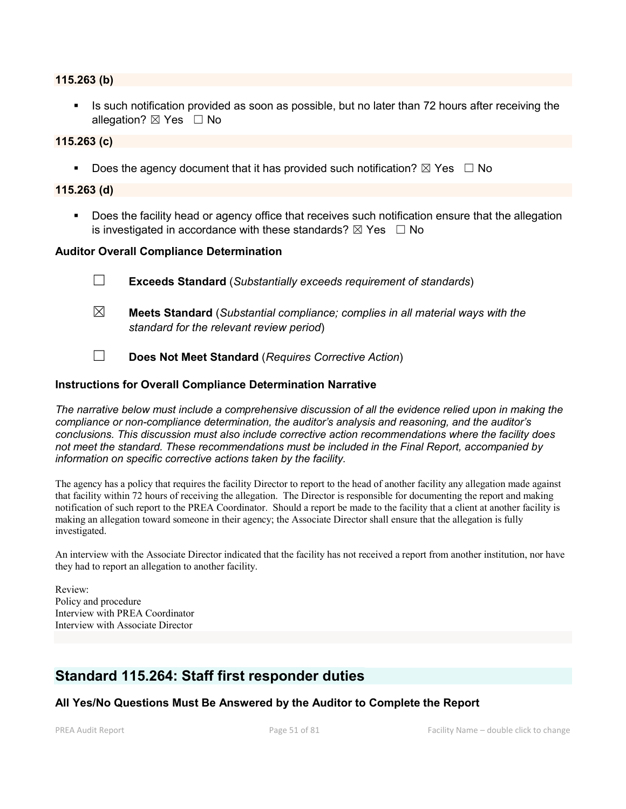#### 115.263 (b)

 Is such notification provided as soon as possible, but no later than 72 hours after receiving the allegation? ⊠ Yes □ No

#### 115.263 (c)

Does the agency document that it has provided such notification?  $\boxtimes$  Yes  $\Box$  No

#### 115.263 (d)

**Does the facility head or agency office that receives such notification ensure that the allegation** is investigated in accordance with these standards?  $\boxtimes$  Yes  $\Box$  No

#### Auditor Overall Compliance Determination

- ☐ Exceeds Standard (*Substantially exceeds requirement of standards*)
- ☒ Meets Standard (*Substantial compliance; complies in all material ways with the standard for the relevant review period*)
- ☐ Does Not Meet Standard (*Requires Corrective Action*)

#### Instructions for Overall Compliance Determination Narrative

*The narrative below must include a comprehensive discussion of all the evidence relied upon in making the compliance or non-compliance determination, the auditor's analysis and reasoning, and the auditor's conclusions. This discussion must also include corrective action recommendations where the facility does not meet the standard. These recommendations must be included in the Final Report, accompanied by information on specific corrective actions taken by the facility.*

The agency has a policy that requires the facility Director to report to the head of another facility any allegation made against that facility within 72 hours of receiving the allegation. The Director is responsible for documenting the report and making notification of such report to the PREA Coordinator. Should a report be made to the facility that a client at another facility is making an allegation toward someone in their agency; the Associate Director shall ensure that the allegation is fully investigated.

An interview with the Associate Director indicated that the facility has not received a report from another institution, nor have they had to report an allegation to another facility.

Review: Policy and procedure Interview with PREA Coordinator Interview with Associate Director

## Standard 115.264: Staff first responder duties

All Yes/No Questions Must Be Answered by the Auditor to Complete the Report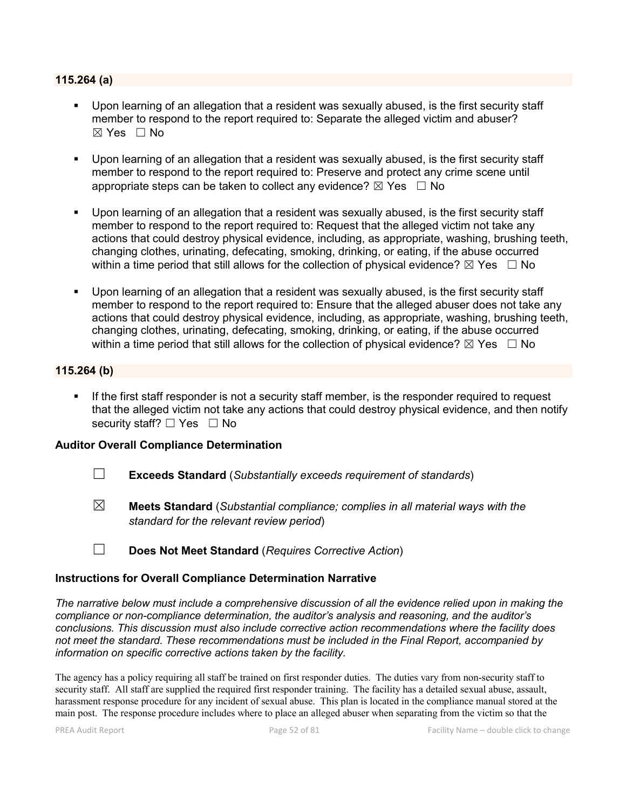#### 115.264 (a)

- Upon learning of an allegation that a resident was sexually abused, is the first security staff member to respond to the report required to: Separate the alleged victim and abuser?  $\boxtimes$  Yes  $\Box$  No
- Upon learning of an allegation that a resident was sexually abused, is the first security staff member to respond to the report required to: Preserve and protect any crime scene until appropriate steps can be taken to collect any evidence?  $\boxtimes$  Yes  $\Box$  No
- Upon learning of an allegation that a resident was sexually abused, is the first security staff member to respond to the report required to: Request that the alleged victim not take any actions that could destroy physical evidence, including, as appropriate, washing, brushing teeth, changing clothes, urinating, defecating, smoking, drinking, or eating, if the abuse occurred within a time period that still allows for the collection of physical evidence?  $\boxtimes$  Yes  $\Box$  No
- Upon learning of an allegation that a resident was sexually abused, is the first security staff member to respond to the report required to: Ensure that the alleged abuser does not take any actions that could destroy physical evidence, including, as appropriate, washing, brushing teeth, changing clothes, urinating, defecating, smoking, drinking, or eating, if the abuse occurred within a time period that still allows for the collection of physical evidence?  $\boxtimes$  Yes  $\Box$  No

## 115.264 (b)

 If the first staff responder is not a security staff member, is the responder required to request that the alleged victim not take any actions that could destroy physical evidence, and then notify security staff? □ Yes □ No

#### Auditor Overall Compliance Determination

- ☐ Exceeds Standard (*Substantially exceeds requirement of standards*)
- ☒ Meets Standard (*Substantial compliance; complies in all material ways with the standard for the relevant review period*)
- ☐ Does Not Meet Standard (*Requires Corrective Action*)

#### Instructions for Overall Compliance Determination Narrative

*The narrative below must include a comprehensive discussion of all the evidence relied upon in making the compliance or non-compliance determination, the auditor's analysis and reasoning, and the auditor's conclusions. This discussion must also include corrective action recommendations where the facility does not meet the standard. These recommendations must be included in the Final Report, accompanied by information on specific corrective actions taken by the facility.*

The agency has a policy requiring all staff be trained on first responder duties. The duties vary from non-security staff to security staff. All staff are supplied the required first responder training. The facility has a detailed sexual abuse, assault, harassment response procedure for any incident of sexual abuse. This plan is located in the compliance manual stored at the main post. The response procedure includes where to place an alleged abuser when separating from the victim so that the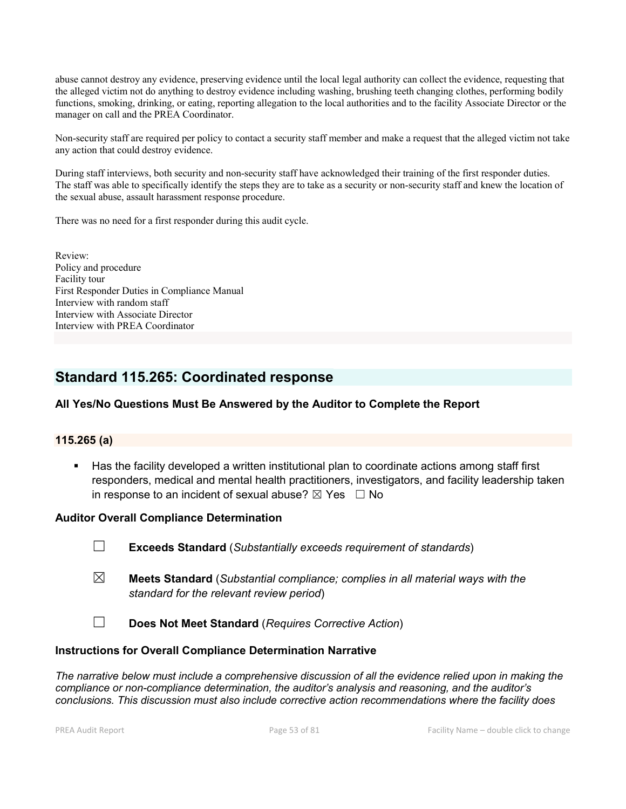abuse cannot destroy any evidence, preserving evidence until the local legal authority can collect the evidence, requesting that the alleged victim not do anything to destroy evidence including washing, brushing teeth changing clothes, performing bodily functions, smoking, drinking, or eating, reporting allegation to the local authorities and to the facility Associate Director or the manager on call and the PREA Coordinator.

Non-security staff are required per policy to contact a security staff member and make a request that the alleged victim not take any action that could destroy evidence.

During staff interviews, both security and non-security staff have acknowledged their training of the first responder duties. The staff was able to specifically identify the steps they are to take as a security or non-security staff and knew the location of the sexual abuse, assault harassment response procedure.

There was no need for a first responder during this audit cycle.

Review: Policy and procedure Facility tour First Responder Duties in Compliance Manual Interview with random staff Interview with Associate Director Interview with PREA Coordinator

## Standard 115.265: Coordinated response

## All Yes/No Questions Must Be Answered by the Auditor to Complete the Report

## 115.265 (a)

 Has the facility developed a written institutional plan to coordinate actions among staff first responders, medical and mental health practitioners, investigators, and facility leadership taken in response to an incident of sexual abuse?  $\boxtimes$  Yes  $\Box$  No

#### Auditor Overall Compliance Determination

☐ Exceeds Standard (*Substantially exceeds requirement of standards*)

- ☒ Meets Standard (*Substantial compliance; complies in all material ways with the standard for the relevant review period*)
- ☐ Does Not Meet Standard (*Requires Corrective Action*)

#### Instructions for Overall Compliance Determination Narrative

*The narrative below must include a comprehensive discussion of all the evidence relied upon in making the compliance or non-compliance determination, the auditor's analysis and reasoning, and the auditor's conclusions. This discussion must also include corrective action recommendations where the facility does*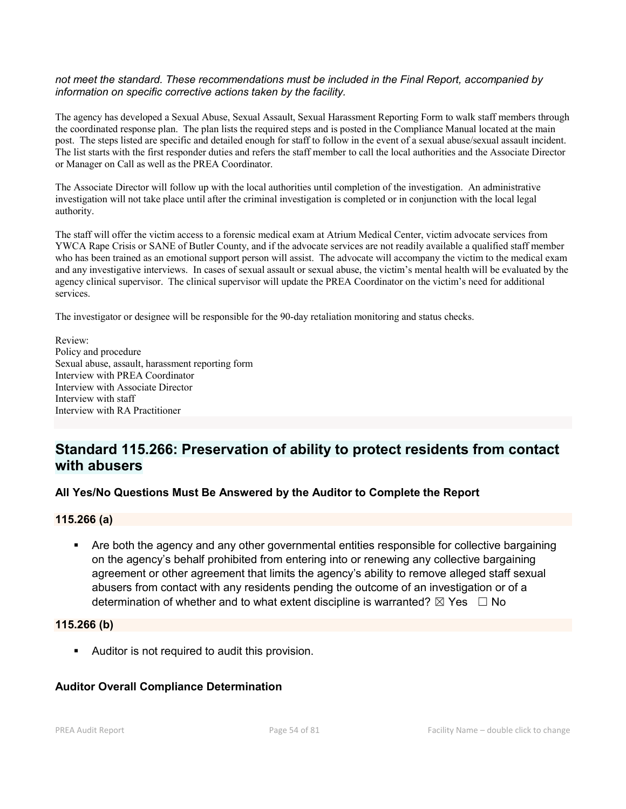#### *not meet the standard. These recommendations must be included in the Final Report, accompanied by information on specific corrective actions taken by the facility.*

The agency has developed a Sexual Abuse, Sexual Assault, Sexual Harassment Reporting Form to walk staff members through the coordinated response plan. The plan lists the required steps and is posted in the Compliance Manual located at the main post. The steps listed are specific and detailed enough for staff to follow in the event of a sexual abuse/sexual assault incident. The list starts with the first responder duties and refers the staff member to call the local authorities and the Associate Director or Manager on Call as well as the PREA Coordinator.

The Associate Director will follow up with the local authorities until completion of the investigation. An administrative investigation will not take place until after the criminal investigation is completed or in conjunction with the local legal authority.

The staff will offer the victim access to a forensic medical exam at Atrium Medical Center, victim advocate services from YWCA Rape Crisis or SANE of Butler County, and if the advocate services are not readily available a qualified staff member who has been trained as an emotional support person will assist. The advocate will accompany the victim to the medical exam and any investigative interviews. In cases of sexual assault or sexual abuse, the victim's mental health will be evaluated by the agency clinical supervisor. The clinical supervisor will update the PREA Coordinator on the victim's need for additional services.

The investigator or designee will be responsible for the 90-day retaliation monitoring and status checks.

Review: Policy and procedure Sexual abuse, assault, harassment reporting form Interview with PREA Coordinator Interview with Associate Director Interview with staff Interview with RA Practitioner

## Standard 115.266: Preservation of ability to protect residents from contact with abusers

## All Yes/No Questions Must Be Answered by the Auditor to Complete the Report

## 115.266 (a)

 Are both the agency and any other governmental entities responsible for collective bargaining on the agency's behalf prohibited from entering into or renewing any collective bargaining agreement or other agreement that limits the agency's ability to remove alleged staff sexual abusers from contact with any residents pending the outcome of an investigation or of a determination of whether and to what extent discipline is warranted?  $\boxtimes$  Yes  $\Box$  No

#### 115.266 (b)

**Auditor is not required to audit this provision.** 

## Auditor Overall Compliance Determination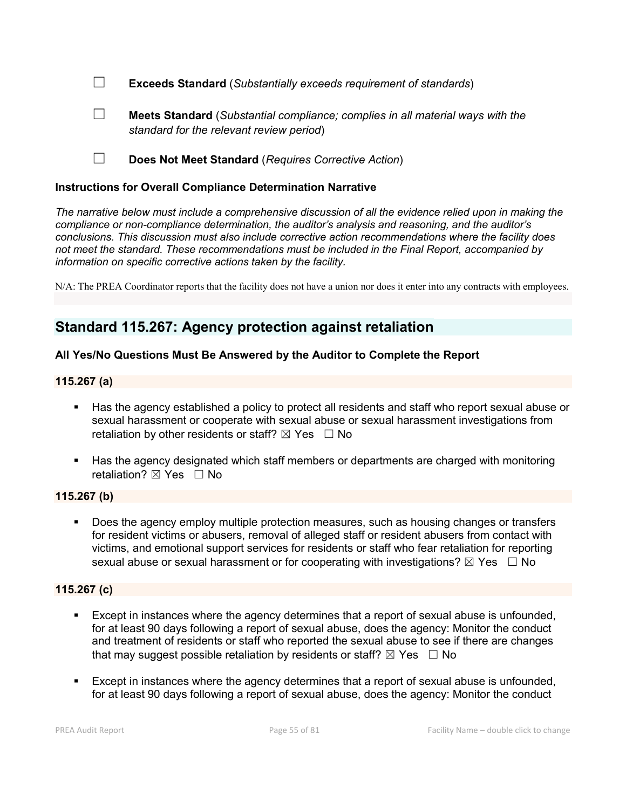☐ Exceeds Standard (*Substantially exceeds requirement of standards*)



☐ Meets Standard (*Substantial compliance; complies in all material ways with the standard for the relevant review period*)

☐ Does Not Meet Standard (*Requires Corrective Action*)

## Instructions for Overall Compliance Determination Narrative

*The narrative below must include a comprehensive discussion of all the evidence relied upon in making the compliance or non-compliance determination, the auditor's analysis and reasoning, and the auditor's conclusions. This discussion must also include corrective action recommendations where the facility does not meet the standard. These recommendations must be included in the Final Report, accompanied by information on specific corrective actions taken by the facility.*

N/A: The PREA Coordinator reports that the facility does not have a union nor does it enter into any contracts with employees.

## Standard 115.267: Agency protection against retaliation

## All Yes/No Questions Must Be Answered by the Auditor to Complete the Report

## 115.267 (a)

- Has the agency established a policy to protect all residents and staff who report sexual abuse or sexual harassment or cooperate with sexual abuse or sexual harassment investigations from retaliation by other residents or staff?  $\boxtimes$  Yes  $\Box$  No
- Has the agency designated which staff members or departments are charged with monitoring retaliation? **⊠** Yes □ No

## 115.267 (b)

 Does the agency employ multiple protection measures, such as housing changes or transfers for resident victims or abusers, removal of alleged staff or resident abusers from contact with victims, and emotional support services for residents or staff who fear retaliation for reporting sexual abuse or sexual harassment or for cooperating with investigations?  $\boxtimes$  Yes  $\Box$  No

## 115.267 (c)

- Except in instances where the agency determines that a report of sexual abuse is unfounded, for at least 90 days following a report of sexual abuse, does the agency: Monitor the conduct and treatment of residents or staff who reported the sexual abuse to see if there are changes that may suggest possible retaliation by residents or staff?  $\boxtimes$  Yes  $\Box$  No
- Except in instances where the agency determines that a report of sexual abuse is unfounded, for at least 90 days following a report of sexual abuse, does the agency: Monitor the conduct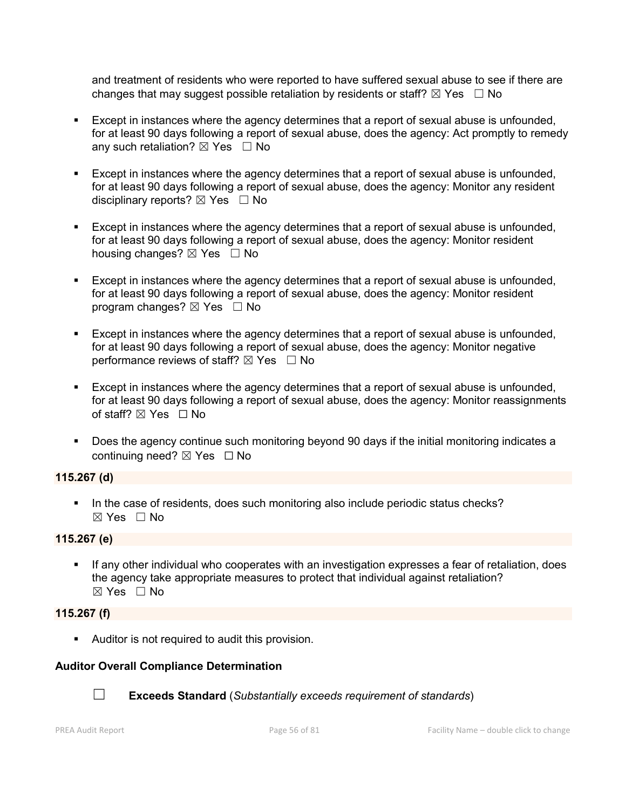and treatment of residents who were reported to have suffered sexual abuse to see if there are changes that may suggest possible retaliation by residents or staff?  $\boxtimes$  Yes  $\Box$  No

- Except in instances where the agency determines that a report of sexual abuse is unfounded, for at least 90 days following a report of sexual abuse, does the agency: Act promptly to remedy any such retaliation?  $\boxtimes$  Yes  $\Box$  No
- Except in instances where the agency determines that a report of sexual abuse is unfounded, for at least 90 days following a report of sexual abuse, does the agency: Monitor any resident disciplinary reports?  $\boxtimes$  Yes  $\Box$  No
- Except in instances where the agency determines that a report of sexual abuse is unfounded, for at least 90 days following a report of sexual abuse, does the agency: Monitor resident housing changes? ⊠ Yes □ No
- Except in instances where the agency determines that a report of sexual abuse is unfounded, for at least 90 days following a report of sexual abuse, does the agency: Monitor resident program changes?  $\boxtimes$  Yes  $\Box$  No
- Except in instances where the agency determines that a report of sexual abuse is unfounded, for at least 90 days following a report of sexual abuse, does the agency: Monitor negative performance reviews of staff?  $\boxtimes$  Yes  $\Box$  No
- Except in instances where the agency determines that a report of sexual abuse is unfounded, for at least 90 days following a report of sexual abuse, does the agency: Monitor reassignments of staff? ⊠ Yes □ No
- Does the agency continue such monitoring beyond 90 days if the initial monitoring indicates a continuing need? ⊠ Yes □ No

## 115.267 (d)

In the case of residents, does such monitoring also include periodic status checks? ☒ Yes ☐ No

## 115.267 (e)

 If any other individual who cooperates with an investigation expresses a fear of retaliation, does the agency take appropriate measures to protect that individual against retaliation? ☒ Yes ☐ No

## 115.267 (f)

**Auditor is not required to audit this provision.** 

## Auditor Overall Compliance Determination



☐ Exceeds Standard (*Substantially exceeds requirement of standards*)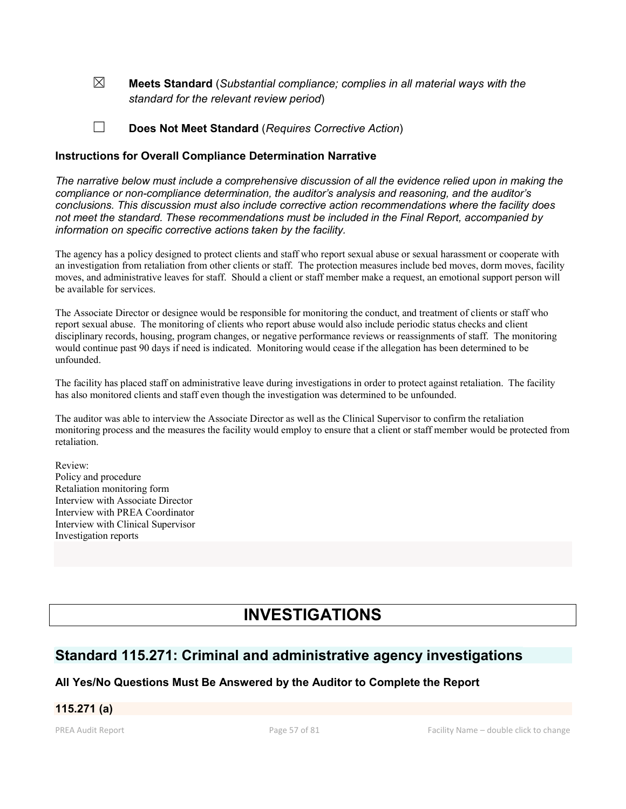☒ Meets Standard (*Substantial compliance; complies in all material ways with the standard for the relevant review period*)

☐ Does Not Meet Standard (*Requires Corrective Action*)

### Instructions for Overall Compliance Determination Narrative

*The narrative below must include a comprehensive discussion of all the evidence relied upon in making the compliance or non-compliance determination, the auditor's analysis and reasoning, and the auditor's conclusions. This discussion must also include corrective action recommendations where the facility does not meet the standard. These recommendations must be included in the Final Report, accompanied by information on specific corrective actions taken by the facility.*

The agency has a policy designed to protect clients and staff who report sexual abuse or sexual harassment or cooperate with an investigation from retaliation from other clients or staff. The protection measures include bed moves, dorm moves, facility moves, and administrative leaves for staff. Should a client or staff member make a request, an emotional support person will be available for services.

The Associate Director or designee would be responsible for monitoring the conduct, and treatment of clients or staff who report sexual abuse. The monitoring of clients who report abuse would also include periodic status checks and client disciplinary records, housing, program changes, or negative performance reviews or reassignments of staff. The monitoring would continue past 90 days if need is indicated. Monitoring would cease if the allegation has been determined to be unfounded.

The facility has placed staff on administrative leave during investigations in order to protect against retaliation. The facility has also monitored clients and staff even though the investigation was determined to be unfounded.

The auditor was able to interview the Associate Director as well as the Clinical Supervisor to confirm the retaliation monitoring process and the measures the facility would employ to ensure that a client or staff member would be protected from retaliation.

Review: Policy and procedure Retaliation monitoring form Interview with Associate Director Interview with PREA Coordinator Interview with Clinical Supervisor Investigation reports

# INVESTIGATIONS

## Standard 115.271: Criminal and administrative agency investigations

## All Yes/No Questions Must Be Answered by the Auditor to Complete the Report

## 115.271 (a)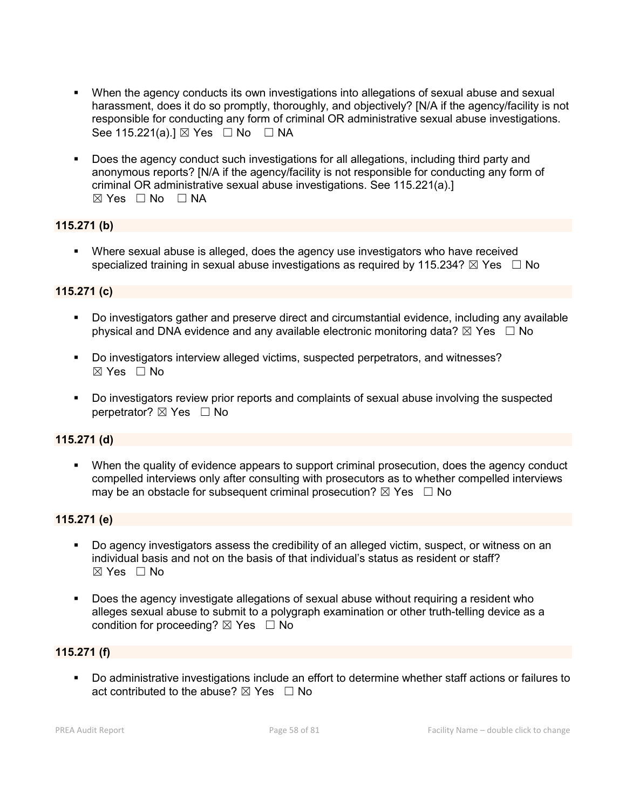- When the agency conducts its own investigations into allegations of sexual abuse and sexual harassment, does it do so promptly, thoroughly, and objectively? [N/A if the agency/facility is not responsible for conducting any form of criminal OR administrative sexual abuse investigations. See 115.221(a).]  $\boxtimes$  Yes  $\Box$  No  $\Box$  NA
- Does the agency conduct such investigations for all allegations, including third party and anonymous reports? [N/A if the agency/facility is not responsible for conducting any form of criminal OR administrative sexual abuse investigations. See 115.221(a).]  $\boxtimes$  Yes  $\Box$  No  $\Box$  NA

## 115.271 (b)

 Where sexual abuse is alleged, does the agency use investigators who have received specialized training in sexual abuse investigations as required by 115.234?  $\boxtimes$  Yes  $\Box$  No

## 115.271 (c)

- Do investigators gather and preserve direct and circumstantial evidence, including any available physical and DNA evidence and any available electronic monitoring data?  $\boxtimes$  Yes  $\Box$  No
- Do investigators interview alleged victims, suspected perpetrators, and witnesses?  $\boxtimes$  Yes  $\Box$  No
- Do investigators review prior reports and complaints of sexual abuse involving the suspected perpetrator? ⊠ Yes □ No

#### 115.271 (d)

 When the quality of evidence appears to support criminal prosecution, does the agency conduct compelled interviews only after consulting with prosecutors as to whether compelled interviews may be an obstacle for subsequent criminal prosecution?  $\boxtimes$  Yes  $\Box$  No

### 115.271 (e)

- Do agency investigators assess the credibility of an alleged victim, suspect, or witness on an individual basis and not on the basis of that individual's status as resident or staff?  $\boxtimes$  Yes  $\Box$  No
- Does the agency investigate allegations of sexual abuse without requiring a resident who alleges sexual abuse to submit to a polygraph examination or other truth-telling device as a condition for proceeding?  $\boxtimes$  Yes  $\Box$  No

## 115.271 (f)

 Do administrative investigations include an effort to determine whether staff actions or failures to act contributed to the abuse?  $\boxtimes$  Yes  $\Box$  No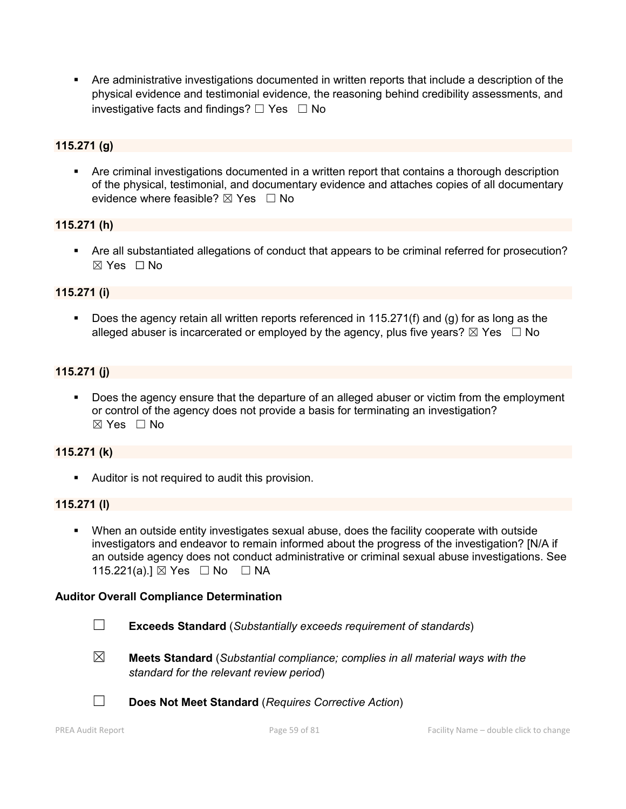Are administrative investigations documented in written reports that include a description of the physical evidence and testimonial evidence, the reasoning behind credibility assessments, and investigative facts and findings?  $\Box$  Yes  $\Box$  No

## 115.271 (g)

 Are criminal investigations documented in a written report that contains a thorough description of the physical, testimonial, and documentary evidence and attaches copies of all documentary evidence where feasible?  $\boxtimes$  Yes  $\Box$  No

## 115.271 (h)

 Are all substantiated allegations of conduct that appears to be criminal referred for prosecution? ☒ Yes ☐ No

## 115.271 (i)

 Does the agency retain all written reports referenced in 115.271(f) and (g) for as long as the alleged abuser is incarcerated or employed by the agency, plus five years?  $\boxtimes$  Yes  $\Box$  No

### 115.271 (j)

 Does the agency ensure that the departure of an alleged abuser or victim from the employment or control of the agency does not provide a basis for terminating an investigation?  $\boxtimes$  Yes  $\Box$  No

#### 115.271 (k)

**Auditor is not required to audit this provision.** 

#### 115.271 (l)

 When an outside entity investigates sexual abuse, does the facility cooperate with outside investigators and endeavor to remain informed about the progress of the investigation? [N/A if an outside agency does not conduct administrative or criminal sexual abuse investigations. See 115.221(a).] ⊠ Yes □ No □ NA

#### Auditor Overall Compliance Determination

- ☐ Exceeds Standard (*Substantially exceeds requirement of standards*)
- 
- ☒ Meets Standard (*Substantial compliance; complies in all material ways with the standard for the relevant review period*)
- ☐ Does Not Meet Standard (*Requires Corrective Action*)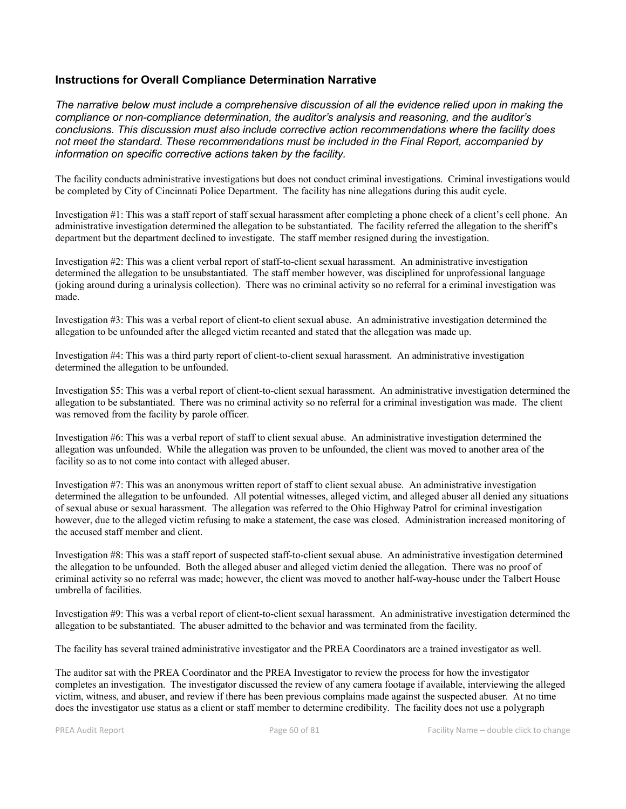### Instructions for Overall Compliance Determination Narrative

*The narrative below must include a comprehensive discussion of all the evidence relied upon in making the compliance or non-compliance determination, the auditor's analysis and reasoning, and the auditor's conclusions. This discussion must also include corrective action recommendations where the facility does not meet the standard. These recommendations must be included in the Final Report, accompanied by information on specific corrective actions taken by the facility.*

The facility conducts administrative investigations but does not conduct criminal investigations. Criminal investigations would be completed by City of Cincinnati Police Department. The facility has nine allegations during this audit cycle.

Investigation #1: This was a staff report of staff sexual harassment after completing a phone check of a client's cell phone. An administrative investigation determined the allegation to be substantiated. The facility referred the allegation to the sheriff's department but the department declined to investigate. The staff member resigned during the investigation.

Investigation #2: This was a client verbal report of staff-to-client sexual harassment. An administrative investigation determined the allegation to be unsubstantiated. The staff member however, was disciplined for unprofessional language (joking around during a urinalysis collection). There was no criminal activity so no referral for a criminal investigation was made.

Investigation #3: This was a verbal report of client-to client sexual abuse. An administrative investigation determined the allegation to be unfounded after the alleged victim recanted and stated that the allegation was made up.

Investigation #4: This was a third party report of client-to-client sexual harassment. An administrative investigation determined the allegation to be unfounded.

Investigation \$5: This was a verbal report of client-to-client sexual harassment. An administrative investigation determined the allegation to be substantiated. There was no criminal activity so no referral for a criminal investigation was made. The client was removed from the facility by parole officer.

Investigation #6: This was a verbal report of staff to client sexual abuse. An administrative investigation determined the allegation was unfounded. While the allegation was proven to be unfounded, the client was moved to another area of the facility so as to not come into contact with alleged abuser.

Investigation #7: This was an anonymous written report of staff to client sexual abuse. An administrative investigation determined the allegation to be unfounded. All potential witnesses, alleged victim, and alleged abuser all denied any situations of sexual abuse or sexual harassment. The allegation was referred to the Ohio Highway Patrol for criminal investigation however, due to the alleged victim refusing to make a statement, the case was closed. Administration increased monitoring of the accused staff member and client.

Investigation #8: This was a staff report of suspected staff-to-client sexual abuse. An administrative investigation determined the allegation to be unfounded. Both the alleged abuser and alleged victim denied the allegation. There was no proof of criminal activity so no referral was made; however, the client was moved to another half-way-house under the Talbert House umbrella of facilities.

Investigation #9: This was a verbal report of client-to-client sexual harassment. An administrative investigation determined the allegation to be substantiated. The abuser admitted to the behavior and was terminated from the facility.

The facility has several trained administrative investigator and the PREA Coordinators are a trained investigator as well.

The auditor sat with the PREA Coordinator and the PREA Investigator to review the process for how the investigator completes an investigation. The investigator discussed the review of any camera footage if available, interviewing the alleged victim, witness, and abuser, and review if there has been previous complains made against the suspected abuser. At no time does the investigator use status as a client or staff member to determine credibility. The facility does not use a polygraph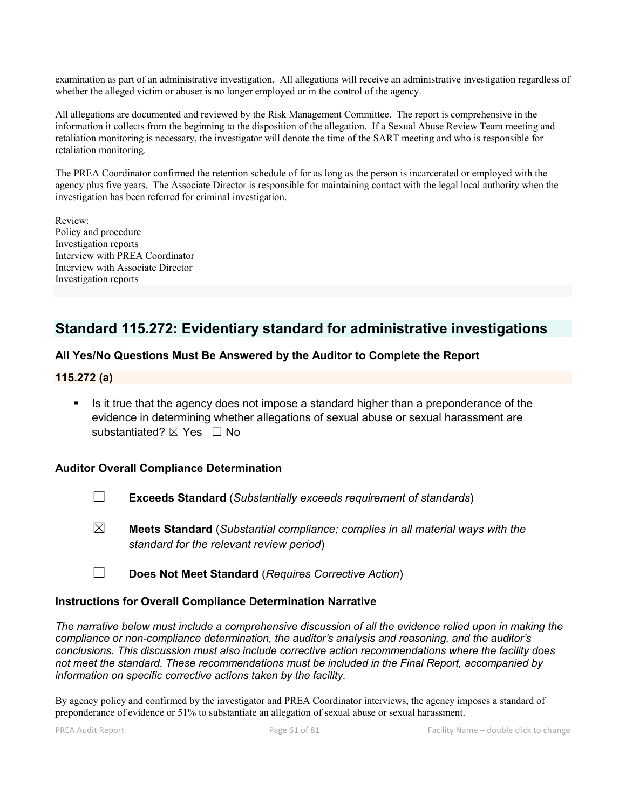examination as part of an administrative investigation. All allegations will receive an administrative investigation regardless of whether the alleged victim or abuser is no longer employed or in the control of the agency.

All allegations are documented and reviewed by the Risk Management Committee. The report is comprehensive in the information it collects from the beginning to the disposition of the allegation. If a Sexual Abuse Review Team meeting and retaliation monitoring is necessary, the investigator will denote the time of the SART meeting and who is responsible for retaliation monitoring.

The PREA Coordinator confirmed the retention schedule of for as long as the person is incarcerated or employed with the agency plus five years. The Associate Director is responsible for maintaining contact with the legal local authority when the investigation has been referred for criminal investigation.

Review: Policy and procedure Investigation reports Interview with PREA Coordinator Interview with Associate Director Investigation reports

## Standard 115.272: Evidentiary standard for administrative investigations

## All Yes/No Questions Must Be Answered by the Auditor to Complete the Report

## 115.272 (a)

 Is it true that the agency does not impose a standard higher than a preponderance of the evidence in determining whether allegations of sexual abuse or sexual harassment are substantiated? ⊠ Yes □ No

## Auditor Overall Compliance Determination

- ☐ Exceeds Standard (*Substantially exceeds requirement of standards*)
- ☒ Meets Standard (*Substantial compliance; complies in all material ways with the standard for the relevant review period*)
- ☐ Does Not Meet Standard (*Requires Corrective Action*)

## Instructions for Overall Compliance Determination Narrative

*The narrative below must include a comprehensive discussion of all the evidence relied upon in making the compliance or non-compliance determination, the auditor's analysis and reasoning, and the auditor's conclusions. This discussion must also include corrective action recommendations where the facility does not meet the standard. These recommendations must be included in the Final Report, accompanied by information on specific corrective actions taken by the facility.*

By agency policy and confirmed by the investigator and PREA Coordinator interviews, the agency imposes a standard of preponderance of evidence or 51% to substantiate an allegation of sexual abuse or sexual harassment.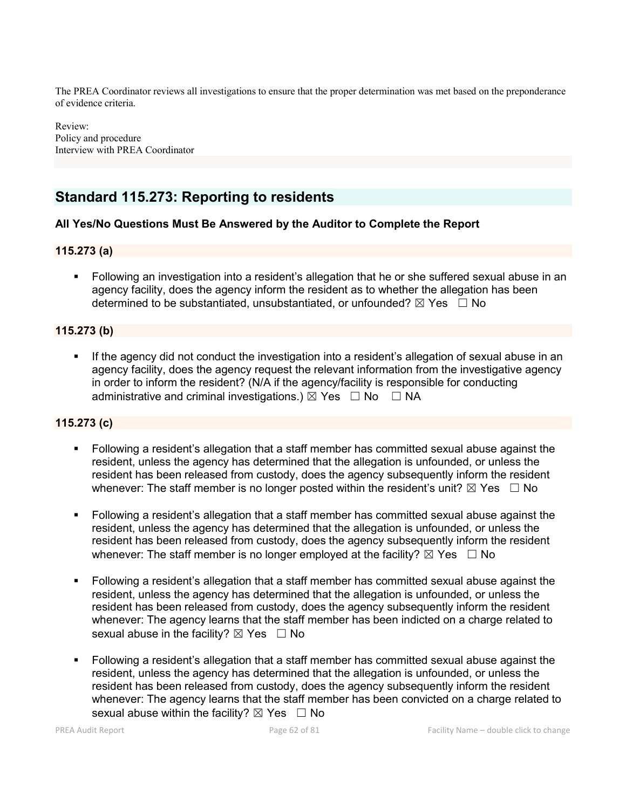The PREA Coordinator reviews all investigations to ensure that the proper determination was met based on the preponderance of evidence criteria.

Review: Policy and procedure Interview with PREA Coordinator

## Standard 115.273: Reporting to residents

### All Yes/No Questions Must Be Answered by the Auditor to Complete the Report

### 115.273 (a)

 Following an investigation into a resident's allegation that he or she suffered sexual abuse in an agency facility, does the agency inform the resident as to whether the allegation has been determined to be substantiated, unsubstantiated, or unfounded?  $\boxtimes$  Yes  $\Box$  No

## 115.273 (b)

 If the agency did not conduct the investigation into a resident's allegation of sexual abuse in an agency facility, does the agency request the relevant information from the investigative agency in order to inform the resident? (N/A if the agency/facility is responsible for conducting administrative and criminal investigations.)  $\boxtimes$  Yes  $\Box$  No  $\Box$  NA

## 115.273 (c)

- Following a resident's allegation that a staff member has committed sexual abuse against the resident, unless the agency has determined that the allegation is unfounded, or unless the resident has been released from custody, does the agency subsequently inform the resident whenever: The staff member is no longer posted within the resident's unit?  $\boxtimes$  Yes  $\Box$  No
- Following a resident's allegation that a staff member has committed sexual abuse against the resident, unless the agency has determined that the allegation is unfounded, or unless the resident has been released from custody, does the agency subsequently inform the resident whenever: The staff member is no longer employed at the facility?  $\boxtimes$  Yes  $\Box$  No
- Following a resident's allegation that a staff member has committed sexual abuse against the resident, unless the agency has determined that the allegation is unfounded, or unless the resident has been released from custody, does the agency subsequently inform the resident whenever: The agency learns that the staff member has been indicted on a charge related to sexual abuse in the facility?  $\boxtimes$  Yes  $\Box$  No
- Following a resident's allegation that a staff member has committed sexual abuse against the resident, unless the agency has determined that the allegation is unfounded, or unless the resident has been released from custody, does the agency subsequently inform the resident whenever: The agency learns that the staff member has been convicted on a charge related to sexual abuse within the facility?  $\boxtimes$  Yes  $\Box$  No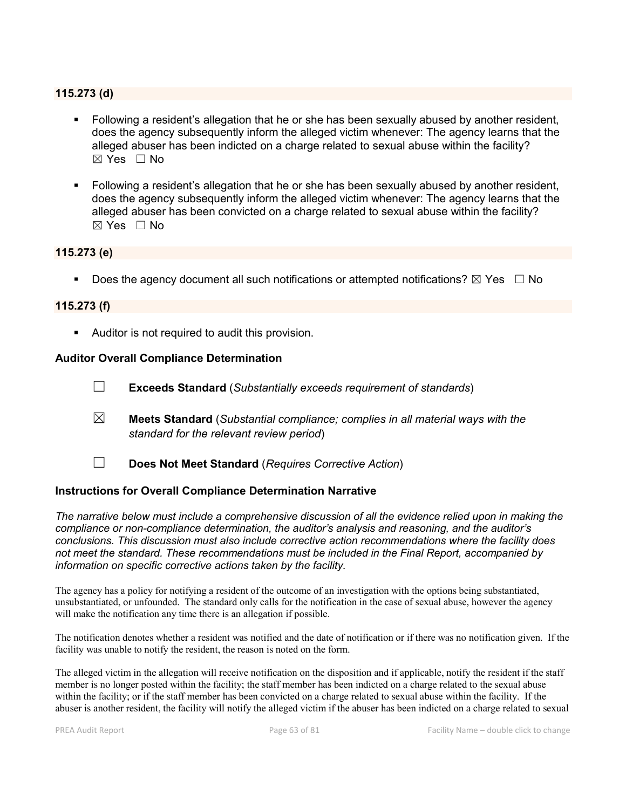### 115.273 (d)

- Following a resident's allegation that he or she has been sexually abused by another resident, does the agency subsequently inform the alleged victim whenever: The agency learns that the alleged abuser has been indicted on a charge related to sexual abuse within the facility?  $\boxtimes$  Yes  $\Box$  No
- Following a resident's allegation that he or she has been sexually abused by another resident, does the agency subsequently inform the alleged victim whenever: The agency learns that the alleged abuser has been convicted on a charge related to sexual abuse within the facility? ☒ Yes ☐ No

### 115.273 (e)

Does the agency document all such notifications or attempted notifications?  $\boxtimes$  Yes  $\Box$  No

#### 115.273 (f)

Auditor is not required to audit this provision.

#### Auditor Overall Compliance Determination

- ☐ Exceeds Standard (*Substantially exceeds requirement of standards*)
- ☒ Meets Standard (*Substantial compliance; complies in all material ways with the standard for the relevant review period*)
- ☐ Does Not Meet Standard (*Requires Corrective Action*)

#### Instructions for Overall Compliance Determination Narrative

*The narrative below must include a comprehensive discussion of all the evidence relied upon in making the compliance or non-compliance determination, the auditor's analysis and reasoning, and the auditor's conclusions. This discussion must also include corrective action recommendations where the facility does not meet the standard. These recommendations must be included in the Final Report, accompanied by information on specific corrective actions taken by the facility.*

The agency has a policy for notifying a resident of the outcome of an investigation with the options being substantiated, unsubstantiated, or unfounded. The standard only calls for the notification in the case of sexual abuse, however the agency will make the notification any time there is an allegation if possible.

The notification denotes whether a resident was notified and the date of notification or if there was no notification given. If the facility was unable to notify the resident, the reason is noted on the form.

The alleged victim in the allegation will receive notification on the disposition and if applicable, notify the resident if the staff member is no longer posted within the facility; the staff member has been indicted on a charge related to the sexual abuse within the facility; or if the staff member has been convicted on a charge related to sexual abuse within the facility. If the abuser is another resident, the facility will notify the alleged victim if the abuser has been indicted on a charge related to sexual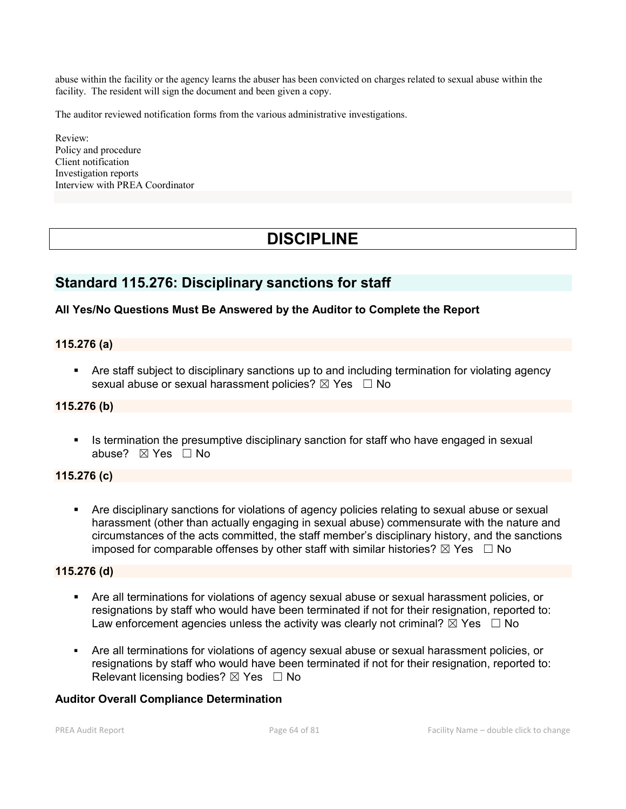abuse within the facility or the agency learns the abuser has been convicted on charges related to sexual abuse within the facility. The resident will sign the document and been given a copy.

The auditor reviewed notification forms from the various administrative investigations.

Review: Policy and procedure Client notification Investigation reports Interview with PREA Coordinator

# **DISCIPLINE**

## Standard 115.276: Disciplinary sanctions for staff

## All Yes/No Questions Must Be Answered by the Auditor to Complete the Report

### 115.276 (a)

 Are staff subject to disciplinary sanctions up to and including termination for violating agency sexual abuse or sexual harassment policies?  $\boxtimes$  Yes  $\Box$  No

## 115.276 (b)

Intermination the presumptive disciplinary sanction for staff who have engaged in sexual abuse? ☒ Yes ☐ No

#### 115.276 (c)

 Are disciplinary sanctions for violations of agency policies relating to sexual abuse or sexual harassment (other than actually engaging in sexual abuse) commensurate with the nature and circumstances of the acts committed, the staff member's disciplinary history, and the sanctions imposed for comparable offenses by other staff with similar histories?  $\boxtimes$  Yes  $\Box$  No

#### 115.276 (d)

- Are all terminations for violations of agency sexual abuse or sexual harassment policies, or resignations by staff who would have been terminated if not for their resignation, reported to: Law enforcement agencies unless the activity was clearly not criminal?  $\boxtimes$  Yes  $\Box$  No
- Are all terminations for violations of agency sexual abuse or sexual harassment policies, or resignations by staff who would have been terminated if not for their resignation, reported to: Relevant licensing bodies?  $\boxtimes$  Yes  $\Box$  No

### Auditor Overall Compliance Determination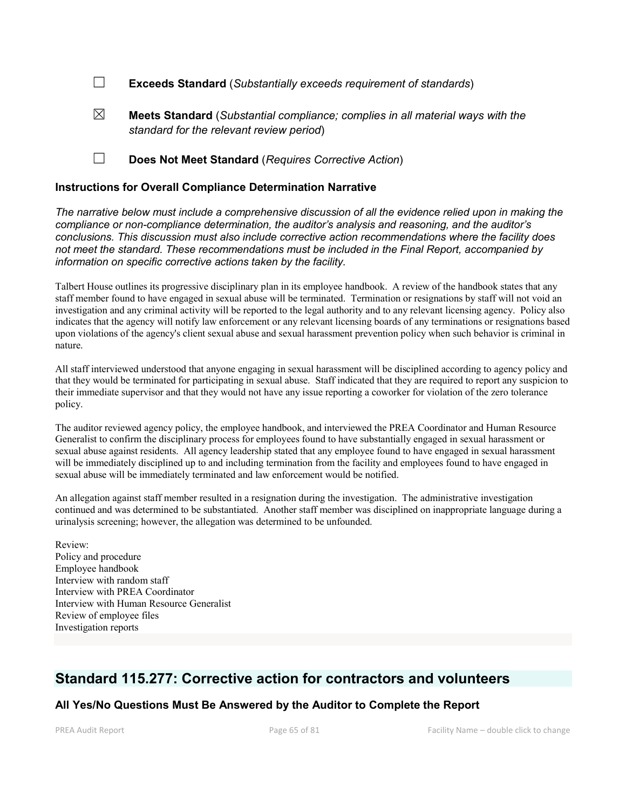☐ Exceeds Standard (*Substantially exceeds requirement of standards*)

- ☒ Meets Standard (*Substantial compliance; complies in all material ways with the standard for the relevant review period*)
- ☐ Does Not Meet Standard (*Requires Corrective Action*)

#### Instructions for Overall Compliance Determination Narrative

*The narrative below must include a comprehensive discussion of all the evidence relied upon in making the compliance or non-compliance determination, the auditor's analysis and reasoning, and the auditor's conclusions. This discussion must also include corrective action recommendations where the facility does not meet the standard. These recommendations must be included in the Final Report, accompanied by information on specific corrective actions taken by the facility.*

Talbert House outlines its progressive disciplinary plan in its employee handbook. A review of the handbook states that any staff member found to have engaged in sexual abuse will be terminated. Termination or resignations by staff will not void an investigation and any criminal activity will be reported to the legal authority and to any relevant licensing agency. Policy also indicates that the agency will notify law enforcement or any relevant licensing boards of any terminations or resignations based upon violations of the agency's client sexual abuse and sexual harassment prevention policy when such behavior is criminal in nature.

All staff interviewed understood that anyone engaging in sexual harassment will be disciplined according to agency policy and that they would be terminated for participating in sexual abuse. Staff indicated that they are required to report any suspicion to their immediate supervisor and that they would not have any issue reporting a coworker for violation of the zero tolerance policy.

The auditor reviewed agency policy, the employee handbook, and interviewed the PREA Coordinator and Human Resource Generalist to confirm the disciplinary process for employees found to have substantially engaged in sexual harassment or sexual abuse against residents. All agency leadership stated that any employee found to have engaged in sexual harassment will be immediately disciplined up to and including termination from the facility and employees found to have engaged in sexual abuse will be immediately terminated and law enforcement would be notified.

An allegation against staff member resulted in a resignation during the investigation. The administrative investigation continued and was determined to be substantiated. Another staff member was disciplined on inappropriate language during a urinalysis screening; however, the allegation was determined to be unfounded.

Review: Policy and procedure Employee handbook Interview with random staff Interview with PREA Coordinator Interview with Human Resource Generalist Review of employee files Investigation reports

## Standard 115.277: Corrective action for contractors and volunteers

## All Yes/No Questions Must Be Answered by the Auditor to Complete the Report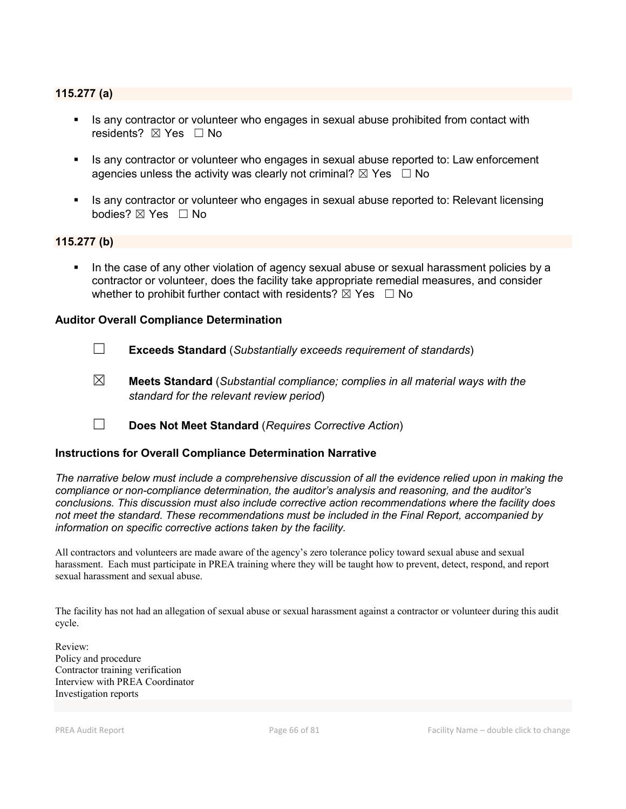### 115.277 (a)

- Is any contractor or volunteer who engages in sexual abuse prohibited from contact with residents?  $\boxtimes$  Yes  $\Box$  No
- If any contractor or volunteer who engages in sexual abuse reported to: Law enforcement agencies unless the activity was clearly not criminal?  $\boxtimes$  Yes  $\Box$  No
- Is any contractor or volunteer who engages in sexual abuse reported to: Relevant licensing bodies? ⊠ Yes □ No

#### 115.277 (b)

 In the case of any other violation of agency sexual abuse or sexual harassment policies by a contractor or volunteer, does the facility take appropriate remedial measures, and consider whether to prohibit further contact with residents?  $\boxtimes$  Yes  $\Box$  No

#### Auditor Overall Compliance Determination

- ☐ Exceeds Standard (*Substantially exceeds requirement of standards*)
- ☒ Meets Standard (*Substantial compliance; complies in all material ways with the standard for the relevant review period*)
- ☐ Does Not Meet Standard (*Requires Corrective Action*)

#### Instructions for Overall Compliance Determination Narrative

*The narrative below must include a comprehensive discussion of all the evidence relied upon in making the compliance or non-compliance determination, the auditor's analysis and reasoning, and the auditor's conclusions. This discussion must also include corrective action recommendations where the facility does not meet the standard. These recommendations must be included in the Final Report, accompanied by information on specific corrective actions taken by the facility.*

All contractors and volunteers are made aware of the agency's zero tolerance policy toward sexual abuse and sexual harassment. Each must participate in PREA training where they will be taught how to prevent, detect, respond, and report sexual harassment and sexual abuse.

The facility has not had an allegation of sexual abuse or sexual harassment against a contractor or volunteer during this audit cycle.

Review: Policy and procedure Contractor training verification Interview with PREA Coordinator Investigation reports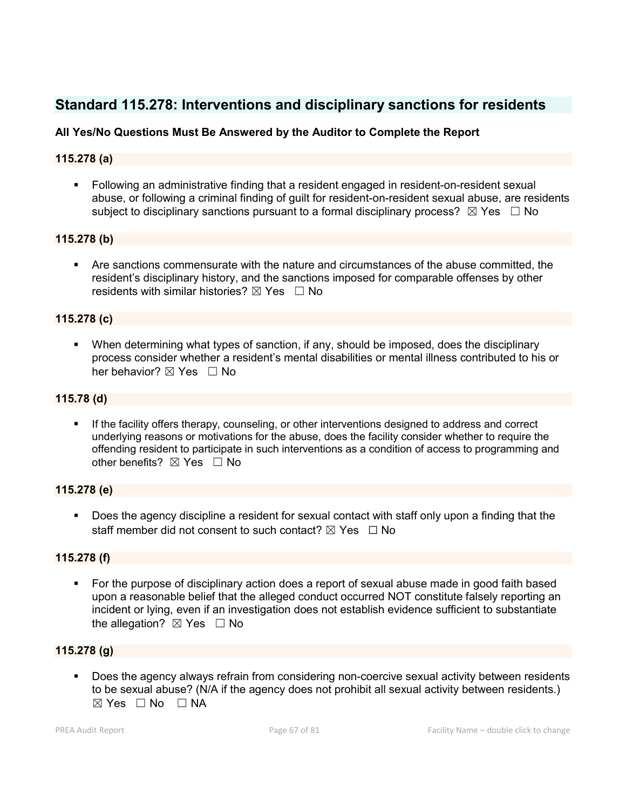## Standard 115.278: Interventions and disciplinary sanctions for residents

## All Yes/No Questions Must Be Answered by the Auditor to Complete the Report

## 115.278 (a)

 Following an administrative finding that a resident engaged in resident-on-resident sexual abuse, or following a criminal finding of guilt for resident-on-resident sexual abuse, are residents subject to disciplinary sanctions pursuant to a formal disciplinary process?  $\boxtimes$  Yes  $\Box$  No

## 115.278 (b)

 Are sanctions commensurate with the nature and circumstances of the abuse committed, the resident's disciplinary history, and the sanctions imposed for comparable offenses by other residents with similar histories?  $\boxtimes$  Yes  $\Box$  No

### 115.278 (c)

 When determining what types of sanction, if any, should be imposed, does the disciplinary process consider whether a resident's mental disabilities or mental illness contributed to his or her behavior? ⊠ Yes □ No

### 115.78 (d)

 If the facility offers therapy, counseling, or other interventions designed to address and correct underlying reasons or motivations for the abuse, does the facility consider whether to require the offending resident to participate in such interventions as a condition of access to programming and other benefits?  $\boxtimes$  Yes  $\Box$  No

## 115.278 (e)

 Does the agency discipline a resident for sexual contact with staff only upon a finding that the staff member did not consent to such contact?  $\boxtimes$  Yes  $\Box$  No

## 115.278 (f)

 For the purpose of disciplinary action does a report of sexual abuse made in good faith based upon a reasonable belief that the alleged conduct occurred NOT constitute falsely reporting an incident or lying, even if an investigation does not establish evidence sufficient to substantiate the allegation?  $\boxtimes$  Yes  $\Box$  No

## 115.278 (g)

 Does the agency always refrain from considering non-coercive sexual activity between residents to be sexual abuse? (N/A if the agency does not prohibit all sexual activity between residents.)  $\boxtimes$  Yes  $\Box$  No  $\Box$  NA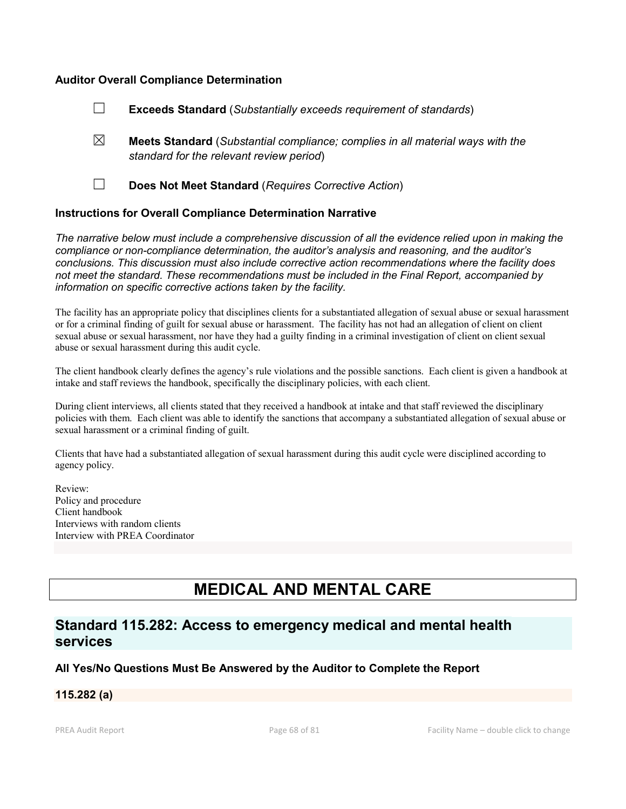#### Auditor Overall Compliance Determination

- ☐ Exceeds Standard (*Substantially exceeds requirement of standards*)
- ☒ Meets Standard (*Substantial compliance; complies in all material ways with the standard for the relevant review period*)
- 

☐ Does Not Meet Standard (*Requires Corrective Action*)

### Instructions for Overall Compliance Determination Narrative

*The narrative below must include a comprehensive discussion of all the evidence relied upon in making the compliance or non-compliance determination, the auditor's analysis and reasoning, and the auditor's conclusions. This discussion must also include corrective action recommendations where the facility does not meet the standard. These recommendations must be included in the Final Report, accompanied by information on specific corrective actions taken by the facility.*

The facility has an appropriate policy that disciplines clients for a substantiated allegation of sexual abuse or sexual harassment or for a criminal finding of guilt for sexual abuse or harassment. The facility has not had an allegation of client on client sexual abuse or sexual harassment, nor have they had a guilty finding in a criminal investigation of client on client sexual abuse or sexual harassment during this audit cycle.

The client handbook clearly defines the agency's rule violations and the possible sanctions. Each client is given a handbook at intake and staff reviews the handbook, specifically the disciplinary policies, with each client.

During client interviews, all clients stated that they received a handbook at intake and that staff reviewed the disciplinary policies with them. Each client was able to identify the sanctions that accompany a substantiated allegation of sexual abuse or sexual harassment or a criminal finding of guilt.

Clients that have had a substantiated allegation of sexual harassment during this audit cycle were disciplined according to agency policy.

Review: Policy and procedure Client handbook Interviews with random clients Interview with PREA Coordinator

# MEDICAL AND MENTAL CARE

## Standard 115.282: Access to emergency medical and mental health services

## All Yes/No Questions Must Be Answered by the Auditor to Complete the Report

#### 115.282 (a)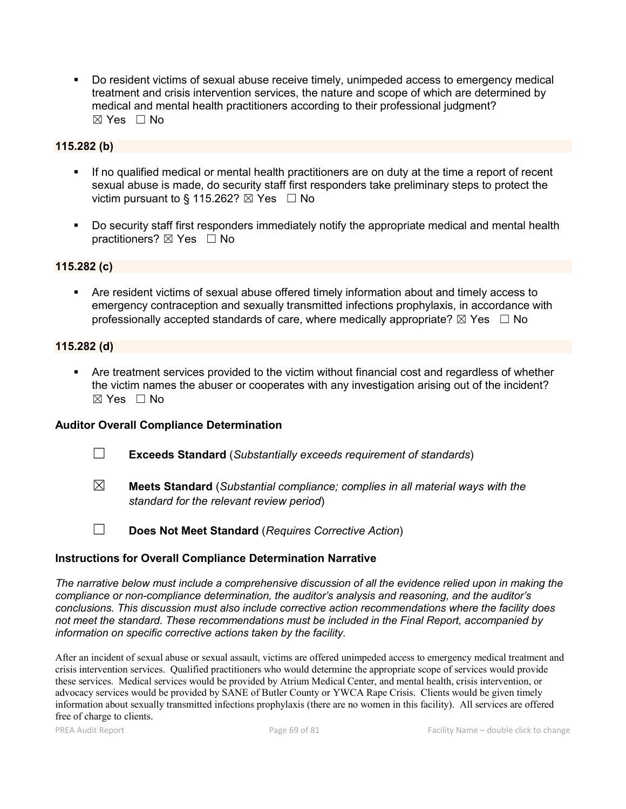Do resident victims of sexual abuse receive timely, unimpeded access to emergency medical treatment and crisis intervention services, the nature and scope of which are determined by medical and mental health practitioners according to their professional judgment?  $\boxtimes$  Yes  $\Box$  No

## 115.282 (b)

- If no qualified medical or mental health practitioners are on duty at the time a report of recent sexual abuse is made, do security staff first responders take preliminary steps to protect the victim pursuant to § 115.262?  $\boxtimes$  Yes  $\Box$  No
- Do security staff first responders immediately notify the appropriate medical and mental health practitioners? ⊠ Yes □ No

## 115.282 (c)

 Are resident victims of sexual abuse offered timely information about and timely access to emergency contraception and sexually transmitted infections prophylaxis, in accordance with professionally accepted standards of care, where medically appropriate?  $\boxtimes$  Yes  $\Box$  No

### 115.282 (d)

 Are treatment services provided to the victim without financial cost and regardless of whether the victim names the abuser or cooperates with any investigation arising out of the incident? ☒ Yes ☐ No

## Auditor Overall Compliance Determination

- ☐ Exceeds Standard (*Substantially exceeds requirement of standards*)
- ☒ Meets Standard (*Substantial compliance; complies in all material ways with the standard for the relevant review period*)
- 
- ☐ Does Not Meet Standard (*Requires Corrective Action*)

## Instructions for Overall Compliance Determination Narrative

*The narrative below must include a comprehensive discussion of all the evidence relied upon in making the compliance or non-compliance determination, the auditor's analysis and reasoning, and the auditor's conclusions. This discussion must also include corrective action recommendations where the facility does not meet the standard. These recommendations must be included in the Final Report, accompanied by information on specific corrective actions taken by the facility.*

After an incident of sexual abuse or sexual assault, victims are offered unimpeded access to emergency medical treatment and crisis intervention services. Qualified practitioners who would determine the appropriate scope of services would provide these services. Medical services would be provided by Atrium Medical Center, and mental health, crisis intervention, or advocacy services would be provided by SANE of Butler County or YWCA Rape Crisis. Clients would be given timely information about sexually transmitted infections prophylaxis (there are no women in this facility). All services are offered free of charge to clients.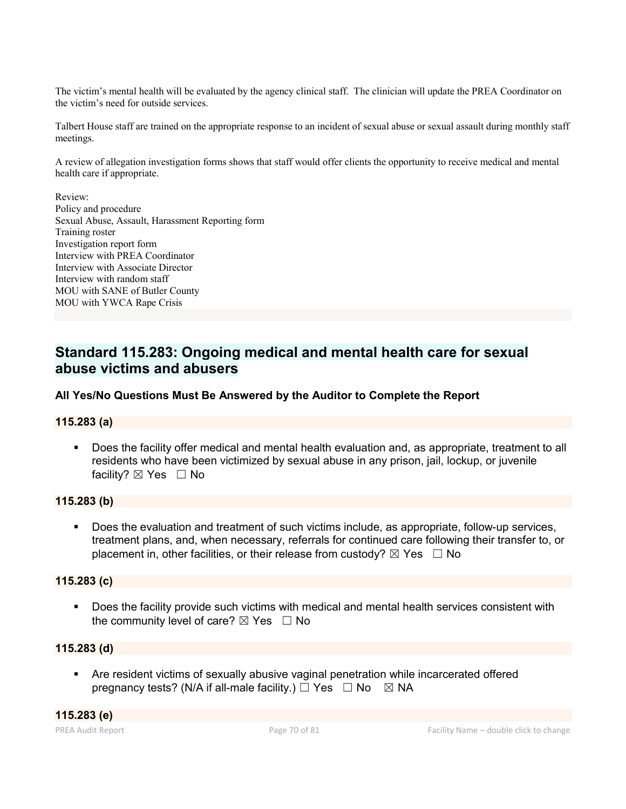The victim's mental health will be evaluated by the agency clinical staff. The clinician will update the PREA Coordinator on the victim's need for outside services.

Talbert House staff are trained on the appropriate response to an incident of sexual abuse or sexual assault during monthly staff meetings.

A review of allegation investigation forms shows that staff would offer clients the opportunity to receive medical and mental health care if appropriate.

Review:

Policy and procedure Sexual Abuse, Assault, Harassment Reporting form Training roster Investigation report form Interview with PREA Coordinator Interview with Associate Director Interview with random staff MOU with SANE of Butler County MOU with YWCA Rape Crisis

## Standard 115.283: Ongoing medical and mental health care for sexual abuse victims and abusers

## All Yes/No Questions Must Be Answered by the Auditor to Complete the Report

## 115.283 (a)

 Does the facility offer medical and mental health evaluation and, as appropriate, treatment to all residents who have been victimized by sexual abuse in any prison, jail, lockup, or juvenile facility?  $\boxtimes$  Yes  $\Box$  No

#### 115.283 (b)

 Does the evaluation and treatment of such victims include, as appropriate, follow-up services, treatment plans, and, when necessary, referrals for continued care following their transfer to, or placement in, other facilities, or their release from custody?  $\boxtimes$  Yes  $\Box$  No

#### 115.283 (c)

**Does the facility provide such victims with medical and mental health services consistent with** the community level of care?  $\boxtimes$  Yes  $\Box$  No

### 115.283 (d)

 Are resident victims of sexually abusive vaginal penetration while incarcerated offered pregnancy tests? (N/A if all-male facility.)  $\Box$  Yes  $\Box$  No  $\boxtimes$  NA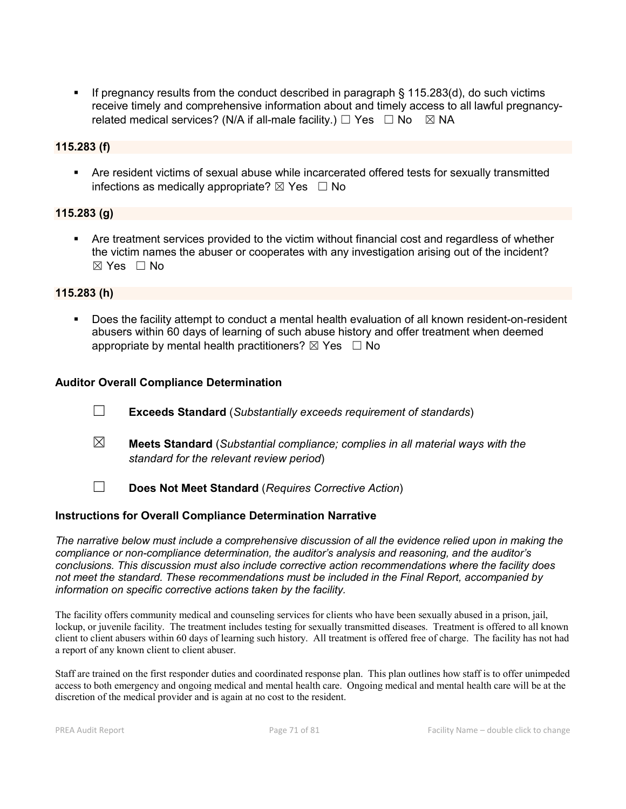If pregnancy results from the conduct described in paragraph  $\S$  115.283(d), do such victims receive timely and comprehensive information about and timely access to all lawful pregnancyrelated medical services? (N/A if all-male facility.)  $\Box$  Yes  $\Box$  No  $\boxtimes$  NA

#### 115.283 (f)

 Are resident victims of sexual abuse while incarcerated offered tests for sexually transmitted infections as medically appropriate?  $\boxtimes$  Yes  $\Box$  No

### 115.283 (g)

 Are treatment services provided to the victim without financial cost and regardless of whether the victim names the abuser or cooperates with any investigation arising out of the incident? ☒ Yes ☐ No

### 115.283 (h)

 Does the facility attempt to conduct a mental health evaluation of all known resident-on-resident abusers within 60 days of learning of such abuse history and offer treatment when deemed appropriate by mental health practitioners?  $\boxtimes$  Yes  $\Box$  No

### Auditor Overall Compliance Determination

- ☐ Exceeds Standard (*Substantially exceeds requirement of standards*)
- ☒ Meets Standard (*Substantial compliance; complies in all material ways with the standard for the relevant review period*)
- ☐ Does Not Meet Standard (*Requires Corrective Action*)

#### Instructions for Overall Compliance Determination Narrative

*The narrative below must include a comprehensive discussion of all the evidence relied upon in making the compliance or non-compliance determination, the auditor's analysis and reasoning, and the auditor's conclusions. This discussion must also include corrective action recommendations where the facility does not meet the standard. These recommendations must be included in the Final Report, accompanied by information on specific corrective actions taken by the facility.*

The facility offers community medical and counseling services for clients who have been sexually abused in a prison, jail, lockup, or juvenile facility. The treatment includes testing for sexually transmitted diseases. Treatment is offered to all known client to client abusers within 60 days of learning such history. All treatment is offered free of charge. The facility has not had a report of any known client to client abuser.

Staff are trained on the first responder duties and coordinated response plan. This plan outlines how staff is to offer unimpeded access to both emergency and ongoing medical and mental health care. Ongoing medical and mental health care will be at the discretion of the medical provider and is again at no cost to the resident.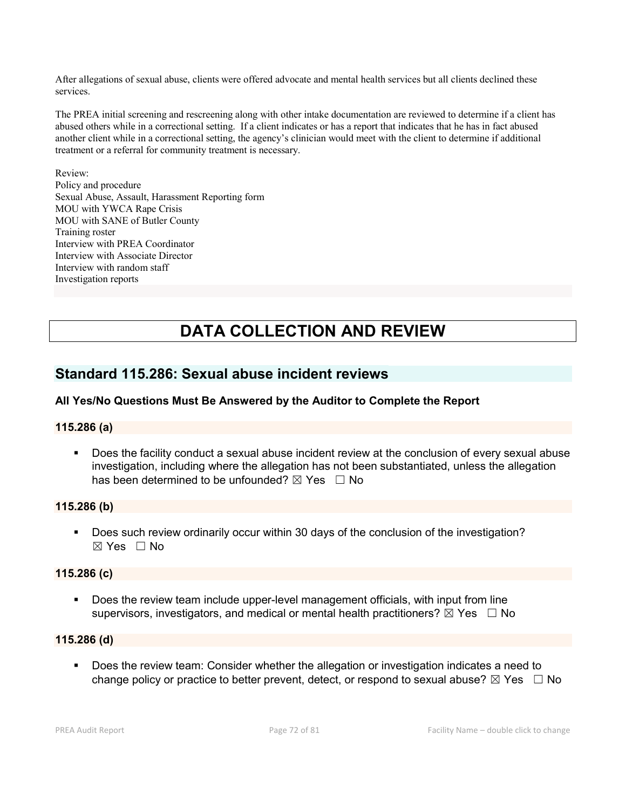After allegations of sexual abuse, clients were offered advocate and mental health services but all clients declined these services.

The PREA initial screening and rescreening along with other intake documentation are reviewed to determine if a client has abused others while in a correctional setting. If a client indicates or has a report that indicates that he has in fact abused another client while in a correctional setting, the agency's clinician would meet with the client to determine if additional treatment or a referral for community treatment is necessary.

Review: Policy and procedure Sexual Abuse, Assault, Harassment Reporting form MOU with YWCA Rape Crisis MOU with SANE of Butler County Training roster Interview with PREA Coordinator Interview with Associate Director Interview with random staff Investigation reports

# DATA COLLECTION AND REVIEW

## Standard 115.286: Sexual abuse incident reviews

## All Yes/No Questions Must Be Answered by the Auditor to Complete the Report

## 115.286 (a)

 Does the facility conduct a sexual abuse incident review at the conclusion of every sexual abuse investigation, including where the allegation has not been substantiated, unless the allegation has been determined to be unfounded?  $\boxtimes$  Yes  $\Box$  No

#### 115.286 (b)

Does such review ordinarily occur within 30 days of the conclusion of the investigation? ☒ Yes ☐ No

#### 115.286 (c)

 Does the review team include upper-level management officials, with input from line supervisors, investigators, and medical or mental health practitioners?  $\boxtimes$  Yes  $\Box$  No

#### 115.286 (d)

 Does the review team: Consider whether the allegation or investigation indicates a need to change policy or practice to better prevent, detect, or respond to sexual abuse?  $\boxtimes$  Yes  $\Box$  No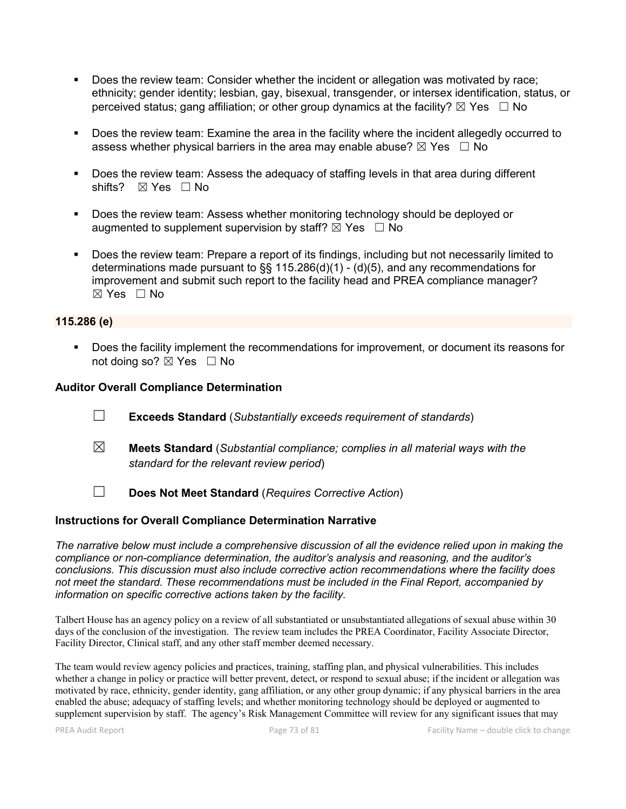- Does the review team: Consider whether the incident or allegation was motivated by race; ethnicity; gender identity; lesbian, gay, bisexual, transgender, or intersex identification, status, or perceived status; gang affiliation; or other group dynamics at the facility?  $\boxtimes$  Yes  $\Box$  No
- **Does the review team: Examine the area in the facility where the incident allegedly occurred to** assess whether physical barriers in the area may enable abuse?  $\boxtimes$  Yes  $\Box$  No
- **Does the review team: Assess the adequacy of staffing levels in that area during different** shifts? ⊠ Yes □ No
- **Does the review team: Assess whether monitoring technology should be deployed or** augmented to supplement supervision by staff?  $\boxtimes$  Yes  $\Box$  No
- Does the review team: Prepare a report of its findings, including but not necessarily limited to determinations made pursuant to §§ 115.286(d)(1) - (d)(5), and any recommendations for improvement and submit such report to the facility head and PREA compliance manager?  $\boxtimes$  Yes  $\Box$  No

#### 115.286 (e)

**Does the facility implement the recommendations for improvement, or document its reasons for** not doing so?  $\boxtimes$  Yes  $\Box$  No

#### Auditor Overall Compliance Determination

- ☐ Exceeds Standard (*Substantially exceeds requirement of standards*)
- ☒ Meets Standard (*Substantial compliance; complies in all material ways with the standard for the relevant review period*)
- ☐ Does Not Meet Standard (*Requires Corrective Action*)

#### Instructions for Overall Compliance Determination Narrative

*The narrative below must include a comprehensive discussion of all the evidence relied upon in making the compliance or non-compliance determination, the auditor's analysis and reasoning, and the auditor's conclusions. This discussion must also include corrective action recommendations where the facility does not meet the standard. These recommendations must be included in the Final Report, accompanied by information on specific corrective actions taken by the facility.*

Talbert House has an agency policy on a review of all substantiated or unsubstantiated allegations of sexual abuse within 30 days of the conclusion of the investigation. The review team includes the PREA Coordinator, Facility Associate Director, Facility Director, Clinical staff, and any other staff member deemed necessary.

The team would review agency policies and practices, training, staffing plan, and physical vulnerabilities. This includes whether a change in policy or practice will better prevent, detect, or respond to sexual abuse; if the incident or allegation was motivated by race, ethnicity, gender identity, gang affiliation, or any other group dynamic; if any physical barriers in the area enabled the abuse; adequacy of staffing levels; and whether monitoring technology should be deployed or augmented to supplement supervision by staff. The agency's Risk Management Committee will review for any significant issues that may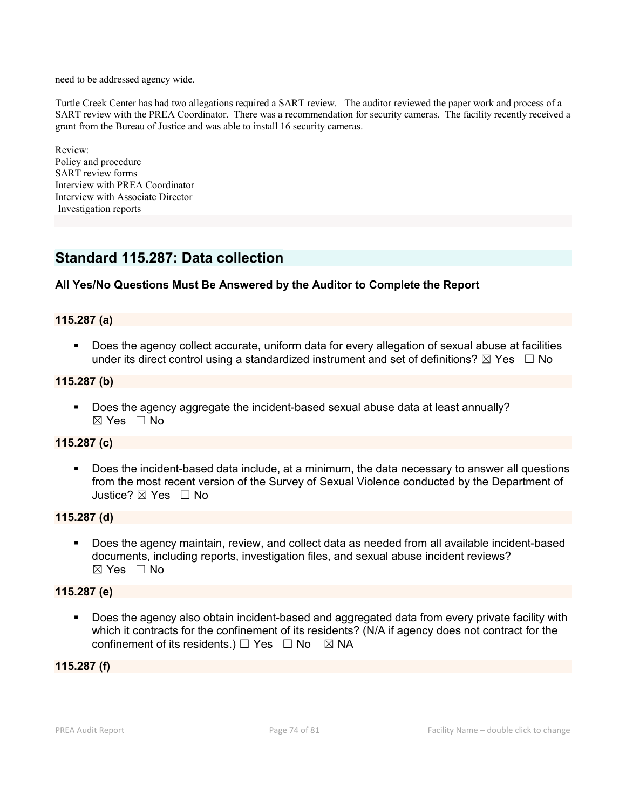need to be addressed agency wide.

Turtle Creek Center has had two allegations required a SART review. The auditor reviewed the paper work and process of a SART review with the PREA Coordinator. There was a recommendation for security cameras. The facility recently received a grant from the Bureau of Justice and was able to install 16 security cameras.

Review: Policy and procedure SART review forms Interview with PREA Coordinator Interview with Associate Director Investigation reports

# Standard 115.287: Data collection

### All Yes/No Questions Must Be Answered by the Auditor to Complete the Report

#### 115.287 (a)

 Does the agency collect accurate, uniform data for every allegation of sexual abuse at facilities under its direct control using a standardized instrument and set of definitions?  $\boxtimes$  Yes  $\Box$  No

#### 115.287 (b)

 Does the agency aggregate the incident-based sexual abuse data at least annually? ☒ Yes ☐ No

#### 115.287 (c)

 Does the incident-based data include, at a minimum, the data necessary to answer all questions from the most recent version of the Survey of Sexual Violence conducted by the Department of Justice? ☒ Yes ☐ No

#### 115.287 (d)

 Does the agency maintain, review, and collect data as needed from all available incident-based documents, including reports, investigation files, and sexual abuse incident reviews? ☒ Yes ☐ No

#### 115.287 (e)

 Does the agency also obtain incident-based and aggregated data from every private facility with which it contracts for the confinement of its residents? (N/A if agency does not contract for the confinement of its residents.)  $\Box$  Yes  $\Box$  No  $\boxtimes$  NA

#### 115.287 (f)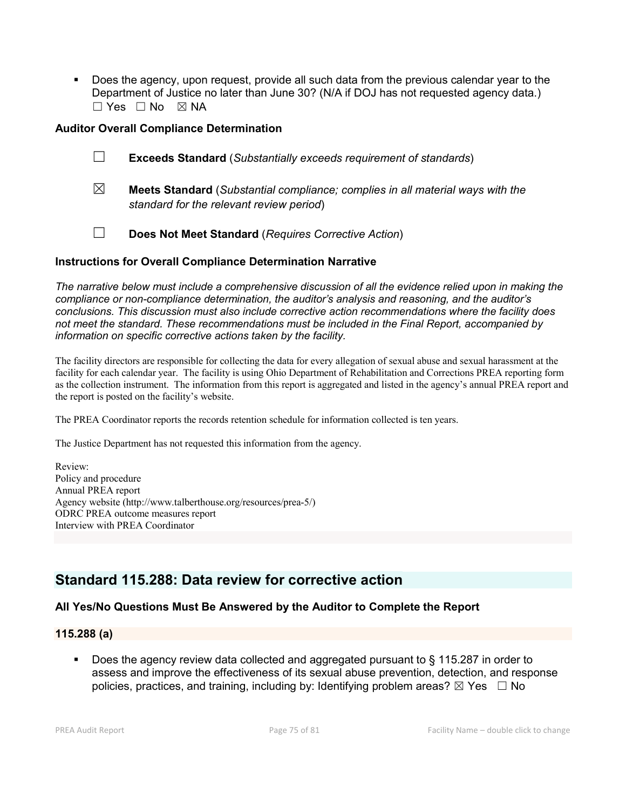Does the agency, upon request, provide all such data from the previous calendar year to the Department of Justice no later than June 30? (N/A if DOJ has not requested agency data.) ☐ Yes ☐ No ☒ NA

#### Auditor Overall Compliance Determination

| $\Box$ | <b>Exceeds Standard (Substantially exceeds requirement of standards)</b>              |
|--------|---------------------------------------------------------------------------------------|
| ⊠      | <b>Meets Standard</b> (Substantial compliance; complies in all material ways with the |

- *standard for the relevant review period*)
- ☐ Does Not Meet Standard (*Requires Corrective Action*)

#### Instructions for Overall Compliance Determination Narrative

*The narrative below must include a comprehensive discussion of all the evidence relied upon in making the compliance or non-compliance determination, the auditor's analysis and reasoning, and the auditor's conclusions. This discussion must also include corrective action recommendations where the facility does not meet the standard. These recommendations must be included in the Final Report, accompanied by information on specific corrective actions taken by the facility.*

The facility directors are responsible for collecting the data for every allegation of sexual abuse and sexual harassment at the facility for each calendar year. The facility is using Ohio Department of Rehabilitation and Corrections PREA reporting form as the collection instrument. The information from this report is aggregated and listed in the agency's annual PREA report and the report is posted on the facility's website.

The PREA Coordinator reports the records retention schedule for information collected is ten years.

The Justice Department has not requested this information from the agency.

Review: Policy and procedure Annual PREA report Agency website (http://www.talberthouse.org/resources/prea-5/) ODRC PREA outcome measures report Interview with PREA Coordinator

# Standard 115.288: Data review for corrective action

## All Yes/No Questions Must Be Answered by the Auditor to Complete the Report

### 115.288 (a)

 Does the agency review data collected and aggregated pursuant to § 115.287 in order to assess and improve the effectiveness of its sexual abuse prevention, detection, and response policies, practices, and training, including by: Identifying problem areas?  $\boxtimes$  Yes  $\Box$  No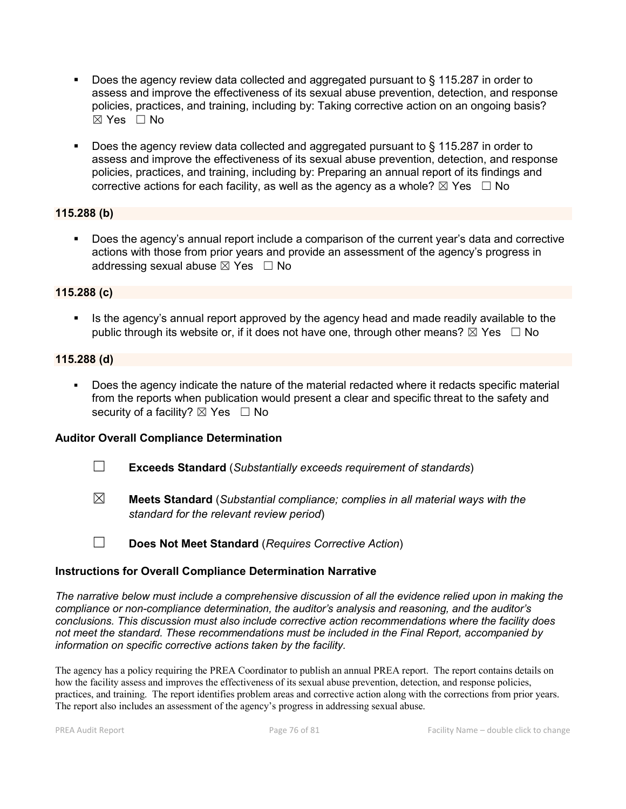- Does the agency review data collected and aggregated pursuant to § 115.287 in order to assess and improve the effectiveness of its sexual abuse prevention, detection, and response policies, practices, and training, including by: Taking corrective action on an ongoing basis?  $\boxtimes$  Yes  $\Box$  No
- Does the agency review data collected and aggregated pursuant to § 115.287 in order to assess and improve the effectiveness of its sexual abuse prevention, detection, and response policies, practices, and training, including by: Preparing an annual report of its findings and corrective actions for each facility, as well as the agency as a whole?  $\boxtimes$  Yes  $\Box$  No

#### 115.288 (b)

 Does the agency's annual report include a comparison of the current year's data and corrective actions with those from prior years and provide an assessment of the agency's progress in addressing sexual abuse  $\boxtimes$  Yes  $\Box$  No

#### 115.288 (c)

If Its the agency's annual report approved by the agency head and made readily available to the public through its website or, if it does not have one, through other means?  $\boxtimes$  Yes  $\Box$  No

#### 115.288 (d)

 Does the agency indicate the nature of the material redacted where it redacts specific material from the reports when publication would present a clear and specific threat to the safety and security of a facility?  $\boxtimes$  Yes  $\Box$  No

#### Auditor Overall Compliance Determination

- ☐ Exceeds Standard (*Substantially exceeds requirement of standards*)
- ☒ Meets Standard (*Substantial compliance; complies in all material ways with the standard for the relevant review period*)
- ☐ Does Not Meet Standard (*Requires Corrective Action*)

#### Instructions for Overall Compliance Determination Narrative

*The narrative below must include a comprehensive discussion of all the evidence relied upon in making the compliance or non-compliance determination, the auditor's analysis and reasoning, and the auditor's conclusions. This discussion must also include corrective action recommendations where the facility does not meet the standard. These recommendations must be included in the Final Report, accompanied by information on specific corrective actions taken by the facility.*

The agency has a policy requiring the PREA Coordinator to publish an annual PREA report. The report contains details on how the facility assess and improves the effectiveness of its sexual abuse prevention, detection, and response policies, practices, and training. The report identifies problem areas and corrective action along with the corrections from prior years. The report also includes an assessment of the agency's progress in addressing sexual abuse.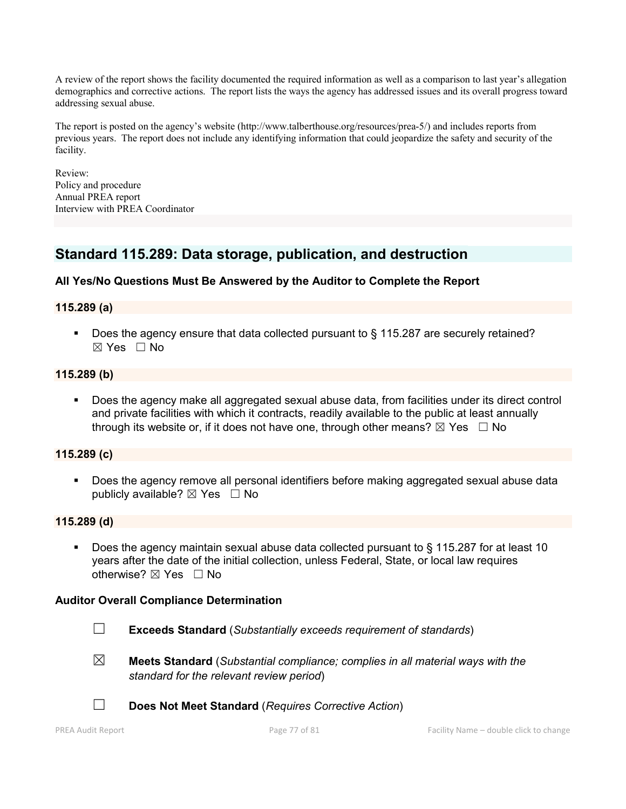A review of the report shows the facility documented the required information as well as a comparison to last year's allegation demographics and corrective actions. The report lists the ways the agency has addressed issues and its overall progress toward addressing sexual abuse.

The report is posted on the agency's website (http://www.talberthouse.org/resources/prea-5/) and includes reports from previous years. The report does not include any identifying information that could jeopardize the safety and security of the facility.

Review: Policy and procedure Annual PREA report Interview with PREA Coordinator

# Standard 115.289: Data storage, publication, and destruction

### All Yes/No Questions Must Be Answered by the Auditor to Complete the Report

#### 115.289 (a)

■ Does the agency ensure that data collected pursuant to § 115.287 are securely retained? ☒ Yes ☐ No

#### 115.289 (b)

 Does the agency make all aggregated sexual abuse data, from facilities under its direct control and private facilities with which it contracts, readily available to the public at least annually through its website or, if it does not have one, through other means?  $\boxtimes$  Yes  $\Box$  No

#### 115.289 (c)

**Does the agency remove all personal identifiers before making aggregated sexual abuse data** publicly available?  $\boxtimes$  Yes  $\Box$  No

#### 115.289 (d)

 Does the agency maintain sexual abuse data collected pursuant to § 115.287 for at least 10 years after the date of the initial collection, unless Federal, State, or local law requires otherwise? ⊠ Yes □ No

#### Auditor Overall Compliance Determination

- ☐ Exceeds Standard (*Substantially exceeds requirement of standards*)
- 
- ☒ Meets Standard (*Substantial compliance; complies in all material ways with the standard for the relevant review period*)



☐ Does Not Meet Standard (*Requires Corrective Action*)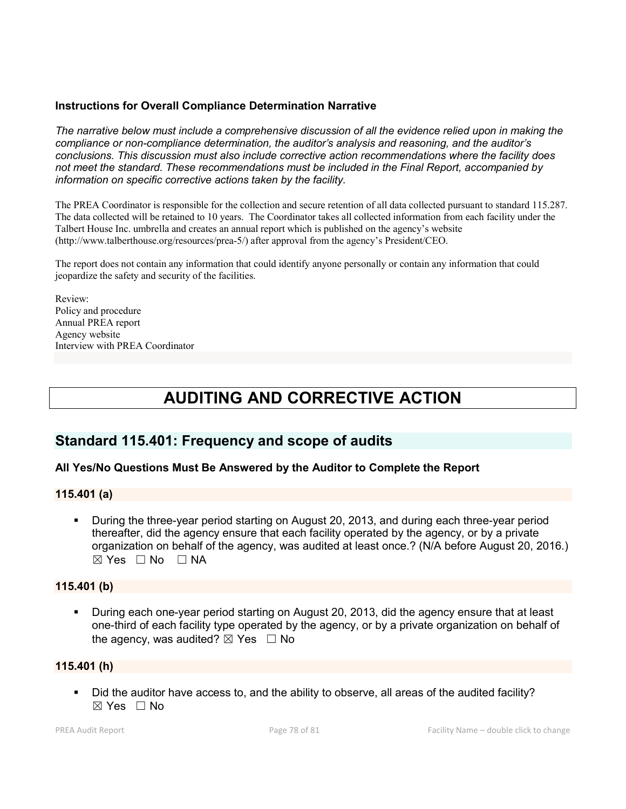#### Instructions for Overall Compliance Determination Narrative

*The narrative below must include a comprehensive discussion of all the evidence relied upon in making the compliance or non-compliance determination, the auditor's analysis and reasoning, and the auditor's conclusions. This discussion must also include corrective action recommendations where the facility does not meet the standard. These recommendations must be included in the Final Report, accompanied by information on specific corrective actions taken by the facility.*

The PREA Coordinator is responsible for the collection and secure retention of all data collected pursuant to standard 115.287. The data collected will be retained to 10 years. The Coordinator takes all collected information from each facility under the Talbert House Inc. umbrella and creates an annual report which is published on the agency's website (http://www.talberthouse.org/resources/prea-5/) after approval from the agency's President/CEO.

The report does not contain any information that could identify anyone personally or contain any information that could jeopardize the safety and security of the facilities.

Review: Policy and procedure Annual PREA report Agency website Interview with PREA Coordinator

# AUDITING AND CORRECTIVE ACTION

## Standard 115.401: Frequency and scope of audits

#### All Yes/No Questions Must Be Answered by the Auditor to Complete the Report

#### 115.401 (a)

 During the three-year period starting on August 20, 2013, and during each three-year period thereafter, did the agency ensure that each facility operated by the agency, or by a private organization on behalf of the agency, was audited at least once.? (N/A before August 20, 2016.)  $\boxtimes$  Yes  $\Box$  No  $\Box$  NA

#### 115.401 (b)

 During each one-year period starting on August 20, 2013, did the agency ensure that at least one-third of each facility type operated by the agency, or by a private organization on behalf of the agency, was audited?  $\boxtimes$  Yes  $\Box$  No

#### 115.401 (h)

 Did the auditor have access to, and the ability to observe, all areas of the audited facility?  $\boxtimes$  Yes  $\Box$  No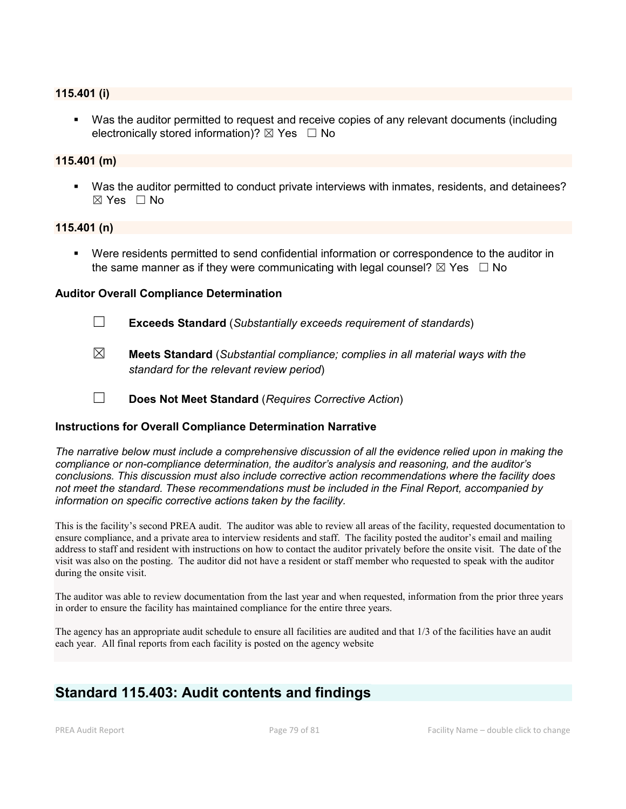#### 115.401 (i)

 Was the auditor permitted to request and receive copies of any relevant documents (including electronically stored information)?  $\boxtimes$  Yes  $\Box$  No

#### 115.401 (m)

 Was the auditor permitted to conduct private interviews with inmates, residents, and detainees?  $\boxtimes$  Yes  $\Box$  No

#### 115.401 (n)

 Were residents permitted to send confidential information or correspondence to the auditor in the same manner as if they were communicating with legal counsel?  $\boxtimes$  Yes  $\Box$  No

#### Auditor Overall Compliance Determination

- ☐ Exceeds Standard (*Substantially exceeds requirement of standards*)
- ☒ Meets Standard (*Substantial compliance; complies in all material ways with the standard for the relevant review period*)
- ☐ Does Not Meet Standard (*Requires Corrective Action*)

#### Instructions for Overall Compliance Determination Narrative

*The narrative below must include a comprehensive discussion of all the evidence relied upon in making the compliance or non-compliance determination, the auditor's analysis and reasoning, and the auditor's conclusions. This discussion must also include corrective action recommendations where the facility does not meet the standard. These recommendations must be included in the Final Report, accompanied by information on specific corrective actions taken by the facility.*

This is the facility's second PREA audit. The auditor was able to review all areas of the facility, requested documentation to ensure compliance, and a private area to interview residents and staff. The facility posted the auditor's email and mailing address to staff and resident with instructions on how to contact the auditor privately before the onsite visit. The date of the visit was also on the posting. The auditor did not have a resident or staff member who requested to speak with the auditor during the onsite visit.

The auditor was able to review documentation from the last year and when requested, information from the prior three years in order to ensure the facility has maintained compliance for the entire three years.

The agency has an appropriate audit schedule to ensure all facilities are audited and that 1/3 of the facilities have an audit each year. All final reports from each facility is posted on the agency website

# Standard 115.403: Audit contents and findings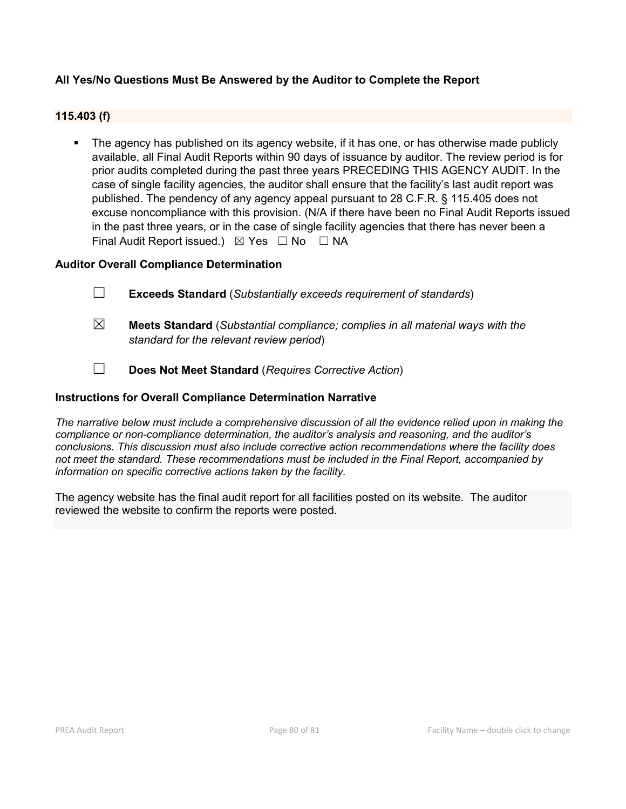### All Yes/No Questions Must Be Answered by the Auditor to Complete the Report

#### 115.403 (f)

 The agency has published on its agency website, if it has one, or has otherwise made publicly available, all Final Audit Reports within 90 days of issuance by auditor. The review period is for prior audits completed during the past three years PRECEDING THIS AGENCY AUDIT. In the case of single facility agencies, the auditor shall ensure that the facility's last audit report was published. The pendency of any agency appeal pursuant to 28 C.F.R. § 115.405 does not excuse noncompliance with this provision. (N/A if there have been no Final Audit Reports issued in the past three years, or in the case of single facility agencies that there has never been a Final Audit Report issued.)  $\boxtimes$  Yes  $\Box$  No  $\Box$  NA

#### Auditor Overall Compliance Determination

- ☐ Exceeds Standard (*Substantially exceeds requirement of standards*)
- ☒ Meets Standard (*Substantial compliance; complies in all material ways with the standard for the relevant review period*)
- ☐ Does Not Meet Standard (*Requires Corrective Action*)

#### Instructions for Overall Compliance Determination Narrative

*The narrative below must include a comprehensive discussion of all the evidence relied upon in making the compliance or non-compliance determination, the auditor's analysis and reasoning, and the auditor's conclusions. This discussion must also include corrective action recommendations where the facility does not meet the standard. These recommendations must be included in the Final Report, accompanied by information on specific corrective actions taken by the facility.*

The agency website has the final audit report for all facilities posted on its website. The auditor reviewed the website to confirm the reports were posted.